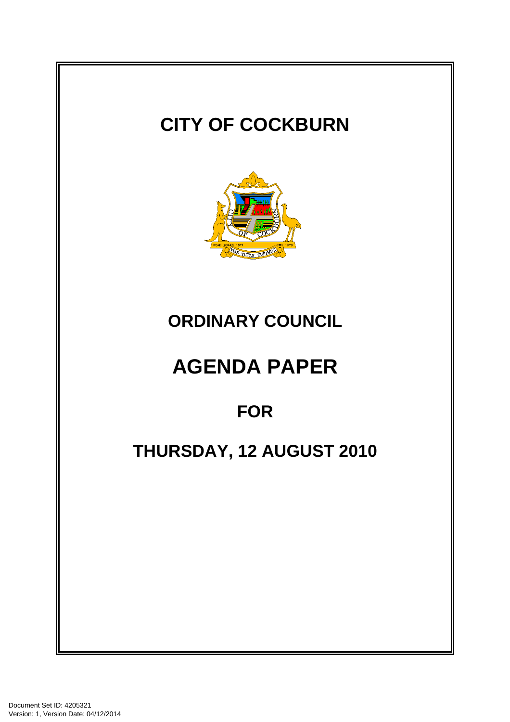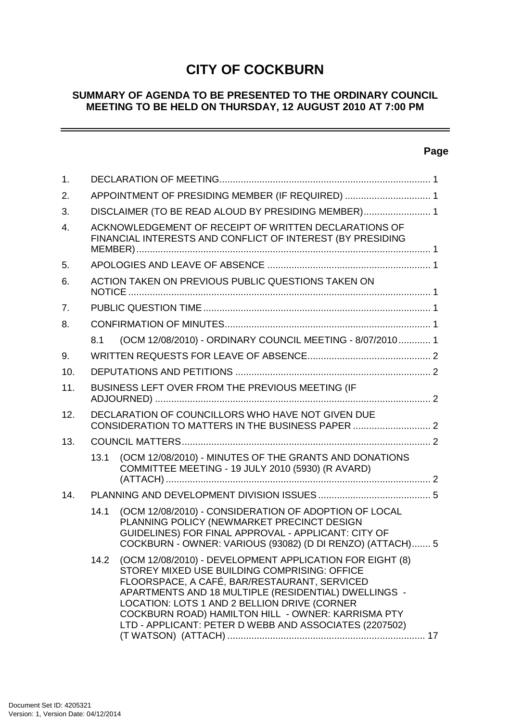# **CITY OF COCKBURN**

## **SUMMARY OF AGENDA TO BE PRESENTED TO THE ORDINARY COUNCIL MEETING TO BE HELD ON THURSDAY, 12 AUGUST 2010 AT 7:00 PM**

## **Page**

 $\sim$ 

| $\mathbf{1}$ . |                                                                                                                     |                                                                                                                                                                                                                                                                                                                                                                                  |  |  |
|----------------|---------------------------------------------------------------------------------------------------------------------|----------------------------------------------------------------------------------------------------------------------------------------------------------------------------------------------------------------------------------------------------------------------------------------------------------------------------------------------------------------------------------|--|--|
| 2.             | APPOINTMENT OF PRESIDING MEMBER (IF REQUIRED)  1                                                                    |                                                                                                                                                                                                                                                                                                                                                                                  |  |  |
| 3.             | DISCLAIMER (TO BE READ ALOUD BY PRESIDING MEMBER) 1                                                                 |                                                                                                                                                                                                                                                                                                                                                                                  |  |  |
| 4.             | ACKNOWLEDGEMENT OF RECEIPT OF WRITTEN DECLARATIONS OF<br>FINANCIAL INTERESTS AND CONFLICT OF INTEREST (BY PRESIDING |                                                                                                                                                                                                                                                                                                                                                                                  |  |  |
| 5.             |                                                                                                                     |                                                                                                                                                                                                                                                                                                                                                                                  |  |  |
| 6.             | ACTION TAKEN ON PREVIOUS PUBLIC QUESTIONS TAKEN ON                                                                  |                                                                                                                                                                                                                                                                                                                                                                                  |  |  |
| 7.             |                                                                                                                     |                                                                                                                                                                                                                                                                                                                                                                                  |  |  |
| 8.             |                                                                                                                     |                                                                                                                                                                                                                                                                                                                                                                                  |  |  |
|                | 8.1                                                                                                                 | (OCM 12/08/2010) - ORDINARY COUNCIL MEETING - 8/07/2010 1                                                                                                                                                                                                                                                                                                                        |  |  |
| 9.             |                                                                                                                     |                                                                                                                                                                                                                                                                                                                                                                                  |  |  |
| 10.            |                                                                                                                     |                                                                                                                                                                                                                                                                                                                                                                                  |  |  |
| 11.            | BUSINESS LEFT OVER FROM THE PREVIOUS MEETING (IF                                                                    |                                                                                                                                                                                                                                                                                                                                                                                  |  |  |
| 12.            | DECLARATION OF COUNCILLORS WHO HAVE NOT GIVEN DUE<br>CONSIDERATION TO MATTERS IN THE BUSINESS PAPER  2              |                                                                                                                                                                                                                                                                                                                                                                                  |  |  |
| 13.            |                                                                                                                     |                                                                                                                                                                                                                                                                                                                                                                                  |  |  |
|                | 13.1                                                                                                                | (OCM 12/08/2010) - MINUTES OF THE GRANTS AND DONATIONS<br>COMMITTEE MEETING - 19 JULY 2010 (5930) (R AVARD)                                                                                                                                                                                                                                                                      |  |  |
| 14.            |                                                                                                                     |                                                                                                                                                                                                                                                                                                                                                                                  |  |  |
|                | 14.1                                                                                                                | (OCM 12/08/2010) - CONSIDERATION OF ADOPTION OF LOCAL<br>PLANNING POLICY (NEWMARKET PRECINCT DESIGN<br>GUIDELINES) FOR FINAL APPROVAL - APPLICANT: CITY OF<br>COCKBURN - OWNER: VARIOUS (93082) (D DI RENZO) (ATTACH) 5                                                                                                                                                          |  |  |
|                | 14.2                                                                                                                | (OCM 12/08/2010) - DEVELOPMENT APPLICATION FOR EIGHT (8)<br>STOREY MIXED USE BUILDING COMPRISING: OFFICE<br>FLOORSPACE, A CAFÉ, BAR/RESTAURANT, SERVICED<br>APARTMENTS AND 18 MULTIPLE (RESIDENTIAL) DWELLINGS -<br>LOCATION: LOTS 1 AND 2 BELLION DRIVE (CORNER<br>COCKBURN ROAD) HAMILTON HILL - OWNER: KARRISMA PTY<br>LTD - APPLICANT: PETER D WEBB AND ASSOCIATES (2207502) |  |  |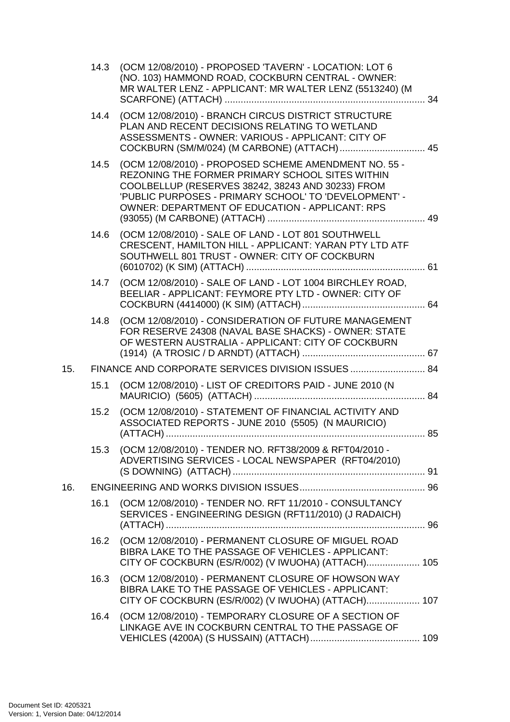|     | 14.3 | (OCM 12/08/2010) - PROPOSED 'TAVERN' - LOCATION: LOT 6<br>(NO. 103) HAMMOND ROAD, COCKBURN CENTRAL - OWNER:<br>MR WALTER LENZ - APPLICANT: MR WALTER LENZ (5513240) (M                                                                                                    |  |  |  |
|-----|------|---------------------------------------------------------------------------------------------------------------------------------------------------------------------------------------------------------------------------------------------------------------------------|--|--|--|
|     |      | 14.4 (OCM 12/08/2010) - BRANCH CIRCUS DISTRICT STRUCTURE<br>PLAN AND RECENT DECISIONS RELATING TO WETLAND<br>ASSESSMENTS - OWNER: VARIOUS - APPLICANT: CITY OF<br>COCKBURN (SM/M/024) (M CARBONE) (ATTACH) 45                                                             |  |  |  |
|     | 14.5 | (OCM 12/08/2010) - PROPOSED SCHEME AMENDMENT NO. 55 -<br>REZONING THE FORMER PRIMARY SCHOOL SITES WITHIN<br>COOLBELLUP (RESERVES 38242, 38243 AND 30233) FROM<br>'PUBLIC PURPOSES - PRIMARY SCHOOL' TO 'DEVELOPMENT' -<br>OWNER: DEPARTMENT OF EDUCATION - APPLICANT: RPS |  |  |  |
|     | 14.6 | (OCM 12/08/2010) - SALE OF LAND - LOT 801 SOUTHWELL<br>CRESCENT, HAMILTON HILL - APPLICANT: YARAN PTY LTD ATF<br>SOUTHWELL 801 TRUST - OWNER: CITY OF COCKBURN                                                                                                            |  |  |  |
|     | 14.7 | (OCM 12/08/2010) - SALE OF LAND - LOT 1004 BIRCHLEY ROAD,<br>BEELIAR - APPLICANT: FEYMORE PTY LTD - OWNER: CITY OF                                                                                                                                                        |  |  |  |
|     | 14.8 | (OCM 12/08/2010) - CONSIDERATION OF FUTURE MANAGEMENT<br>FOR RESERVE 24308 (NAVAL BASE SHACKS) - OWNER: STATE<br>OF WESTERN AUSTRALIA - APPLICANT: CITY OF COCKBURN                                                                                                       |  |  |  |
| 15. |      | FINANCE AND CORPORATE SERVICES DIVISION ISSUES  84                                                                                                                                                                                                                        |  |  |  |
|     | 15.1 | (OCM 12/08/2010) - LIST OF CREDITORS PAID - JUNE 2010 (N                                                                                                                                                                                                                  |  |  |  |
|     | 15.2 | (OCM 12/08/2010) - STATEMENT OF FINANCIAL ACTIVITY AND<br>ASSOCIATED REPORTS - JUNE 2010 (5505) (N MAURICIO)                                                                                                                                                              |  |  |  |
|     | 15.3 | (OCM 12/08/2010) - TENDER NO. RFT38/2009 & RFT04/2010 -<br>ADVERTISING SERVICES - LOCAL NEWSPAPER (RFT04/2010)                                                                                                                                                            |  |  |  |
| 16. |      |                                                                                                                                                                                                                                                                           |  |  |  |
|     | 16.1 | (OCM 12/08/2010) - TENDER NO. RFT 11/2010 - CONSULTANCY<br>SERVICES - ENGINEERING DESIGN (RFT11/2010) (J RADAICH)                                                                                                                                                         |  |  |  |
|     | 16.2 | (OCM 12/08/2010) - PERMANENT CLOSURE OF MIGUEL ROAD<br>BIBRA LAKE TO THE PASSAGE OF VEHICLES - APPLICANT:<br>CITY OF COCKBURN (ES/R/002) (V IWUOHA) (ATTACH) 105                                                                                                          |  |  |  |
|     | 16.3 | (OCM 12/08/2010) - PERMANENT CLOSURE OF HOWSON WAY<br>BIBRA LAKE TO THE PASSAGE OF VEHICLES - APPLICANT:<br>CITY OF COCKBURN (ES/R/002) (V IWUOHA) (ATTACH) 107                                                                                                           |  |  |  |
|     | 16.4 | (OCM 12/08/2010) - TEMPORARY CLOSURE OF A SECTION OF<br>LINKAGE AVE IN COCKBURN CENTRAL TO THE PASSAGE OF                                                                                                                                                                 |  |  |  |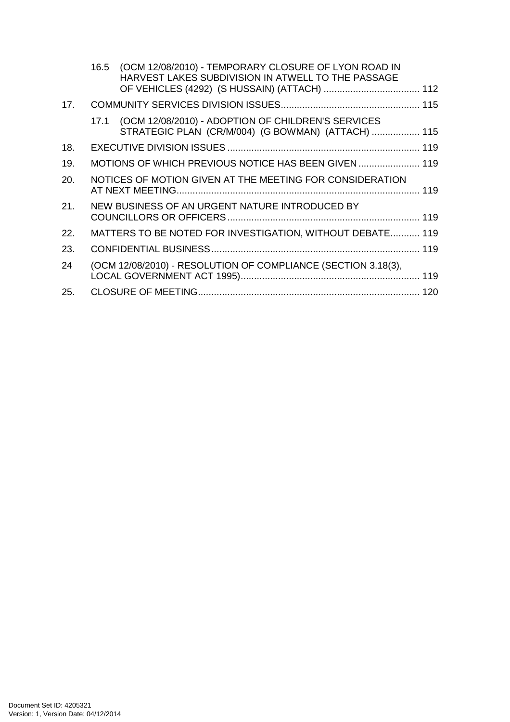|     | 16.5 | (OCM 12/08/2010) - TEMPORARY CLOSURE OF LYON ROAD IN<br>HARVEST LAKES SUBDIVISION IN ATWELL TO THE PASSAGE    |  |
|-----|------|---------------------------------------------------------------------------------------------------------------|--|
| 17. |      |                                                                                                               |  |
|     |      | 17.1 (OCM 12/08/2010) - ADOPTION OF CHILDREN'S SERVICES<br>STRATEGIC PLAN (CR/M/004) (G BOWMAN) (ATTACH)  115 |  |
| 18. |      |                                                                                                               |  |
| 19. |      | MOTIONS OF WHICH PREVIOUS NOTICE HAS BEEN GIVEN  119                                                          |  |
| 20. |      | NOTICES OF MOTION GIVEN AT THE MEETING FOR CONSIDERATION                                                      |  |
| 21. |      | NEW BUSINESS OF AN URGENT NATURE INTRODUCED BY                                                                |  |
| 22. |      | MATTERS TO BE NOTED FOR INVESTIGATION, WITHOUT DEBATE 119                                                     |  |
| 23. |      |                                                                                                               |  |
| 24  |      | (OCM 12/08/2010) - RESOLUTION OF COMPLIANCE (SECTION 3.18(3),                                                 |  |
| 25. |      |                                                                                                               |  |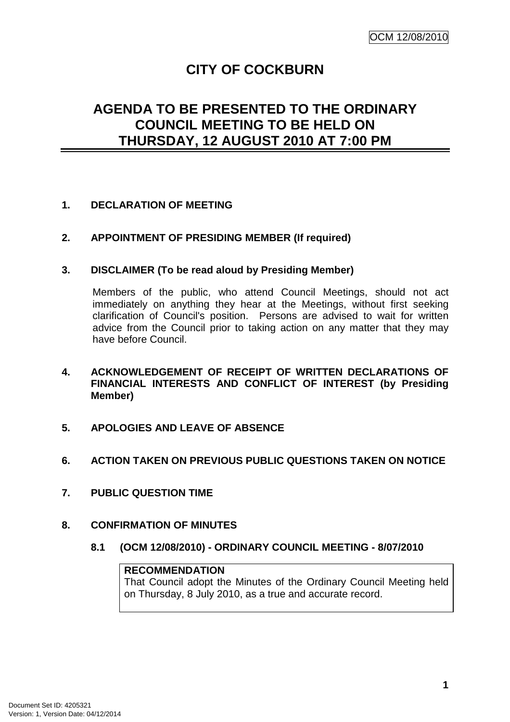# **CITY OF COCKBURN**

# **AGENDA TO BE PRESENTED TO THE ORDINARY COUNCIL MEETING TO BE HELD ON THURSDAY, 12 AUGUST 2010 AT 7:00 PM**

## **1. DECLARATION OF MEETING**

## **2. APPOINTMENT OF PRESIDING MEMBER (If required)**

## **3. DISCLAIMER (To be read aloud by Presiding Member)**

Members of the public, who attend Council Meetings, should not act immediately on anything they hear at the Meetings, without first seeking clarification of Council's position. Persons are advised to wait for written advice from the Council prior to taking action on any matter that they may have before Council.

- **4. ACKNOWLEDGEMENT OF RECEIPT OF WRITTEN DECLARATIONS OF FINANCIAL INTERESTS AND CONFLICT OF INTEREST (by Presiding Member)**
- **5. APOLOGIES AND LEAVE OF ABSENCE**
- **6. ACTION TAKEN ON PREVIOUS PUBLIC QUESTIONS TAKEN ON NOTICE**
- **7. PUBLIC QUESTION TIME**
- **8. CONFIRMATION OF MINUTES** 
	- **8.1 (OCM 12/08/2010) ORDINARY COUNCIL MEETING 8/07/2010**

**RECOMMENDATION** That Council adopt the Minutes of the Ordinary Council Meeting held on Thursday, 8 July 2010, as a true and accurate record.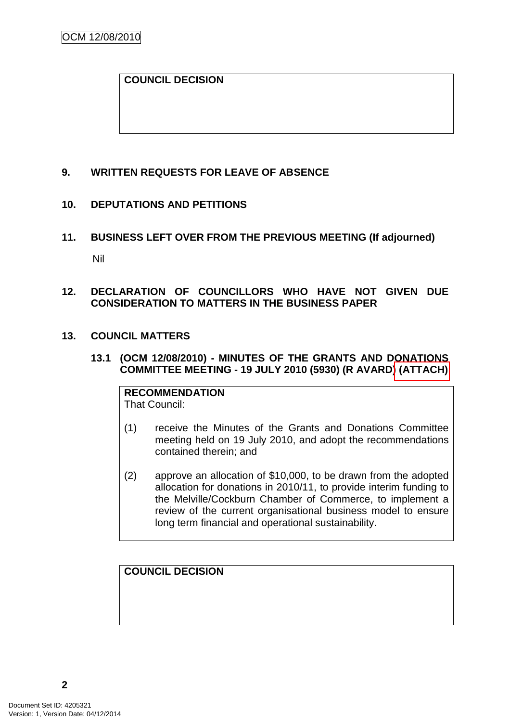## **COUNCIL DECISION**

## **9. WRITTEN REQUESTS FOR LEAVE OF ABSENCE**

## **10. DEPUTATIONS AND PETITIONS**

## **11. BUSINESS LEFT OVER FROM THE PREVIOUS MEETING (If adjourned)**

Nil

## **12. DECLARATION OF COUNCILLORS WHO HAVE NOT GIVEN DUE CONSIDERATION TO MATTERS IN THE BUSINESS PAPER**

## **13. COUNCIL MATTERS**

## **13.1 (OCM 12/08/2010) - MINUTES OF THE GRANTS AND DONATIONS COMMITTEE MEETING - 19 JULY 2010 (5930) (R AVARD) (ATTACH)**

**RECOMMENDATION** That Council:

- (1) receive the Minutes of the Grants and Donations Committee meeting held on 19 July 2010, and adopt the recommendations contained therein; and
- (2) approve an allocation of \$10,000, to be drawn from the adopted allocation for donations in 2010/11, to provide interim funding to the Melville/Cockburn Chamber of Commerce, to implement a review of the current organisational business model to ensure long term financial and operational sustainability.

## **COUNCIL DECISION**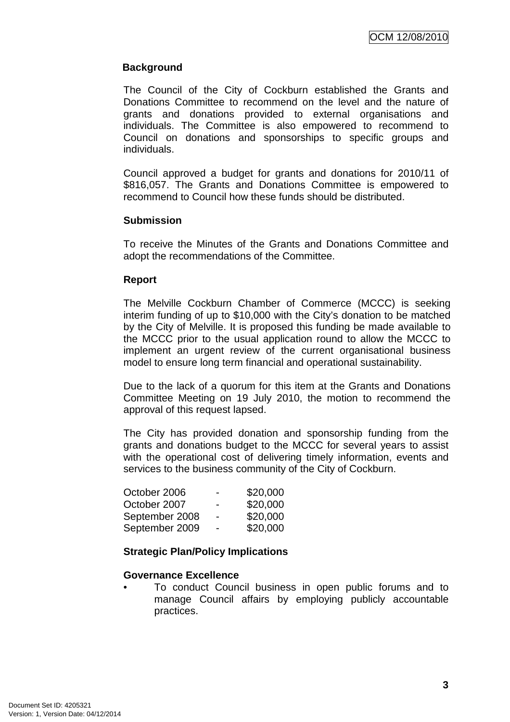## **Background**

The Council of the City of Cockburn established the Grants and Donations Committee to recommend on the level and the nature of grants and donations provided to external organisations and individuals. The Committee is also empowered to recommend to Council on donations and sponsorships to specific groups and individuals.

Council approved a budget for grants and donations for 2010/11 of \$816,057. The Grants and Donations Committee is empowered to recommend to Council how these funds should be distributed.

## **Submission**

To receive the Minutes of the Grants and Donations Committee and adopt the recommendations of the Committee.

## **Report**

The Melville Cockburn Chamber of Commerce (MCCC) is seeking interim funding of up to \$10,000 with the City's donation to be matched by the City of Melville. It is proposed this funding be made available to the MCCC prior to the usual application round to allow the MCCC to implement an urgent review of the current organisational business model to ensure long term financial and operational sustainability.

Due to the lack of a quorum for this item at the Grants and Donations Committee Meeting on 19 July 2010, the motion to recommend the approval of this request lapsed.

The City has provided donation and sponsorship funding from the grants and donations budget to the MCCC for several years to assist with the operational cost of delivering timely information, events and services to the business community of the City of Cockburn.

| October 2006   | -                        | \$20,000 |
|----------------|--------------------------|----------|
| October 2007   | -                        | \$20,000 |
| September 2008 | $\overline{\phantom{0}}$ | \$20,000 |
| September 2009 | -                        | \$20,000 |

## **Strategic Plan/Policy Implications**

## **Governance Excellence**

• To conduct Council business in open public forums and to manage Council affairs by employing publicly accountable practices.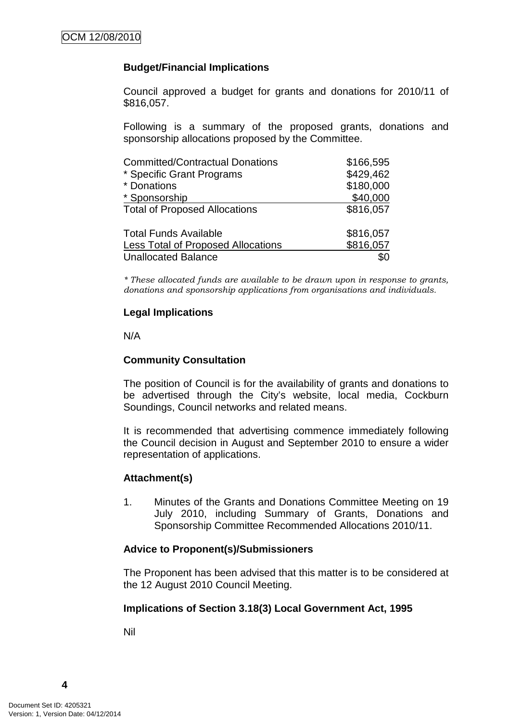## **Budget/Financial Implications**

Council approved a budget for grants and donations for 2010/11 of \$816,057.

Following is a summary of the proposed grants, donations and sponsorship allocations proposed by the Committee.

| <b>Committed/Contractual Donations</b>    | \$166,595 |
|-------------------------------------------|-----------|
| * Specific Grant Programs                 | \$429,462 |
| * Donations                               | \$180,000 |
| * Sponsorship                             | \$40,000  |
| <b>Total of Proposed Allocations</b>      | \$816,057 |
| <b>Total Funds Available</b>              | \$816,057 |
| <b>Less Total of Proposed Allocations</b> | \$816,057 |
| <b>Unallocated Balance</b>                |           |

\* These allocated funds are available to be drawn upon in response to grants, donations and sponsorship applications from organisations and individuals.

#### **Legal Implications**

N/A

## **Community Consultation**

The position of Council is for the availability of grants and donations to be advertised through the City's website, local media, Cockburn Soundings, Council networks and related means.

It is recommended that advertising commence immediately following the Council decision in August and September 2010 to ensure a wider representation of applications.

## **Attachment(s)**

1. Minutes of the Grants and Donations Committee Meeting on 19 July 2010, including Summary of Grants, Donations and Sponsorship Committee Recommended Allocations 2010/11.

## **Advice to Proponent(s)/Submissioners**

The Proponent has been advised that this matter is to be considered at the 12 August 2010 Council Meeting.

## **Implications of Section 3.18(3) Local Government Act, 1995**

Nil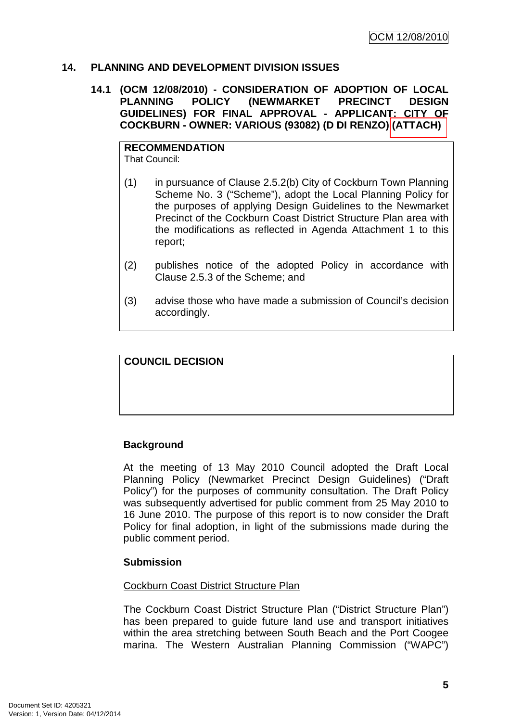## **14. PLANNING AND DEVELOPMENT DIVISION ISSUES**

### **14.1 (OCM 12/08/2010) - CONSIDERATION OF ADOPTION OF LOCAL PLANNING POLICY (NEWMARKET PRECINCT DESIGN GUIDELINES) FOR FINAL APPROVAL - APPLICANT: CITY OF COCKBURN - OWNER: VARIOUS (93082) (D DI RENZO) (ATTACH)**

#### **RECOMMENDATION** That Council:

- (1) in pursuance of Clause 2.5.2(b) City of Cockburn Town Planning Scheme No. 3 ("Scheme"), adopt the Local Planning Policy for the purposes of applying Design Guidelines to the Newmarket Precinct of the Cockburn Coast District Structure Plan area with the modifications as reflected in Agenda Attachment 1 to this report;
- (2) publishes notice of the adopted Policy in accordance with Clause 2.5.3 of the Scheme; and
- (3) advise those who have made a submission of Council's decision accordingly.

## **COUNCIL DECISION**

## **Background**

At the meeting of 13 May 2010 Council adopted the Draft Local Planning Policy (Newmarket Precinct Design Guidelines) ("Draft Policy") for the purposes of community consultation. The Draft Policy was subsequently advertised for public comment from 25 May 2010 to 16 June 2010. The purpose of this report is to now consider the Draft Policy for final adoption, in light of the submissions made during the public comment period.

## **Submission**

## Cockburn Coast District Structure Plan

The Cockburn Coast District Structure Plan ("District Structure Plan") has been prepared to guide future land use and transport initiatives within the area stretching between South Beach and the Port Coogee marina. The Western Australian Planning Commission ("WAPC")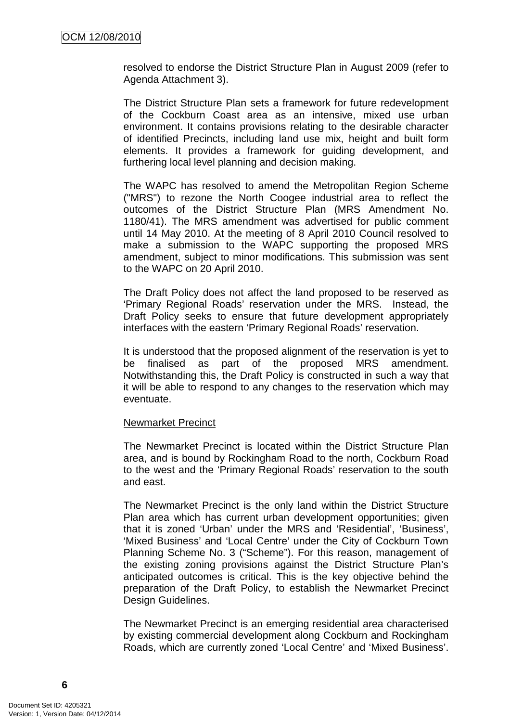resolved to endorse the District Structure Plan in August 2009 (refer to Agenda Attachment 3).

The District Structure Plan sets a framework for future redevelopment of the Cockburn Coast area as an intensive, mixed use urban environment. It contains provisions relating to the desirable character of identified Precincts, including land use mix, height and built form elements. It provides a framework for guiding development, and furthering local level planning and decision making.

The WAPC has resolved to amend the Metropolitan Region Scheme ("MRS") to rezone the North Coogee industrial area to reflect the outcomes of the District Structure Plan (MRS Amendment No. 1180/41). The MRS amendment was advertised for public comment until 14 May 2010. At the meeting of 8 April 2010 Council resolved to make a submission to the WAPC supporting the proposed MRS amendment, subject to minor modifications. This submission was sent to the WAPC on 20 April 2010.

The Draft Policy does not affect the land proposed to be reserved as 'Primary Regional Roads' reservation under the MRS. Instead, the Draft Policy seeks to ensure that future development appropriately interfaces with the eastern 'Primary Regional Roads' reservation.

It is understood that the proposed alignment of the reservation is yet to be finalised as part of the proposed MRS amendment. Notwithstanding this, the Draft Policy is constructed in such a way that it will be able to respond to any changes to the reservation which may eventuate.

#### Newmarket Precinct

The Newmarket Precinct is located within the District Structure Plan area, and is bound by Rockingham Road to the north, Cockburn Road to the west and the 'Primary Regional Roads' reservation to the south and east.

The Newmarket Precinct is the only land within the District Structure Plan area which has current urban development opportunities; given that it is zoned 'Urban' under the MRS and 'Residential', 'Business', 'Mixed Business' and 'Local Centre' under the City of Cockburn Town Planning Scheme No. 3 ("Scheme"). For this reason, management of the existing zoning provisions against the District Structure Plan's anticipated outcomes is critical. This is the key objective behind the preparation of the Draft Policy, to establish the Newmarket Precinct Design Guidelines.

The Newmarket Precinct is an emerging residential area characterised by existing commercial development along Cockburn and Rockingham Roads, which are currently zoned 'Local Centre' and 'Mixed Business'.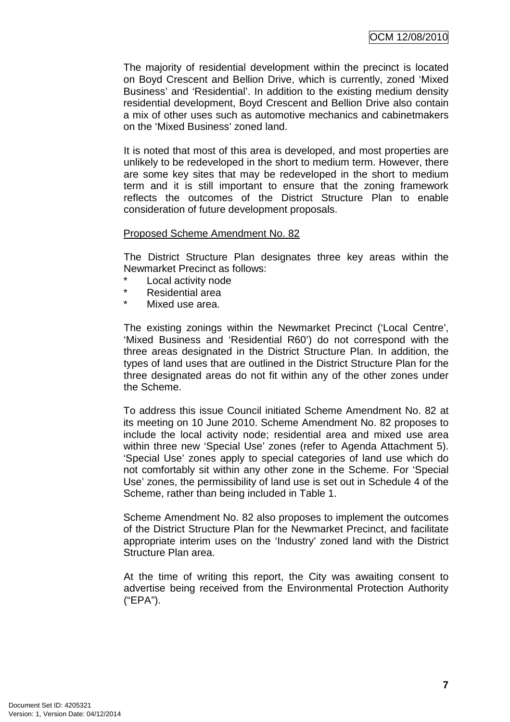The majority of residential development within the precinct is located on Boyd Crescent and Bellion Drive, which is currently, zoned 'Mixed Business' and 'Residential'. In addition to the existing medium density residential development, Boyd Crescent and Bellion Drive also contain a mix of other uses such as automotive mechanics and cabinetmakers on the 'Mixed Business' zoned land.

It is noted that most of this area is developed, and most properties are unlikely to be redeveloped in the short to medium term. However, there are some key sites that may be redeveloped in the short to medium term and it is still important to ensure that the zoning framework reflects the outcomes of the District Structure Plan to enable consideration of future development proposals.

## Proposed Scheme Amendment No. 82

The District Structure Plan designates three key areas within the Newmarket Precinct as follows:

- Local activity node
- Residential area
- \* Mixed use area.

The existing zonings within the Newmarket Precinct ('Local Centre', 'Mixed Business and 'Residential R60') do not correspond with the three areas designated in the District Structure Plan. In addition, the types of land uses that are outlined in the District Structure Plan for the three designated areas do not fit within any of the other zones under the Scheme.

To address this issue Council initiated Scheme Amendment No. 82 at its meeting on 10 June 2010. Scheme Amendment No. 82 proposes to include the local activity node; residential area and mixed use area within three new 'Special Use' zones (refer to Agenda Attachment 5). 'Special Use' zones apply to special categories of land use which do not comfortably sit within any other zone in the Scheme. For 'Special Use' zones, the permissibility of land use is set out in Schedule 4 of the Scheme, rather than being included in Table 1.

Scheme Amendment No. 82 also proposes to implement the outcomes of the District Structure Plan for the Newmarket Precinct, and facilitate appropriate interim uses on the 'Industry' zoned land with the District Structure Plan area.

At the time of writing this report, the City was awaiting consent to advertise being received from the Environmental Protection Authority ("EPA").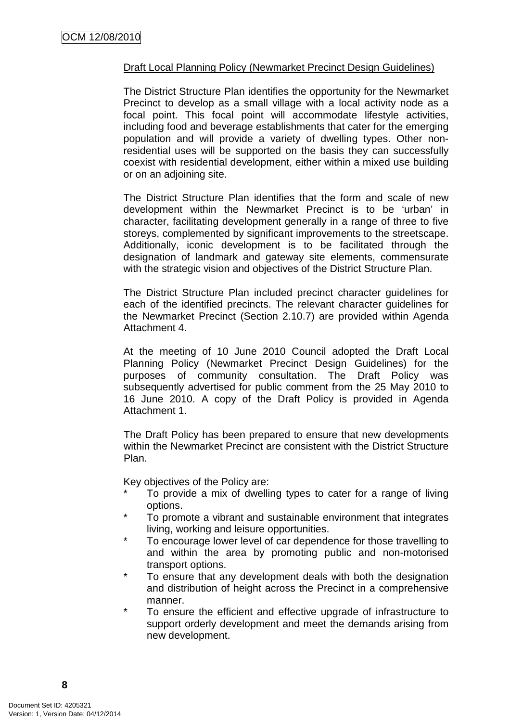## Draft Local Planning Policy (Newmarket Precinct Design Guidelines)

The District Structure Plan identifies the opportunity for the Newmarket Precinct to develop as a small village with a local activity node as a focal point. This focal point will accommodate lifestyle activities, including food and beverage establishments that cater for the emerging population and will provide a variety of dwelling types. Other nonresidential uses will be supported on the basis they can successfully coexist with residential development, either within a mixed use building or on an adjoining site.

The District Structure Plan identifies that the form and scale of new development within the Newmarket Precinct is to be 'urban' in character, facilitating development generally in a range of three to five storeys, complemented by significant improvements to the streetscape. Additionally, iconic development is to be facilitated through the designation of landmark and gateway site elements, commensurate with the strategic vision and objectives of the District Structure Plan.

The District Structure Plan included precinct character guidelines for each of the identified precincts. The relevant character guidelines for the Newmarket Precinct (Section 2.10.7) are provided within Agenda Attachment 4.

At the meeting of 10 June 2010 Council adopted the Draft Local Planning Policy (Newmarket Precinct Design Guidelines) for the purposes of community consultation. The Draft Policy was subsequently advertised for public comment from the 25 May 2010 to 16 June 2010. A copy of the Draft Policy is provided in Agenda Attachment 1.

The Draft Policy has been prepared to ensure that new developments within the Newmarket Precinct are consistent with the District Structure Plan.

Key objectives of the Policy are:

- To provide a mix of dwelling types to cater for a range of living options.
- To promote a vibrant and sustainable environment that integrates living, working and leisure opportunities.
- To encourage lower level of car dependence for those travelling to and within the area by promoting public and non-motorised transport options.
- \* To ensure that any development deals with both the designation and distribution of height across the Precinct in a comprehensive manner.
- To ensure the efficient and effective upgrade of infrastructure to support orderly development and meet the demands arising from new development.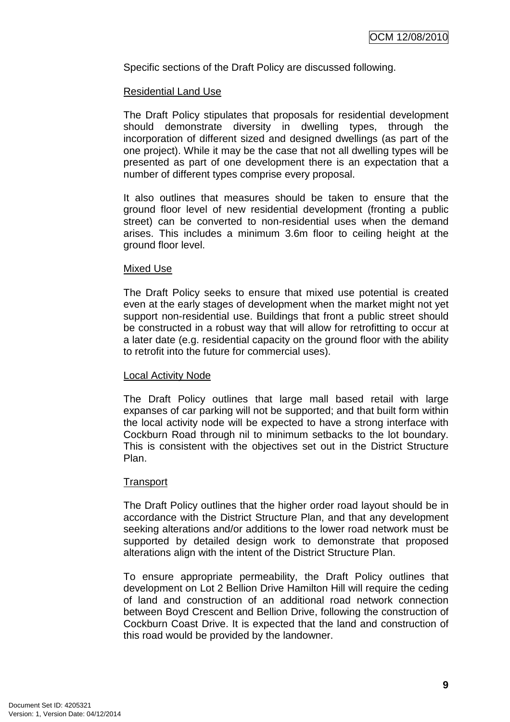Specific sections of the Draft Policy are discussed following.

#### Residential Land Use

The Draft Policy stipulates that proposals for residential development should demonstrate diversity in dwelling types, through the incorporation of different sized and designed dwellings (as part of the one project). While it may be the case that not all dwelling types will be presented as part of one development there is an expectation that a number of different types comprise every proposal.

It also outlines that measures should be taken to ensure that the ground floor level of new residential development (fronting a public street) can be converted to non-residential uses when the demand arises. This includes a minimum 3.6m floor to ceiling height at the ground floor level.

#### Mixed Use

The Draft Policy seeks to ensure that mixed use potential is created even at the early stages of development when the market might not yet support non-residential use. Buildings that front a public street should be constructed in a robust way that will allow for retrofitting to occur at a later date (e.g. residential capacity on the ground floor with the ability to retrofit into the future for commercial uses).

## Local Activity Node

The Draft Policy outlines that large mall based retail with large expanses of car parking will not be supported; and that built form within the local activity node will be expected to have a strong interface with Cockburn Road through nil to minimum setbacks to the lot boundary. This is consistent with the objectives set out in the District Structure Plan.

#### **Transport**

The Draft Policy outlines that the higher order road layout should be in accordance with the District Structure Plan, and that any development seeking alterations and/or additions to the lower road network must be supported by detailed design work to demonstrate that proposed alterations align with the intent of the District Structure Plan.

To ensure appropriate permeability, the Draft Policy outlines that development on Lot 2 Bellion Drive Hamilton Hill will require the ceding of land and construction of an additional road network connection between Boyd Crescent and Bellion Drive, following the construction of Cockburn Coast Drive. It is expected that the land and construction of this road would be provided by the landowner.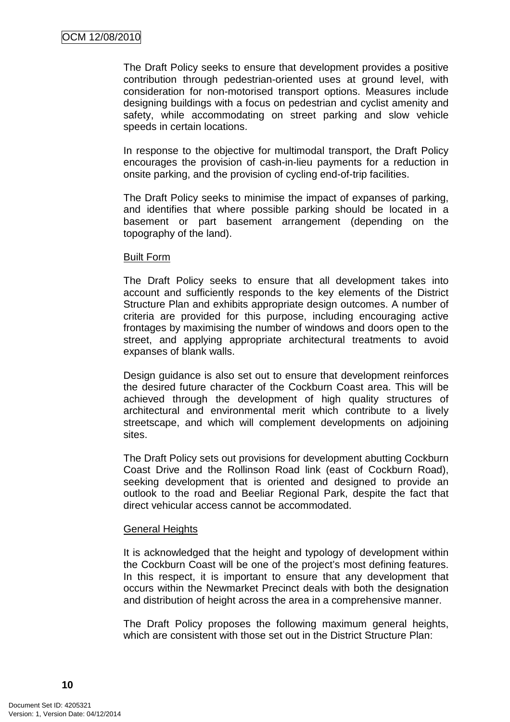The Draft Policy seeks to ensure that development provides a positive contribution through pedestrian-oriented uses at ground level, with consideration for non-motorised transport options. Measures include designing buildings with a focus on pedestrian and cyclist amenity and safety, while accommodating on street parking and slow vehicle speeds in certain locations.

In response to the objective for multimodal transport, the Draft Policy encourages the provision of cash-in-lieu payments for a reduction in onsite parking, and the provision of cycling end-of-trip facilities.

The Draft Policy seeks to minimise the impact of expanses of parking, and identifies that where possible parking should be located in a basement or part basement arrangement (depending on the topography of the land).

#### Built Form

The Draft Policy seeks to ensure that all development takes into account and sufficiently responds to the key elements of the District Structure Plan and exhibits appropriate design outcomes. A number of criteria are provided for this purpose, including encouraging active frontages by maximising the number of windows and doors open to the street, and applying appropriate architectural treatments to avoid expanses of blank walls.

Design guidance is also set out to ensure that development reinforces the desired future character of the Cockburn Coast area. This will be achieved through the development of high quality structures of architectural and environmental merit which contribute to a lively streetscape, and which will complement developments on adjoining sites.

The Draft Policy sets out provisions for development abutting Cockburn Coast Drive and the Rollinson Road link (east of Cockburn Road), seeking development that is oriented and designed to provide an outlook to the road and Beeliar Regional Park, despite the fact that direct vehicular access cannot be accommodated.

## General Heights

It is acknowledged that the height and typology of development within the Cockburn Coast will be one of the project's most defining features. In this respect, it is important to ensure that any development that occurs within the Newmarket Precinct deals with both the designation and distribution of height across the area in a comprehensive manner.

The Draft Policy proposes the following maximum general heights, which are consistent with those set out in the District Structure Plan: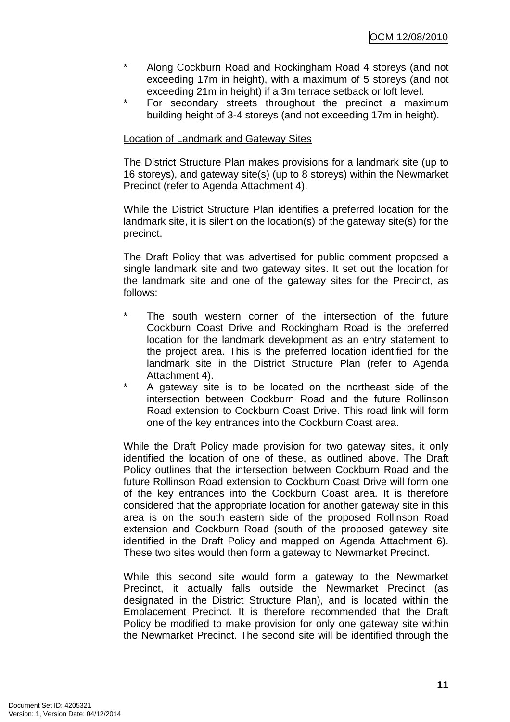- \* Along Cockburn Road and Rockingham Road 4 storeys (and not exceeding 17m in height), with a maximum of 5 storeys (and not exceeding 21m in height) if a 3m terrace setback or loft level.
- For secondary streets throughout the precinct a maximum building height of 3-4 storeys (and not exceeding 17m in height).

## Location of Landmark and Gateway Sites

The District Structure Plan makes provisions for a landmark site (up to 16 storeys), and gateway site(s) (up to 8 storeys) within the Newmarket Precinct (refer to Agenda Attachment 4).

While the District Structure Plan identifies a preferred location for the landmark site, it is silent on the location(s) of the gateway site(s) for the precinct.

The Draft Policy that was advertised for public comment proposed a single landmark site and two gateway sites. It set out the location for the landmark site and one of the gateway sites for the Precinct, as follows:

- \* The south western corner of the intersection of the future Cockburn Coast Drive and Rockingham Road is the preferred location for the landmark development as an entry statement to the project area. This is the preferred location identified for the landmark site in the District Structure Plan (refer to Agenda Attachment 4).
- A gateway site is to be located on the northeast side of the intersection between Cockburn Road and the future Rollinson Road extension to Cockburn Coast Drive. This road link will form one of the key entrances into the Cockburn Coast area.

While the Draft Policy made provision for two gateway sites, it only identified the location of one of these, as outlined above. The Draft Policy outlines that the intersection between Cockburn Road and the future Rollinson Road extension to Cockburn Coast Drive will form one of the key entrances into the Cockburn Coast area. It is therefore considered that the appropriate location for another gateway site in this area is on the south eastern side of the proposed Rollinson Road extension and Cockburn Road (south of the proposed gateway site identified in the Draft Policy and mapped on Agenda Attachment 6). These two sites would then form a gateway to Newmarket Precinct.

While this second site would form a gateway to the Newmarket Precinct, it actually falls outside the Newmarket Precinct (as designated in the District Structure Plan), and is located within the Emplacement Precinct. It is therefore recommended that the Draft Policy be modified to make provision for only one gateway site within the Newmarket Precinct. The second site will be identified through the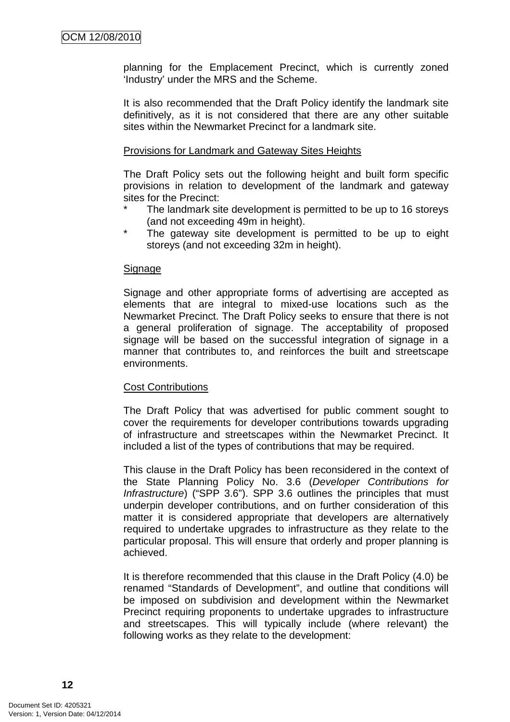planning for the Emplacement Precinct, which is currently zoned 'Industry' under the MRS and the Scheme.

It is also recommended that the Draft Policy identify the landmark site definitively, as it is not considered that there are any other suitable sites within the Newmarket Precinct for a landmark site.

#### Provisions for Landmark and Gateway Sites Heights

The Draft Policy sets out the following height and built form specific provisions in relation to development of the landmark and gateway sites for the Precinct:

- The landmark site development is permitted to be up to 16 storeys (and not exceeding 49m in height).
- The gateway site development is permitted to be up to eight storeys (and not exceeding 32m in height).

## Signage

Signage and other appropriate forms of advertising are accepted as elements that are integral to mixed-use locations such as the Newmarket Precinct. The Draft Policy seeks to ensure that there is not a general proliferation of signage. The acceptability of proposed signage will be based on the successful integration of signage in a manner that contributes to, and reinforces the built and streetscape environments.

## Cost Contributions

The Draft Policy that was advertised for public comment sought to cover the requirements for developer contributions towards upgrading of infrastructure and streetscapes within the Newmarket Precinct. It included a list of the types of contributions that may be required.

This clause in the Draft Policy has been reconsidered in the context of the State Planning Policy No. 3.6 (Developer Contributions for Infrastructure) ("SPP 3.6"). SPP 3.6 outlines the principles that must underpin developer contributions, and on further consideration of this matter it is considered appropriate that developers are alternatively required to undertake upgrades to infrastructure as they relate to the particular proposal. This will ensure that orderly and proper planning is achieved.

It is therefore recommended that this clause in the Draft Policy (4.0) be renamed "Standards of Development", and outline that conditions will be imposed on subdivision and development within the Newmarket Precinct requiring proponents to undertake upgrades to infrastructure and streetscapes. This will typically include (where relevant) the following works as they relate to the development: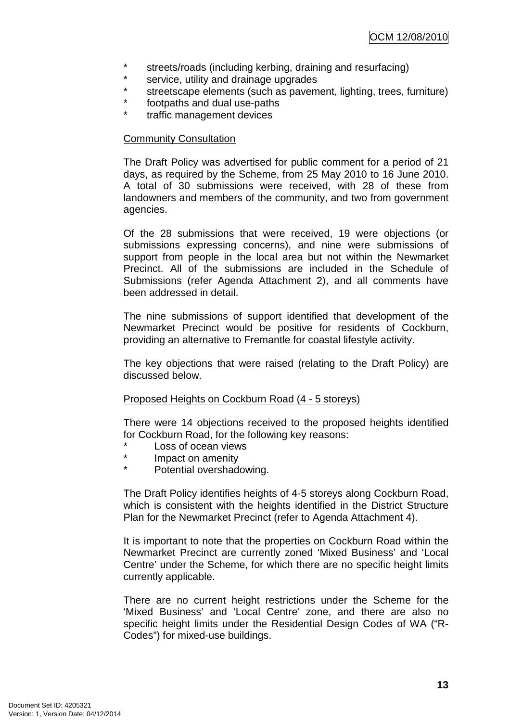- \* streets/roads (including kerbing, draining and resurfacing)
- \* service, utility and drainage upgrades
- streetscape elements (such as pavement, lighting, trees, furniture)
- \* footpaths and dual use-paths
- traffic management devices

## Community Consultation

The Draft Policy was advertised for public comment for a period of 21 days, as required by the Scheme, from 25 May 2010 to 16 June 2010. A total of 30 submissions were received, with 28 of these from landowners and members of the community, and two from government agencies.

Of the 28 submissions that were received, 19 were objections (or submissions expressing concerns), and nine were submissions of support from people in the local area but not within the Newmarket Precinct. All of the submissions are included in the Schedule of Submissions (refer Agenda Attachment 2), and all comments have been addressed in detail.

The nine submissions of support identified that development of the Newmarket Precinct would be positive for residents of Cockburn, providing an alternative to Fremantle for coastal lifestyle activity.

The key objections that were raised (relating to the Draft Policy) are discussed below.

## Proposed Heights on Cockburn Road (4 - 5 storeys)

There were 14 objections received to the proposed heights identified for Cockburn Road, for the following key reasons:

- Loss of ocean views
- Impact on amenity
- \* Potential overshadowing.

The Draft Policy identifies heights of 4-5 storeys along Cockburn Road, which is consistent with the heights identified in the District Structure Plan for the Newmarket Precinct (refer to Agenda Attachment 4).

It is important to note that the properties on Cockburn Road within the Newmarket Precinct are currently zoned 'Mixed Business' and 'Local Centre' under the Scheme, for which there are no specific height limits currently applicable.

There are no current height restrictions under the Scheme for the 'Mixed Business' and 'Local Centre' zone, and there are also no specific height limits under the Residential Design Codes of WA ("R-Codes") for mixed-use buildings.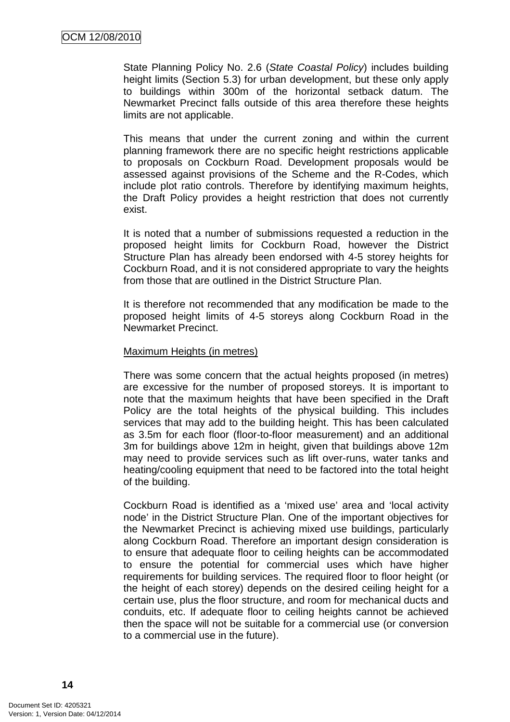State Planning Policy No. 2.6 (State Coastal Policy) includes building height limits (Section 5.3) for urban development, but these only apply to buildings within 300m of the horizontal setback datum. The Newmarket Precinct falls outside of this area therefore these heights limits are not applicable.

This means that under the current zoning and within the current planning framework there are no specific height restrictions applicable to proposals on Cockburn Road. Development proposals would be assessed against provisions of the Scheme and the R-Codes, which include plot ratio controls. Therefore by identifying maximum heights, the Draft Policy provides a height restriction that does not currently exist.

It is noted that a number of submissions requested a reduction in the proposed height limits for Cockburn Road, however the District Structure Plan has already been endorsed with 4-5 storey heights for Cockburn Road, and it is not considered appropriate to vary the heights from those that are outlined in the District Structure Plan.

It is therefore not recommended that any modification be made to the proposed height limits of 4-5 storeys along Cockburn Road in the Newmarket Precinct.

#### Maximum Heights (in metres)

There was some concern that the actual heights proposed (in metres) are excessive for the number of proposed storeys. It is important to note that the maximum heights that have been specified in the Draft Policy are the total heights of the physical building. This includes services that may add to the building height. This has been calculated as 3.5m for each floor (floor-to-floor measurement) and an additional 3m for buildings above 12m in height, given that buildings above 12m may need to provide services such as lift over-runs, water tanks and heating/cooling equipment that need to be factored into the total height of the building.

Cockburn Road is identified as a 'mixed use' area and 'local activity node' in the District Structure Plan. One of the important objectives for the Newmarket Precinct is achieving mixed use buildings, particularly along Cockburn Road. Therefore an important design consideration is to ensure that adequate floor to ceiling heights can be accommodated to ensure the potential for commercial uses which have higher requirements for building services. The required floor to floor height (or the height of each storey) depends on the desired ceiling height for a certain use, plus the floor structure, and room for mechanical ducts and conduits, etc. If adequate floor to ceiling heights cannot be achieved then the space will not be suitable for a commercial use (or conversion to a commercial use in the future).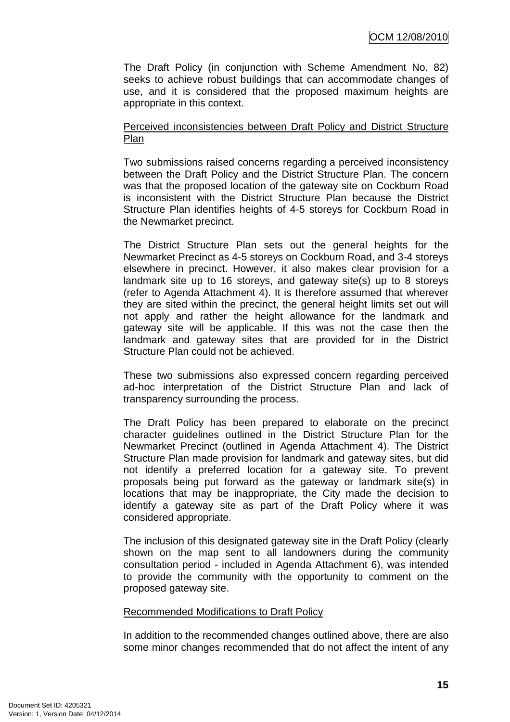The Draft Policy (in conjunction with Scheme Amendment No. 82) seeks to achieve robust buildings that can accommodate changes of use, and it is considered that the proposed maximum heights are appropriate in this context.

## Perceived inconsistencies between Draft Policy and District Structure Plan

Two submissions raised concerns regarding a perceived inconsistency between the Draft Policy and the District Structure Plan. The concern was that the proposed location of the gateway site on Cockburn Road is inconsistent with the District Structure Plan because the District Structure Plan identifies heights of 4-5 storeys for Cockburn Road in the Newmarket precinct.

The District Structure Plan sets out the general heights for the Newmarket Precinct as 4-5 storeys on Cockburn Road, and 3-4 storeys elsewhere in precinct. However, it also makes clear provision for a landmark site up to 16 storeys, and gateway site(s) up to 8 storeys (refer to Agenda Attachment 4). It is therefore assumed that wherever they are sited within the precinct, the general height limits set out will not apply and rather the height allowance for the landmark and gateway site will be applicable. If this was not the case then the landmark and gateway sites that are provided for in the District Structure Plan could not be achieved.

These two submissions also expressed concern regarding perceived ad-hoc interpretation of the District Structure Plan and lack of transparency surrounding the process.

The Draft Policy has been prepared to elaborate on the precinct character guidelines outlined in the District Structure Plan for the Newmarket Precinct (outlined in Agenda Attachment 4). The District Structure Plan made provision for landmark and gateway sites, but did not identify a preferred location for a gateway site. To prevent proposals being put forward as the gateway or landmark site(s) in locations that may be inappropriate, the City made the decision to identify a gateway site as part of the Draft Policy where it was considered appropriate.

The inclusion of this designated gateway site in the Draft Policy (clearly shown on the map sent to all landowners during the community consultation period - included in Agenda Attachment 6), was intended to provide the community with the opportunity to comment on the proposed gateway site.

## Recommended Modifications to Draft Policy

In addition to the recommended changes outlined above, there are also some minor changes recommended that do not affect the intent of any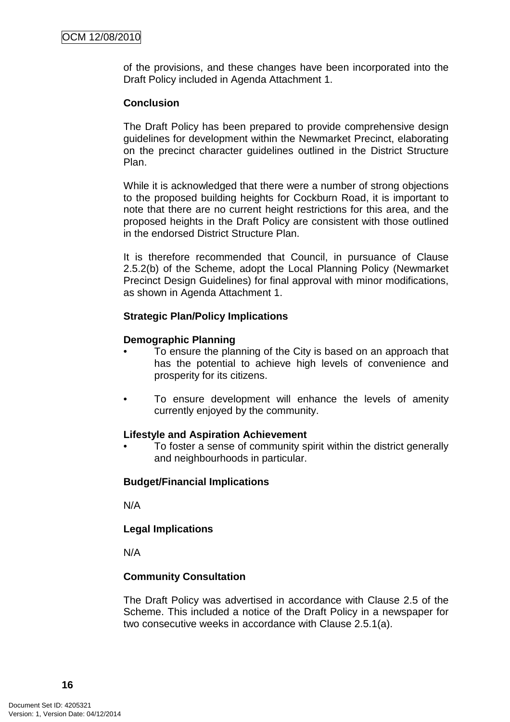of the provisions, and these changes have been incorporated into the Draft Policy included in Agenda Attachment 1.

#### **Conclusion**

The Draft Policy has been prepared to provide comprehensive design guidelines for development within the Newmarket Precinct, elaborating on the precinct character guidelines outlined in the District Structure Plan.

While it is acknowledged that there were a number of strong objections to the proposed building heights for Cockburn Road, it is important to note that there are no current height restrictions for this area, and the proposed heights in the Draft Policy are consistent with those outlined in the endorsed District Structure Plan.

It is therefore recommended that Council, in pursuance of Clause 2.5.2(b) of the Scheme, adopt the Local Planning Policy (Newmarket Precinct Design Guidelines) for final approval with minor modifications, as shown in Agenda Attachment 1.

#### **Strategic Plan/Policy Implications**

#### **Demographic Planning**

- To ensure the planning of the City is based on an approach that has the potential to achieve high levels of convenience and prosperity for its citizens.
- To ensure development will enhance the levels of amenity currently enjoyed by the community.

#### **Lifestyle and Aspiration Achievement**

• To foster a sense of community spirit within the district generally and neighbourhoods in particular.

## **Budget/Financial Implications**

N/A

## **Legal Implications**

N/A

## **Community Consultation**

The Draft Policy was advertised in accordance with Clause 2.5 of the Scheme. This included a notice of the Draft Policy in a newspaper for two consecutive weeks in accordance with Clause 2.5.1(a).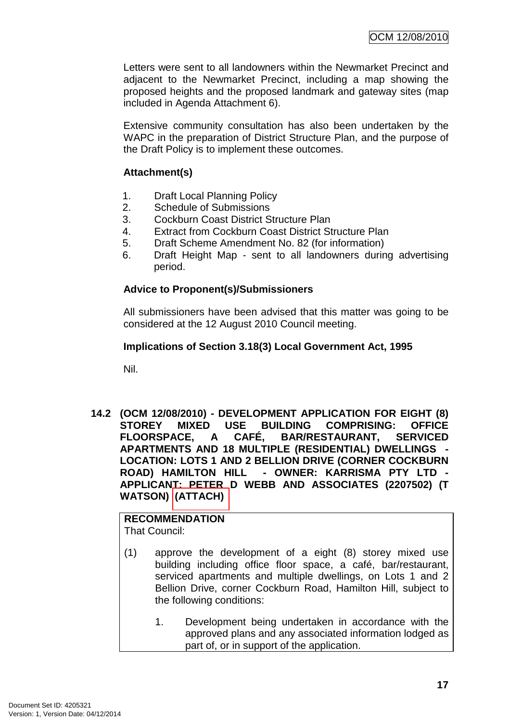Letters were sent to all landowners within the Newmarket Precinct and adjacent to the Newmarket Precinct, including a map showing the proposed heights and the proposed landmark and gateway sites (map included in Agenda Attachment 6).

Extensive community consultation has also been undertaken by the WAPC in the preparation of District Structure Plan, and the purpose of the Draft Policy is to implement these outcomes.

## **Attachment(s)**

- 1. Draft Local Planning Policy
- 2. Schedule of Submissions
- 3. Cockburn Coast District Structure Plan
- 4. Extract from Cockburn Coast District Structure Plan
- 5. Draft Scheme Amendment No. 82 (for information)
- 6. Draft Height Map sent to all landowners during advertising period.

## **Advice to Proponent(s)/Submissioners**

All submissioners have been advised that this matter was going to be considered at the 12 August 2010 Council meeting.

## **Implications of Section 3.18(3) Local Government Act, 1995**

Nil.

**14.2 (OCM 12/08/2010) - DEVELOPMENT APPLICATION FOR EIGHT (8) STOREY MIXED USE BUILDING COMPRISING: OFFICE FLOORSPACE, A CAFÉ, BAR/RESTAURANT, SERVICED APARTMENTS AND 18 MULTIPLE (RESIDENTIAL) DWELLINGS - LOCATION: LOTS 1 AND 2 BELLION DRIVE (CORNER COCKBURN ROAD) HAMILTON HILL - OWNER: KARRISMA PTY LTD - APPLICANT: PETER D WEBB AND ASSOCIATES (2207502) (T WATSON) (ATTACH)** 

# **RECOMMENDATION**

That Council:

- (1) approve the development of a eight (8) storey mixed use building including office floor space, a café, bar/restaurant, serviced apartments and multiple dwellings, on Lots 1 and 2 Bellion Drive, corner Cockburn Road, Hamilton Hill, subject to the following conditions:
	- 1. Development being undertaken in accordance with the approved plans and any associated information lodged as part of, or in support of the application.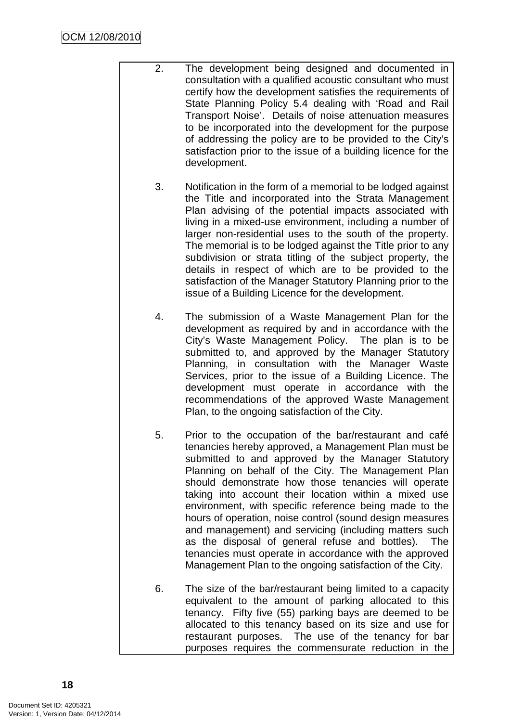- 2. The development being designed and documented in consultation with a qualified acoustic consultant who must certify how the development satisfies the requirements of State Planning Policy 5.4 dealing with 'Road and Rail Transport Noise'. Details of noise attenuation measures to be incorporated into the development for the purpose of addressing the policy are to be provided to the City's satisfaction prior to the issue of a building licence for the development.
	- 3. Notification in the form of a memorial to be lodged against the Title and incorporated into the Strata Management Plan advising of the potential impacts associated with living in a mixed-use environment, including a number of larger non-residential uses to the south of the property. The memorial is to be lodged against the Title prior to any subdivision or strata titling of the subject property, the details in respect of which are to be provided to the satisfaction of the Manager Statutory Planning prior to the issue of a Building Licence for the development.
	- 4. The submission of a Waste Management Plan for the development as required by and in accordance with the City's Waste Management Policy. The plan is to be submitted to, and approved by the Manager Statutory Planning, in consultation with the Manager Waste Services, prior to the issue of a Building Licence. The development must operate in accordance with the recommendations of the approved Waste Management Plan, to the ongoing satisfaction of the City.
	- 5. Prior to the occupation of the bar/restaurant and café tenancies hereby approved, a Management Plan must be submitted to and approved by the Manager Statutory Planning on behalf of the City. The Management Plan should demonstrate how those tenancies will operate taking into account their location within a mixed use environment, with specific reference being made to the hours of operation, noise control (sound design measures and management) and servicing (including matters such as the disposal of general refuse and bottles). The tenancies must operate in accordance with the approved Management Plan to the ongoing satisfaction of the City.
	- 6. The size of the bar/restaurant being limited to a capacity equivalent to the amount of parking allocated to this tenancy. Fifty five (55) parking bays are deemed to be allocated to this tenancy based on its size and use for restaurant purposes. The use of the tenancy for bar purposes requires the commensurate reduction in the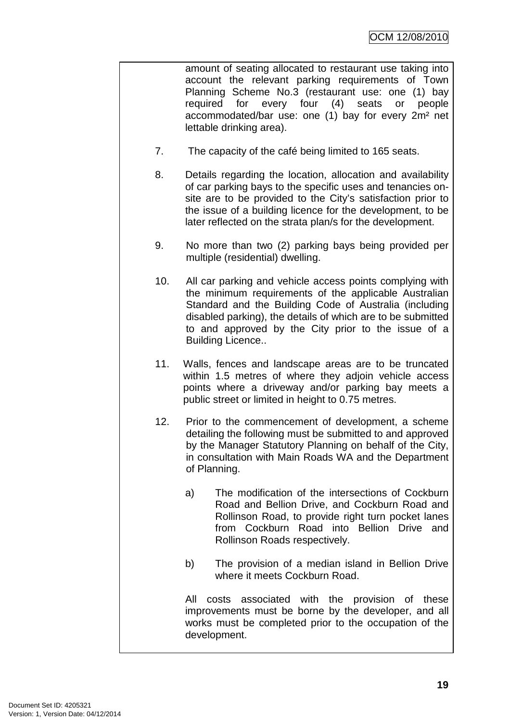amount of seating allocated to restaurant use taking into account the relevant parking requirements of Town Planning Scheme No.3 (restaurant use: one (1) bay required for every four (4) seats or people accommodated/bar use: one (1) bay for every 2m² net lettable drinking area).

- 7. The capacity of the café being limited to 165 seats.
- 8. Details regarding the location, allocation and availability of car parking bays to the specific uses and tenancies onsite are to be provided to the City's satisfaction prior to the issue of a building licence for the development, to be later reflected on the strata plan/s for the development.
- 9. No more than two (2) parking bays being provided per multiple (residential) dwelling.
- 10. All car parking and vehicle access points complying with the minimum requirements of the applicable Australian Standard and the Building Code of Australia (including disabled parking), the details of which are to be submitted to and approved by the City prior to the issue of a Building Licence..
- 11. Walls, fences and landscape areas are to be truncated within 1.5 metres of where they adjoin vehicle access points where a driveway and/or parking bay meets a public street or limited in height to 0.75 metres.
- 12. Prior to the commencement of development, a scheme detailing the following must be submitted to and approved by the Manager Statutory Planning on behalf of the City, in consultation with Main Roads WA and the Department of Planning.
	- a) The modification of the intersections of Cockburn Road and Bellion Drive, and Cockburn Road and Rollinson Road, to provide right turn pocket lanes from Cockburn Road into Bellion Drive and Rollinson Roads respectively.
	- b) The provision of a median island in Bellion Drive where it meets Cockburn Road.

All costs associated with the provision of these improvements must be borne by the developer, and all works must be completed prior to the occupation of the development.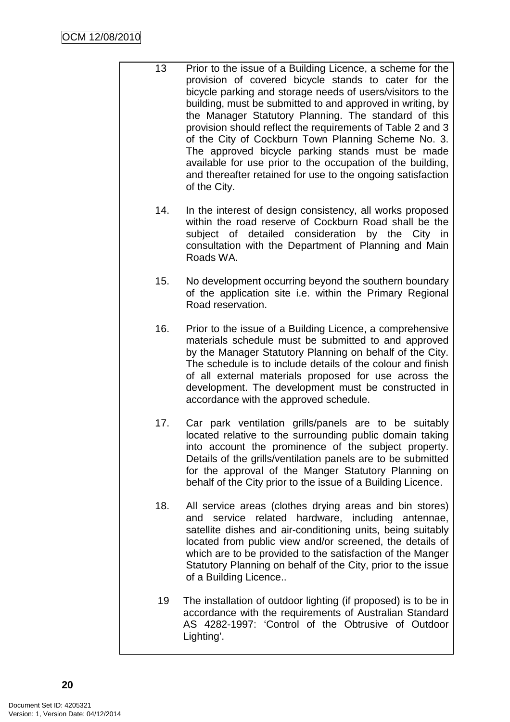- 13 Prior to the issue of a Building Licence, a scheme for the provision of covered bicycle stands to cater for the bicycle parking and storage needs of users/visitors to the building, must be submitted to and approved in writing, by the Manager Statutory Planning. The standard of this provision should reflect the requirements of Table 2 and 3 of the City of Cockburn Town Planning Scheme No. 3. The approved bicycle parking stands must be made available for use prior to the occupation of the building, and thereafter retained for use to the ongoing satisfaction of the City.
	- 14. In the interest of design consistency, all works proposed within the road reserve of Cockburn Road shall be the subject of detailed consideration by the City in consultation with the Department of Planning and Main Roads WA.
	- 15. No development occurring beyond the southern boundary of the application site i.e. within the Primary Regional Road reservation.
	- 16. Prior to the issue of a Building Licence, a comprehensive materials schedule must be submitted to and approved by the Manager Statutory Planning on behalf of the City. The schedule is to include details of the colour and finish of all external materials proposed for use across the development. The development must be constructed in accordance with the approved schedule.
	- 17. Car park ventilation grills/panels are to be suitably located relative to the surrounding public domain taking into account the prominence of the subject property. Details of the grills/ventilation panels are to be submitted for the approval of the Manger Statutory Planning on behalf of the City prior to the issue of a Building Licence.
	- 18. All service areas (clothes drying areas and bin stores) and service related hardware, including antennae, satellite dishes and air-conditioning units, being suitably located from public view and/or screened, the details of which are to be provided to the satisfaction of the Manger Statutory Planning on behalf of the City, prior to the issue of a Building Licence..
	- 19 The installation of outdoor lighting (if proposed) is to be in accordance with the requirements of Australian Standard AS 4282-1997: 'Control of the Obtrusive of Outdoor Lighting'.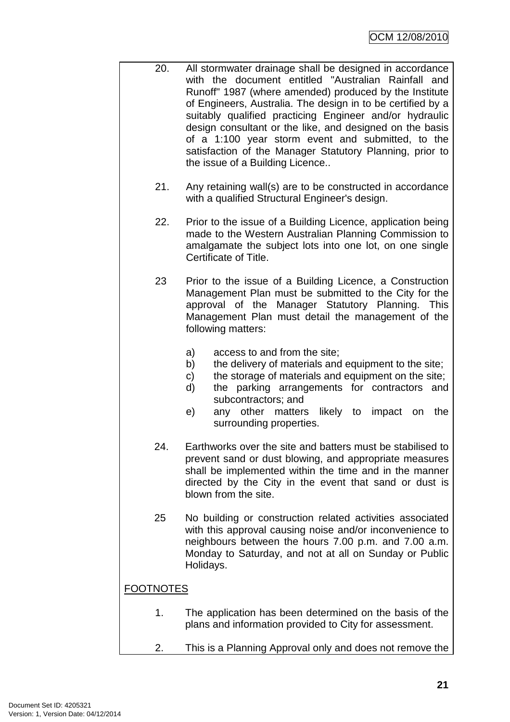- 20. All stormwater drainage shall be designed in accordance with the document entitled "Australian Rainfall and Runoff" 1987 (where amended) produced by the Institute of Engineers, Australia. The design in to be certified by a suitably qualified practicing Engineer and/or hydraulic design consultant or the like, and designed on the basis of a 1:100 year storm event and submitted, to the satisfaction of the Manager Statutory Planning, prior to the issue of a Building Licence..
	- 21. Any retaining wall(s) are to be constructed in accordance with a qualified Structural Engineer's design.
	- 22. Prior to the issue of a Building Licence, application being made to the Western Australian Planning Commission to amalgamate the subject lots into one lot, on one single Certificate of Title.
	- 23 Prior to the issue of a Building Licence, a Construction Management Plan must be submitted to the City for the approval of the Manager Statutory Planning. This Management Plan must detail the management of the following matters:
		- a) access to and from the site;
		- b) the delivery of materials and equipment to the site;
		- c) the storage of materials and equipment on the site;
		- d) the parking arrangements for contractors and subcontractors; and
		- e) any other matters likely to impact on the surrounding properties.
	- 24. Earthworks over the site and batters must be stabilised to prevent sand or dust blowing, and appropriate measures shall be implemented within the time and in the manner directed by the City in the event that sand or dust is blown from the site.
	- 25 No building or construction related activities associated with this approval causing noise and/or inconvenience to neighbours between the hours 7.00 p.m. and 7.00 a.m. Monday to Saturday, and not at all on Sunday or Public Holidays.

## FOOTNOTES

- 1. The application has been determined on the basis of the plans and information provided to City for assessment.
- 2. This is a Planning Approval only and does not remove the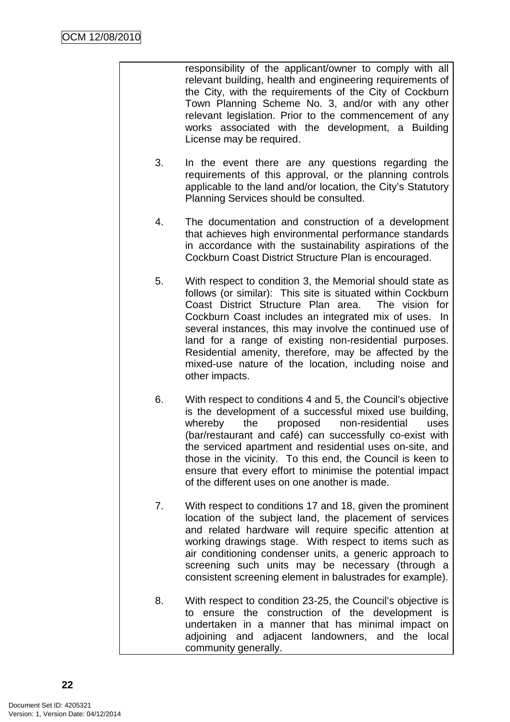responsibility of the applicant/owner to comply with all relevant building, health and engineering requirements of the City, with the requirements of the City of Cockburn Town Planning Scheme No. 3, and/or with any other relevant legislation. Prior to the commencement of any works associated with the development, a Building License may be required.

- 3. In the event there are any questions regarding the requirements of this approval, or the planning controls applicable to the land and/or location, the City's Statutory Planning Services should be consulted.
- 4. The documentation and construction of a development that achieves high environmental performance standards in accordance with the sustainability aspirations of the Cockburn Coast District Structure Plan is encouraged.
- 5. With respect to condition 3, the Memorial should state as follows (or similar): This site is situated within Cockburn Coast District Structure Plan area. The vision for Cockburn Coast includes an integrated mix of uses. In several instances, this may involve the continued use of land for a range of existing non-residential purposes. Residential amenity, therefore, may be affected by the mixed-use nature of the location, including noise and other impacts.
- 6. With respect to conditions 4 and 5, the Council's objective is the development of a successful mixed use building, whereby the proposed non-residential uses (bar/restaurant and café) can successfully co-exist with the serviced apartment and residential uses on-site, and those in the vicinity. To this end, the Council is keen to ensure that every effort to minimise the potential impact of the different uses on one another is made.
- 7. With respect to conditions 17 and 18, given the prominent location of the subject land, the placement of services and related hardware will require specific attention at working drawings stage. With respect to items such as air conditioning condenser units, a generic approach to screening such units may be necessary (through a consistent screening element in balustrades for example).
- 8. With respect to condition 23-25, the Council's objective is to ensure the construction of the development is undertaken in a manner that has minimal impact on adjoining and adjacent landowners, and the local community generally.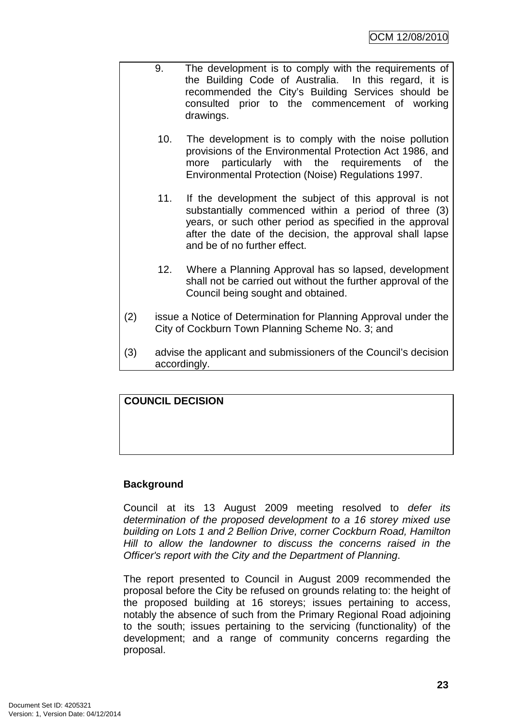- 9. The development is to comply with the requirements of the Building Code of Australia. In this regard, it is recommended the City's Building Services should be consulted prior to the commencement of working drawings.
	- 10. The development is to comply with the noise pollution provisions of the Environmental Protection Act 1986, and more particularly with the requirements of the Environmental Protection (Noise) Regulations 1997.
	- 11. If the development the subject of this approval is not substantially commenced within a period of three (3) years, or such other period as specified in the approval after the date of the decision, the approval shall lapse and be of no further effect.
	- 12. Where a Planning Approval has so lapsed, development shall not be carried out without the further approval of the Council being sought and obtained.
- (2) issue a Notice of Determination for Planning Approval under the City of Cockburn Town Planning Scheme No. 3; and
- (3) advise the applicant and submissioners of the Council's decision accordingly.

## **COUNCIL DECISION**

## **Background**

Council at its 13 August 2009 meeting resolved to defer its determination of the proposed development to a 16 storey mixed use building on Lots 1 and 2 Bellion Drive, corner Cockburn Road, Hamilton Hill to allow the landowner to discuss the concerns raised in the Officer's report with the City and the Department of Planning.

The report presented to Council in August 2009 recommended the proposal before the City be refused on grounds relating to: the height of the proposed building at 16 storeys; issues pertaining to access, notably the absence of such from the Primary Regional Road adjoining to the south; issues pertaining to the servicing (functionality) of the development; and a range of community concerns regarding the proposal.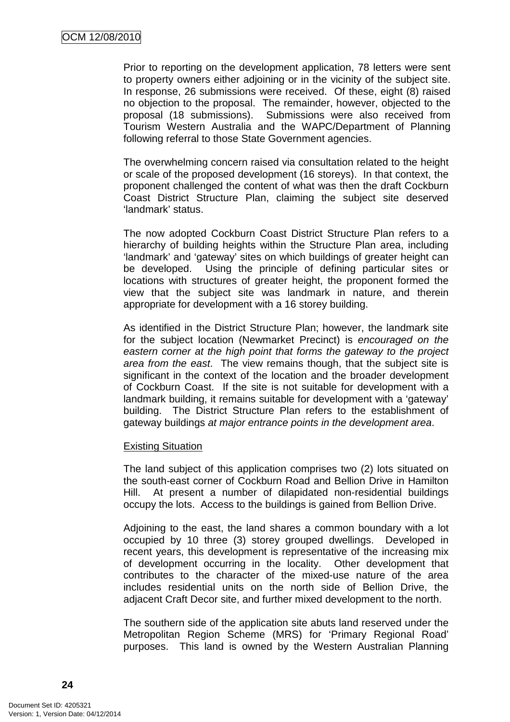Prior to reporting on the development application, 78 letters were sent to property owners either adjoining or in the vicinity of the subject site. In response, 26 submissions were received. Of these, eight (8) raised no objection to the proposal. The remainder, however, objected to the proposal (18 submissions). Submissions were also received from Tourism Western Australia and the WAPC/Department of Planning following referral to those State Government agencies.

The overwhelming concern raised via consultation related to the height or scale of the proposed development (16 storeys). In that context, the proponent challenged the content of what was then the draft Cockburn Coast District Structure Plan, claiming the subject site deserved 'landmark' status.

The now adopted Cockburn Coast District Structure Plan refers to a hierarchy of building heights within the Structure Plan area, including 'landmark' and 'gateway' sites on which buildings of greater height can be developed. Using the principle of defining particular sites or locations with structures of greater height, the proponent formed the view that the subject site was landmark in nature, and therein appropriate for development with a 16 storey building.

As identified in the District Structure Plan; however, the landmark site for the subject location (Newmarket Precinct) is encouraged on the eastern corner at the high point that forms the gateway to the project area from the east. The view remains though, that the subject site is significant in the context of the location and the broader development of Cockburn Coast. If the site is not suitable for development with a landmark building, it remains suitable for development with a 'gateway' building. The District Structure Plan refers to the establishment of gateway buildings at major entrance points in the development area.

## Existing Situation

The land subject of this application comprises two (2) lots situated on the south-east corner of Cockburn Road and Bellion Drive in Hamilton Hill. At present a number of dilapidated non-residential buildings occupy the lots. Access to the buildings is gained from Bellion Drive.

Adjoining to the east, the land shares a common boundary with a lot occupied by 10 three (3) storey grouped dwellings. Developed in recent years, this development is representative of the increasing mix of development occurring in the locality. Other development that contributes to the character of the mixed-use nature of the area includes residential units on the north side of Bellion Drive, the adjacent Craft Decor site, and further mixed development to the north.

The southern side of the application site abuts land reserved under the Metropolitan Region Scheme (MRS) for 'Primary Regional Road' purposes. This land is owned by the Western Australian Planning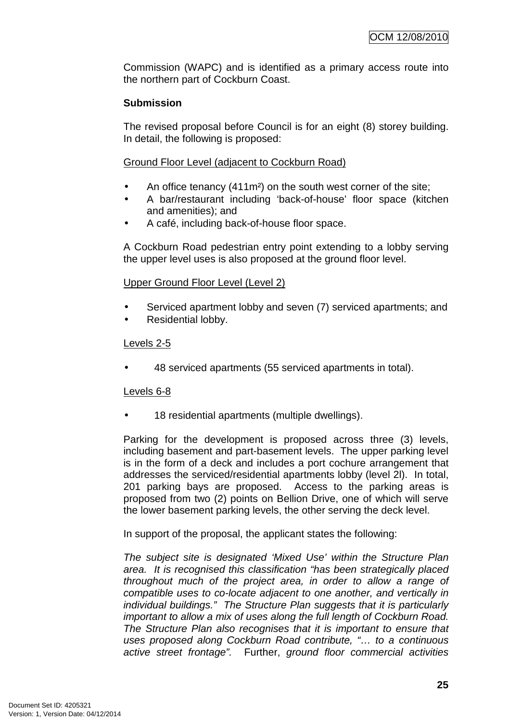Commission (WAPC) and is identified as a primary access route into the northern part of Cockburn Coast.

## **Submission**

The revised proposal before Council is for an eight (8) storey building. In detail, the following is proposed:

Ground Floor Level (adjacent to Cockburn Road)

- An office tenancy (411m<sup>2</sup>) on the south west corner of the site;
- A bar/restaurant including 'back-of-house' floor space (kitchen and amenities); and
- A café, including back-of-house floor space.

A Cockburn Road pedestrian entry point extending to a lobby serving the upper level uses is also proposed at the ground floor level.

## Upper Ground Floor Level (Level 2)

- Serviced apartment lobby and seven (7) serviced apartments; and
- Residential lobby.

## Levels 2-5

• 48 serviced apartments (55 serviced apartments in total).

## Levels 6-8

18 residential apartments (multiple dwellings).

Parking for the development is proposed across three (3) levels, including basement and part-basement levels. The upper parking level is in the form of a deck and includes a port cochure arrangement that addresses the serviced/residential apartments lobby (level 2l). In total, 201 parking bays are proposed. Access to the parking areas is proposed from two (2) points on Bellion Drive, one of which will serve the lower basement parking levels, the other serving the deck level.

In support of the proposal, the applicant states the following:

The subject site is designated 'Mixed Use' within the Structure Plan area. It is recognised this classification "has been strategically placed throughout much of the project area, in order to allow a range of compatible uses to co-locate adjacent to one another, and vertically in individual buildings." The Structure Plan suggests that it is particularly important to allow a mix of uses along the full length of Cockburn Road. The Structure Plan also recognises that it is important to ensure that uses proposed along Cockburn Road contribute, "… to a continuous active street frontage". Further, ground floor commercial activities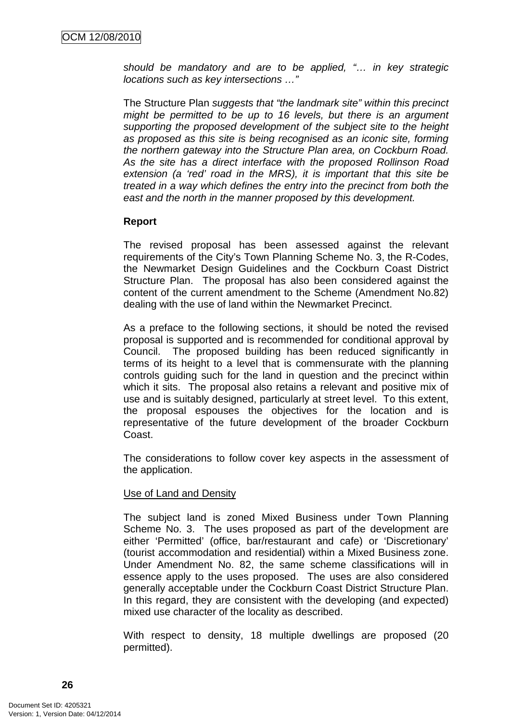should be mandatory and are to be applied, "… in key strategic locations such as key intersections …"

The Structure Plan suggests that "the landmark site" within this precinct might be permitted to be up to 16 levels, but there is an argument supporting the proposed development of the subject site to the height as proposed as this site is being recognised as an iconic site, forming the northern gateway into the Structure Plan area, on Cockburn Road. As the site has a direct interface with the proposed Rollinson Road extension (a 'red' road in the MRS), it is important that this site be treated in a way which defines the entry into the precinct from both the east and the north in the manner proposed by this development.

## **Report**

The revised proposal has been assessed against the relevant requirements of the City's Town Planning Scheme No. 3, the R-Codes, the Newmarket Design Guidelines and the Cockburn Coast District Structure Plan. The proposal has also been considered against the content of the current amendment to the Scheme (Amendment No.82) dealing with the use of land within the Newmarket Precinct.

As a preface to the following sections, it should be noted the revised proposal is supported and is recommended for conditional approval by Council. The proposed building has been reduced significantly in terms of its height to a level that is commensurate with the planning controls guiding such for the land in question and the precinct within which it sits. The proposal also retains a relevant and positive mix of use and is suitably designed, particularly at street level. To this extent, the proposal espouses the objectives for the location and is representative of the future development of the broader Cockburn Coast.

The considerations to follow cover key aspects in the assessment of the application.

## Use of Land and Density

The subject land is zoned Mixed Business under Town Planning Scheme No. 3. The uses proposed as part of the development are either 'Permitted' (office, bar/restaurant and cafe) or 'Discretionary' (tourist accommodation and residential) within a Mixed Business zone. Under Amendment No. 82, the same scheme classifications will in essence apply to the uses proposed. The uses are also considered generally acceptable under the Cockburn Coast District Structure Plan. In this regard, they are consistent with the developing (and expected) mixed use character of the locality as described.

With respect to density, 18 multiple dwellings are proposed (20 permitted).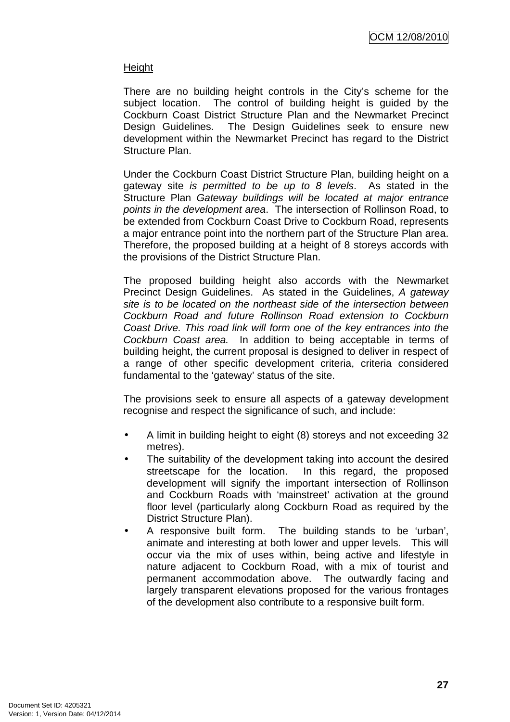## Height

There are no building height controls in the City's scheme for the subject location. The control of building height is guided by the Cockburn Coast District Structure Plan and the Newmarket Precinct Design Guidelines. The Design Guidelines seek to ensure new development within the Newmarket Precinct has regard to the District Structure Plan.

Under the Cockburn Coast District Structure Plan, building height on a gateway site is permitted to be up to 8 levels. As stated in the Structure Plan Gateway buildings will be located at major entrance points in the development area. The intersection of Rollinson Road, to be extended from Cockburn Coast Drive to Cockburn Road, represents a major entrance point into the northern part of the Structure Plan area. Therefore, the proposed building at a height of 8 storeys accords with the provisions of the District Structure Plan.

The proposed building height also accords with the Newmarket Precinct Design Guidelines. As stated in the Guidelines, A gateway site is to be located on the northeast side of the intersection between Cockburn Road and future Rollinson Road extension to Cockburn Coast Drive. This road link will form one of the key entrances into the Cockburn Coast area. In addition to being acceptable in terms of building height, the current proposal is designed to deliver in respect of a range of other specific development criteria, criteria considered fundamental to the 'gateway' status of the site.

The provisions seek to ensure all aspects of a gateway development recognise and respect the significance of such, and include:

- A limit in building height to eight (8) storeys and not exceeding 32 metres).
- The suitability of the development taking into account the desired streetscape for the location. In this regard, the proposed development will signify the important intersection of Rollinson and Cockburn Roads with 'mainstreet' activation at the ground floor level (particularly along Cockburn Road as required by the District Structure Plan).
- A responsive built form. The building stands to be 'urban', animate and interesting at both lower and upper levels. This will occur via the mix of uses within, being active and lifestyle in nature adjacent to Cockburn Road, with a mix of tourist and permanent accommodation above. The outwardly facing and largely transparent elevations proposed for the various frontages of the development also contribute to a responsive built form.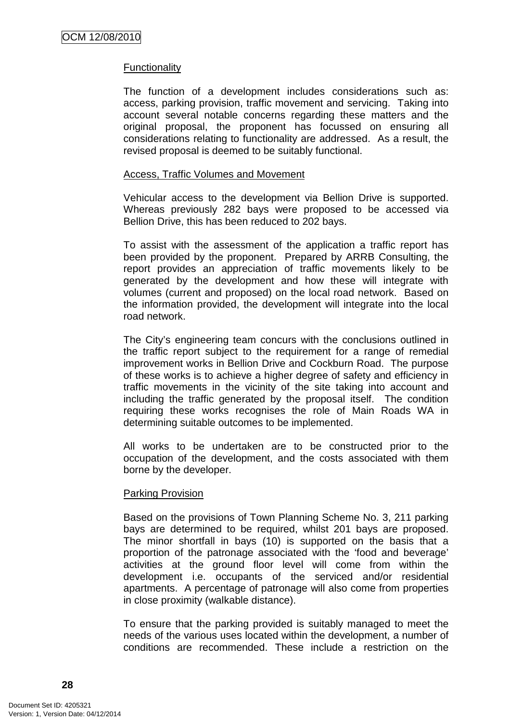## Functionality

The function of a development includes considerations such as: access, parking provision, traffic movement and servicing. Taking into account several notable concerns regarding these matters and the original proposal, the proponent has focussed on ensuring all considerations relating to functionality are addressed. As a result, the revised proposal is deemed to be suitably functional.

#### Access, Traffic Volumes and Movement

Vehicular access to the development via Bellion Drive is supported. Whereas previously 282 bays were proposed to be accessed via Bellion Drive, this has been reduced to 202 bays.

To assist with the assessment of the application a traffic report has been provided by the proponent. Prepared by ARRB Consulting, the report provides an appreciation of traffic movements likely to be generated by the development and how these will integrate with volumes (current and proposed) on the local road network. Based on the information provided, the development will integrate into the local road network.

The City's engineering team concurs with the conclusions outlined in the traffic report subject to the requirement for a range of remedial improvement works in Bellion Drive and Cockburn Road. The purpose of these works is to achieve a higher degree of safety and efficiency in traffic movements in the vicinity of the site taking into account and including the traffic generated by the proposal itself. The condition requiring these works recognises the role of Main Roads WA in determining suitable outcomes to be implemented.

All works to be undertaken are to be constructed prior to the occupation of the development, and the costs associated with them borne by the developer.

## Parking Provision

Based on the provisions of Town Planning Scheme No. 3, 211 parking bays are determined to be required, whilst 201 bays are proposed. The minor shortfall in bays (10) is supported on the basis that a proportion of the patronage associated with the 'food and beverage' activities at the ground floor level will come from within the development i.e. occupants of the serviced and/or residential apartments. A percentage of patronage will also come from properties in close proximity (walkable distance).

To ensure that the parking provided is suitably managed to meet the needs of the various uses located within the development, a number of conditions are recommended. These include a restriction on the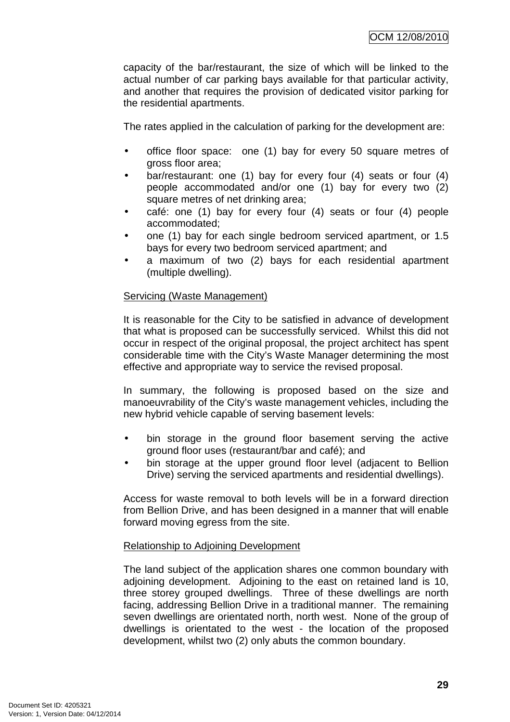capacity of the bar/restaurant, the size of which will be linked to the actual number of car parking bays available for that particular activity, and another that requires the provision of dedicated visitor parking for the residential apartments.

The rates applied in the calculation of parking for the development are:

- office floor space: one (1) bay for every 50 square metres of gross floor area;
- bar/restaurant: one (1) bay for every four (4) seats or four (4) people accommodated and/or one (1) bay for every two (2) square metres of net drinking area;
- café: one (1) bay for every four (4) seats or four (4) people accommodated;
- one (1) bay for each single bedroom serviced apartment, or 1.5 bays for every two bedroom serviced apartment; and
- a maximum of two (2) bays for each residential apartment (multiple dwelling).

## Servicing (Waste Management)

It is reasonable for the City to be satisfied in advance of development that what is proposed can be successfully serviced. Whilst this did not occur in respect of the original proposal, the project architect has spent considerable time with the City's Waste Manager determining the most effective and appropriate way to service the revised proposal.

In summary, the following is proposed based on the size and manoeuvrability of the City's waste management vehicles, including the new hybrid vehicle capable of serving basement levels:

- bin storage in the ground floor basement serving the active ground floor uses (restaurant/bar and café); and
- bin storage at the upper ground floor level (adjacent to Bellion Drive) serving the serviced apartments and residential dwellings).

Access for waste removal to both levels will be in a forward direction from Bellion Drive, and has been designed in a manner that will enable forward moving egress from the site.

## Relationship to Adjoining Development

The land subject of the application shares one common boundary with adjoining development. Adjoining to the east on retained land is 10, three storey grouped dwellings. Three of these dwellings are north facing, addressing Bellion Drive in a traditional manner. The remaining seven dwellings are orientated north, north west. None of the group of dwellings is orientated to the west - the location of the proposed development, whilst two (2) only abuts the common boundary.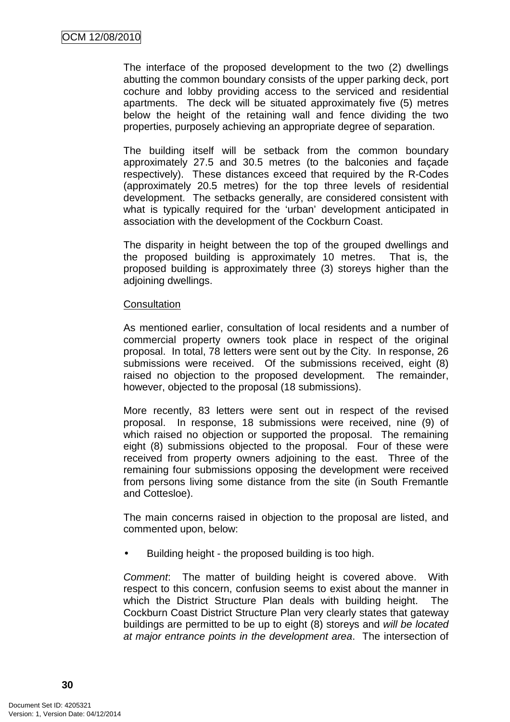The interface of the proposed development to the two (2) dwellings abutting the common boundary consists of the upper parking deck, port cochure and lobby providing access to the serviced and residential apartments. The deck will be situated approximately five (5) metres below the height of the retaining wall and fence dividing the two properties, purposely achieving an appropriate degree of separation.

The building itself will be setback from the common boundary approximately 27.5 and 30.5 metres (to the balconies and façade respectively). These distances exceed that required by the R-Codes (approximately 20.5 metres) for the top three levels of residential development. The setbacks generally, are considered consistent with what is typically required for the 'urban' development anticipated in association with the development of the Cockburn Coast.

The disparity in height between the top of the grouped dwellings and the proposed building is approximately 10 metres. That is, the proposed building is approximately three (3) storeys higher than the adjoining dwellings.

#### **Consultation**

As mentioned earlier, consultation of local residents and a number of commercial property owners took place in respect of the original proposal. In total, 78 letters were sent out by the City. In response, 26 submissions were received. Of the submissions received, eight (8) raised no objection to the proposed development. The remainder, however, objected to the proposal (18 submissions).

More recently, 83 letters were sent out in respect of the revised proposal. In response, 18 submissions were received, nine (9) of which raised no objection or supported the proposal. The remaining eight (8) submissions objected to the proposal. Four of these were received from property owners adjoining to the east. Three of the remaining four submissions opposing the development were received from persons living some distance from the site (in South Fremantle and Cottesloe).

The main concerns raised in objection to the proposal are listed, and commented upon, below:

• Building height - the proposed building is too high.

Comment: The matter of building height is covered above. With respect to this concern, confusion seems to exist about the manner in which the District Structure Plan deals with building height. The Cockburn Coast District Structure Plan very clearly states that gateway buildings are permitted to be up to eight (8) storeys and will be located at major entrance points in the development area. The intersection of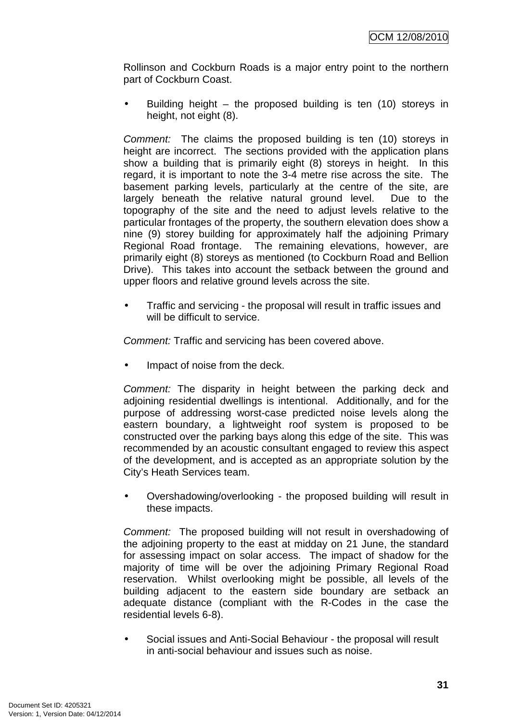Rollinson and Cockburn Roads is a major entry point to the northern part of Cockburn Coast.

Building height – the proposed building is ten  $(10)$  storeys in height, not eight (8).

Comment: The claims the proposed building is ten (10) storeys in height are incorrect. The sections provided with the application plans show a building that is primarily eight (8) storeys in height. In this regard, it is important to note the 3-4 metre rise across the site. The basement parking levels, particularly at the centre of the site, are largely beneath the relative natural ground level. Due to the topography of the site and the need to adjust levels relative to the particular frontages of the property, the southern elevation does show a nine (9) storey building for approximately half the adjoining Primary Regional Road frontage. The remaining elevations, however, are primarily eight (8) storeys as mentioned (to Cockburn Road and Bellion Drive). This takes into account the setback between the ground and upper floors and relative ground levels across the site.

• Traffic and servicing - the proposal will result in traffic issues and will be difficult to service.

Comment: Traffic and servicing has been covered above.

Impact of noise from the deck.

Comment: The disparity in height between the parking deck and adjoining residential dwellings is intentional. Additionally, and for the purpose of addressing worst-case predicted noise levels along the eastern boundary, a lightweight roof system is proposed to be constructed over the parking bays along this edge of the site. This was recommended by an acoustic consultant engaged to review this aspect of the development, and is accepted as an appropriate solution by the City's Heath Services team.

• Overshadowing/overlooking - the proposed building will result in these impacts.

Comment: The proposed building will not result in overshadowing of the adjoining property to the east at midday on 21 June, the standard for assessing impact on solar access. The impact of shadow for the majority of time will be over the adjoining Primary Regional Road reservation. Whilst overlooking might be possible, all levels of the building adjacent to the eastern side boundary are setback an adequate distance (compliant with the R-Codes in the case the residential levels 6-8).

• Social issues and Anti-Social Behaviour - the proposal will result in anti-social behaviour and issues such as noise.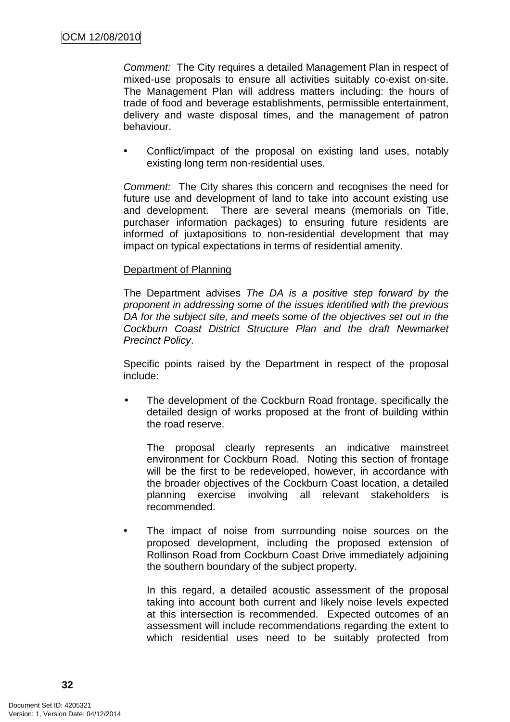Comment: The City requires a detailed Management Plan in respect of mixed-use proposals to ensure all activities suitably co-exist on-site. The Management Plan will address matters including: the hours of trade of food and beverage establishments, permissible entertainment, delivery and waste disposal times, and the management of patron behaviour.

Conflict/impact of the proposal on existing land uses, notably existing long term non-residential uses.

Comment: The City shares this concern and recognises the need for future use and development of land to take into account existing use and development. There are several means (memorials on Title, purchaser information packages) to ensuring future residents are informed of juxtapositions to non-residential development that may impact on typical expectations in terms of residential amenity.

#### Department of Planning

The Department advises The DA is a positive step forward by the proponent in addressing some of the issues identified with the previous DA for the subject site, and meets some of the objectives set out in the Cockburn Coast District Structure Plan and the draft Newmarket Precinct Policy.

Specific points raised by the Department in respect of the proposal include:

The development of the Cockburn Road frontage, specifically the detailed design of works proposed at the front of building within the road reserve.

The proposal clearly represents an indicative mainstreet environment for Cockburn Road. Noting this section of frontage will be the first to be redeveloped, however, in accordance with the broader objectives of the Cockburn Coast location, a detailed planning exercise involving all relevant stakeholders is recommended.

The impact of noise from surrounding noise sources on the proposed development, including the proposed extension of Rollinson Road from Cockburn Coast Drive immediately adjoining the southern boundary of the subject property.

In this regard, a detailed acoustic assessment of the proposal taking into account both current and likely noise levels expected at this intersection is recommended. Expected outcomes of an assessment will include recommendations regarding the extent to which residential uses need to be suitably protected from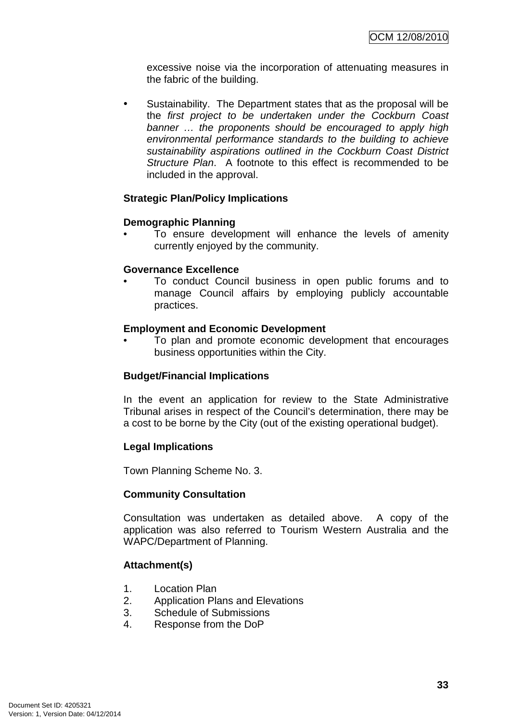excessive noise via the incorporation of attenuating measures in the fabric of the building.

• Sustainability. The Department states that as the proposal will be the first project to be undertaken under the Cockburn Coast banner … the proponents should be encouraged to apply high environmental performance standards to the building to achieve sustainability aspirations outlined in the Cockburn Coast District Structure Plan. A footnote to this effect is recommended to be included in the approval.

### **Strategic Plan/Policy Implications**

### **Demographic Planning**

To ensure development will enhance the levels of amenity currently enjoyed by the community.

### **Governance Excellence**

• To conduct Council business in open public forums and to manage Council affairs by employing publicly accountable practices.

### **Employment and Economic Development**

• To plan and promote economic development that encourages business opportunities within the City.

# **Budget/Financial Implications**

In the event an application for review to the State Administrative Tribunal arises in respect of the Council's determination, there may be a cost to be borne by the City (out of the existing operational budget).

### **Legal Implications**

Town Planning Scheme No. 3.

### **Community Consultation**

Consultation was undertaken as detailed above. A copy of the application was also referred to Tourism Western Australia and the WAPC/Department of Planning.

### **Attachment(s)**

- 1. Location Plan
- 2. Application Plans and Elevations
- 3. Schedule of Submissions
- 4. Response from the DoP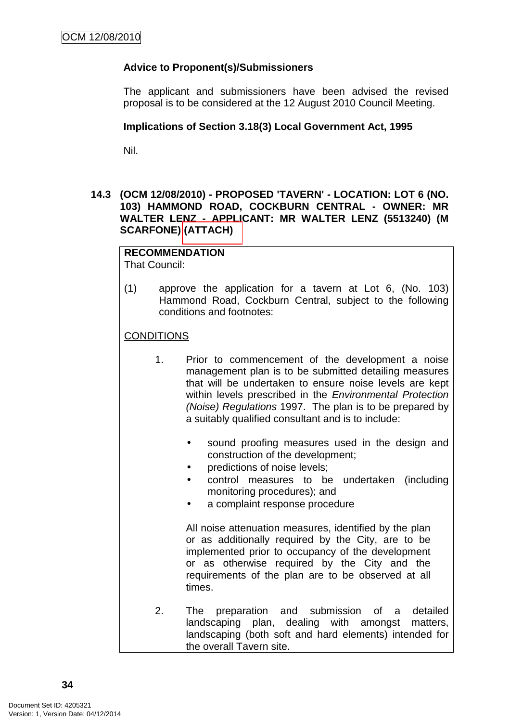# **Advice to Proponent(s)/Submissioners**

The applicant and submissioners have been advised the revised proposal is to be considered at the 12 August 2010 Council Meeting.

#### **Implications of Section 3.18(3) Local Government Act, 1995**

Nil.

### **14.3 (OCM 12/08/2010) - PROPOSED 'TAVERN' - LOCATION: LOT 6 (NO. 103) HAMMOND ROAD, COCKBURN CENTRAL - OWNER: MR WALTER LENZ - APPLICANT: MR WALTER LENZ (5513240) (M SCARFONE) (ATTACH)**

# **RECOMMENDATION**

That Council:

(1) approve the application for a tavern at Lot 6, (No. 103) Hammond Road, Cockburn Central, subject to the following conditions and footnotes:

**CONDITIONS** 

- 1. Prior to commencement of the development a noise management plan is to be submitted detailing measures that will be undertaken to ensure noise levels are kept within levels prescribed in the Environmental Protection (Noise) Regulations 1997. The plan is to be prepared by a suitably qualified consultant and is to include:
	- sound proofing measures used in the design and construction of the development;
	- predictions of noise levels;
	- control measures to be undertaken (including monitoring procedures); and
	- a complaint response procedure

All noise attenuation measures, identified by the plan or as additionally required by the City, are to be implemented prior to occupancy of the development or as otherwise required by the City and the requirements of the plan are to be observed at all times.

2. The preparation and submission of a detailed landscaping plan, dealing with amongst matters, landscaping (both soft and hard elements) intended for the overall Tavern site.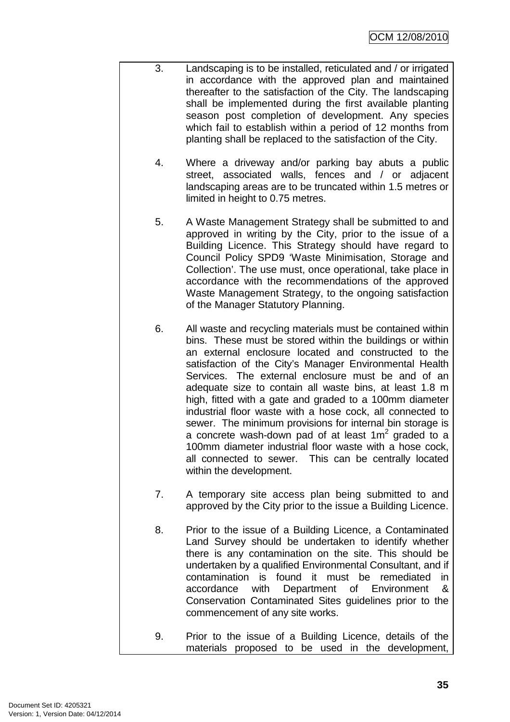- 3. Landscaping is to be installed, reticulated and / or irrigated in accordance with the approved plan and maintained thereafter to the satisfaction of the City. The landscaping shall be implemented during the first available planting season post completion of development. Any species which fail to establish within a period of 12 months from planting shall be replaced to the satisfaction of the City.
	- 4. Where a driveway and/or parking bay abuts a public street, associated walls, fences and / or adjacent landscaping areas are to be truncated within 1.5 metres or limited in height to 0.75 metres.
	- 5. A Waste Management Strategy shall be submitted to and approved in writing by the City, prior to the issue of a Building Licence. This Strategy should have regard to Council Policy SPD9 'Waste Minimisation, Storage and Collection'. The use must, once operational, take place in accordance with the recommendations of the approved Waste Management Strategy, to the ongoing satisfaction of the Manager Statutory Planning.
	- 6. All waste and recycling materials must be contained within bins. These must be stored within the buildings or within an external enclosure located and constructed to the satisfaction of the City's Manager Environmental Health Services. The external enclosure must be and of an adequate size to contain all waste bins, at least 1.8 m high, fitted with a gate and graded to a 100mm diameter industrial floor waste with a hose cock, all connected to sewer. The minimum provisions for internal bin storage is a concrete wash-down pad of at least  $1m^2$  graded to a 100mm diameter industrial floor waste with a hose cock, all connected to sewer. This can be centrally located within the development.
	- 7. A temporary site access plan being submitted to and approved by the City prior to the issue a Building Licence.
	- 8. Prior to the issue of a Building Licence, a Contaminated Land Survey should be undertaken to identify whether there is any contamination on the site. This should be undertaken by a qualified Environmental Consultant, and if contamination is found it must be remediated in accordance with Department of Environment & Conservation Contaminated Sites guidelines prior to the commencement of any site works.
- 9. Prior to the issue of a Building Licence, details of the materials proposed to be used in the development,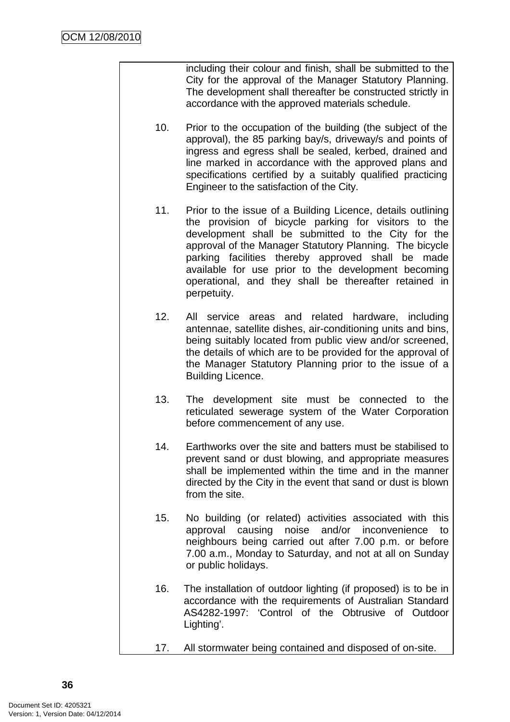including their colour and finish, shall be submitted to the City for the approval of the Manager Statutory Planning. The development shall thereafter be constructed strictly in accordance with the approved materials schedule.

- 10. Prior to the occupation of the building (the subject of the approval), the 85 parking bay/s, driveway/s and points of ingress and egress shall be sealed, kerbed, drained and line marked in accordance with the approved plans and specifications certified by a suitably qualified practicing Engineer to the satisfaction of the City.
- 11. Prior to the issue of a Building Licence, details outlining the provision of bicycle parking for visitors to the development shall be submitted to the City for the approval of the Manager Statutory Planning. The bicycle parking facilities thereby approved shall be made available for use prior to the development becoming operational, and they shall be thereafter retained in perpetuity.
- 12. All service areas and related hardware, including antennae, satellite dishes, air-conditioning units and bins, being suitably located from public view and/or screened, the details of which are to be provided for the approval of the Manager Statutory Planning prior to the issue of a Building Licence.
- 13. The development site must be connected to the reticulated sewerage system of the Water Corporation before commencement of any use.
- 14. Earthworks over the site and batters must be stabilised to prevent sand or dust blowing, and appropriate measures shall be implemented within the time and in the manner directed by the City in the event that sand or dust is blown from the site.
- 15. No building (or related) activities associated with this approval causing noise and/or inconvenience to neighbours being carried out after 7.00 p.m. or before 7.00 a.m., Monday to Saturday, and not at all on Sunday or public holidays.
- 16. The installation of outdoor lighting (if proposed) is to be in accordance with the requirements of Australian Standard AS4282-1997: 'Control of the Obtrusive of Outdoor Lighting'.
- 17. All stormwater being contained and disposed of on-site.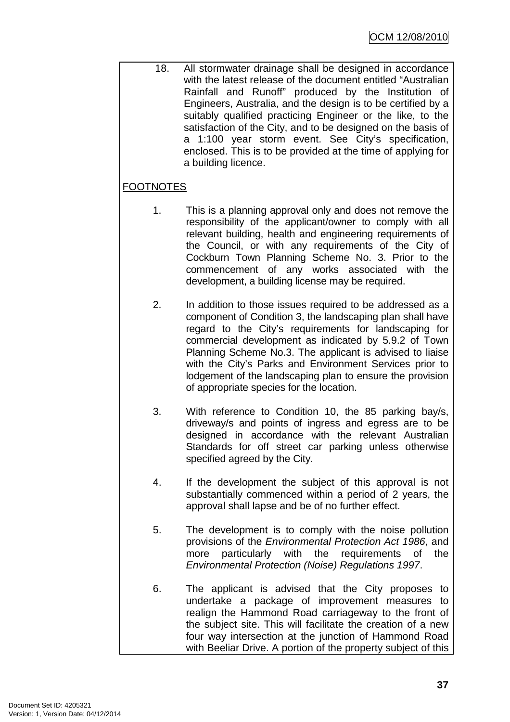18. All stormwater drainage shall be designed in accordance with the latest release of the document entitled "Australian Rainfall and Runoff" produced by the Institution of Engineers, Australia, and the design is to be certified by a suitably qualified practicing Engineer or the like, to the satisfaction of the City, and to be designed on the basis of a 1:100 year storm event. See City's specification, enclosed. This is to be provided at the time of applying for a building licence.

# FOOTNOTES

- 1. This is a planning approval only and does not remove the responsibility of the applicant/owner to comply with all relevant building, health and engineering requirements of the Council, or with any requirements of the City of Cockburn Town Planning Scheme No. 3. Prior to the commencement of any works associated with the development, a building license may be required.
- 2. In addition to those issues required to be addressed as a component of Condition 3, the landscaping plan shall have regard to the City's requirements for landscaping for commercial development as indicated by 5.9.2 of Town Planning Scheme No.3. The applicant is advised to liaise with the City's Parks and Environment Services prior to lodgement of the landscaping plan to ensure the provision of appropriate species for the location.
- 3. With reference to Condition 10, the 85 parking bay/s, driveway/s and points of ingress and egress are to be designed in accordance with the relevant Australian Standards for off street car parking unless otherwise specified agreed by the City.
- 4. If the development the subject of this approval is not substantially commenced within a period of 2 years, the approval shall lapse and be of no further effect.
- 5. The development is to comply with the noise pollution provisions of the Environmental Protection Act 1986, and more particularly with the requirements of the Environmental Protection (Noise) Regulations 1997.
- 6. The applicant is advised that the City proposes to undertake a package of improvement measures to realign the Hammond Road carriageway to the front of the subject site. This will facilitate the creation of a new four way intersection at the junction of Hammond Road with Beeliar Drive. A portion of the property subject of this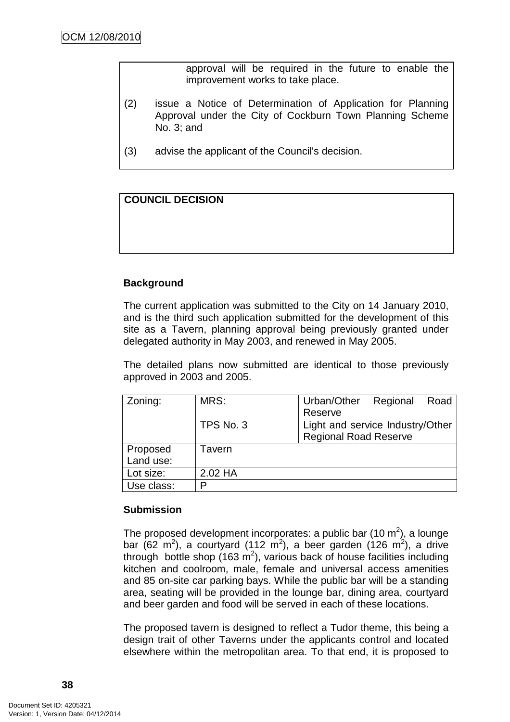approval will be required in the future to enable the improvement works to take place.

- (2) issue a Notice of Determination of Application for Planning Approval under the City of Cockburn Town Planning Scheme No. 3; and
- (3) advise the applicant of the Council's decision.

# **COUNCIL DECISION**

# **Background**

The current application was submitted to the City on 14 January 2010, and is the third such application submitted for the development of this site as a Tavern, planning approval being previously granted under delegated authority in May 2003, and renewed in May 2005.

The detailed plans now submitted are identical to those previously approved in 2003 and 2005.

| Zoning:    | MRS:      | Urban/Other                      | Regional | Road |
|------------|-----------|----------------------------------|----------|------|
|            |           | Reserve                          |          |      |
|            | TPS No. 3 | Light and service Industry/Other |          |      |
|            |           | <b>Regional Road Reserve</b>     |          |      |
| Proposed   | Tavern    |                                  |          |      |
| Land use:  |           |                                  |          |      |
| Lot size:  | 2.02 HA   |                                  |          |      |
| Use class: | D         |                                  |          |      |

### **Submission**

The proposed development incorporates: a public bar (10 m<sup>2</sup>), a lounge bar (62 m<sup>2</sup>), a courtyard (112 m<sup>2</sup>), a beer garden (126 m<sup>2</sup>), a drive through bottle shop  $(163 \text{ m}^2)$ , various back of house facilities including kitchen and coolroom, male, female and universal access amenities and 85 on-site car parking bays. While the public bar will be a standing area, seating will be provided in the lounge bar, dining area, courtyard and beer garden and food will be served in each of these locations.

The proposed tavern is designed to reflect a Tudor theme, this being a design trait of other Taverns under the applicants control and located elsewhere within the metropolitan area. To that end, it is proposed to

**38**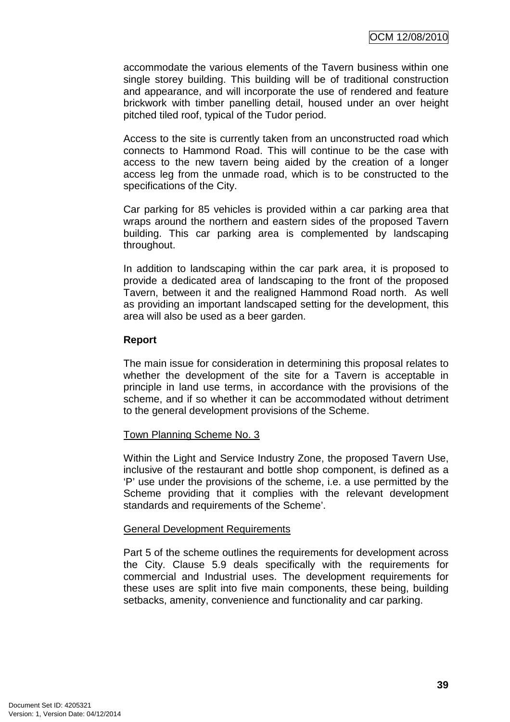accommodate the various elements of the Tavern business within one single storey building. This building will be of traditional construction and appearance, and will incorporate the use of rendered and feature brickwork with timber panelling detail, housed under an over height pitched tiled roof, typical of the Tudor period.

Access to the site is currently taken from an unconstructed road which connects to Hammond Road. This will continue to be the case with access to the new tavern being aided by the creation of a longer access leg from the unmade road, which is to be constructed to the specifications of the City.

Car parking for 85 vehicles is provided within a car parking area that wraps around the northern and eastern sides of the proposed Tavern building. This car parking area is complemented by landscaping throughout.

In addition to landscaping within the car park area, it is proposed to provide a dedicated area of landscaping to the front of the proposed Tavern, between it and the realigned Hammond Road north. As well as providing an important landscaped setting for the development, this area will also be used as a beer garden.

### **Report**

The main issue for consideration in determining this proposal relates to whether the development of the site for a Tavern is acceptable in principle in land use terms, in accordance with the provisions of the scheme, and if so whether it can be accommodated without detriment to the general development provisions of the Scheme.

# Town Planning Scheme No. 3

Within the Light and Service Industry Zone, the proposed Tavern Use, inclusive of the restaurant and bottle shop component, is defined as a 'P' use under the provisions of the scheme, i.e. a use permitted by the Scheme providing that it complies with the relevant development standards and requirements of the Scheme'.

# General Development Requirements

Part 5 of the scheme outlines the requirements for development across the City. Clause 5.9 deals specifically with the requirements for commercial and Industrial uses. The development requirements for these uses are split into five main components, these being, building setbacks, amenity, convenience and functionality and car parking.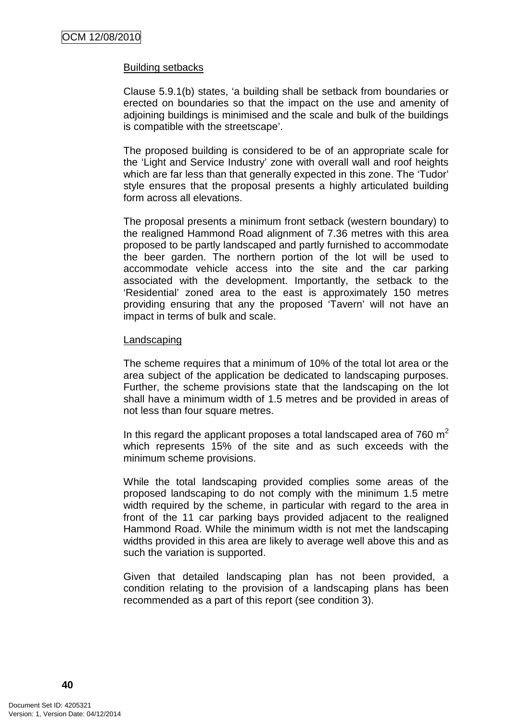#### Building setbacks

Clause 5.9.1(b) states, 'a building shall be setback from boundaries or erected on boundaries so that the impact on the use and amenity of adjoining buildings is minimised and the scale and bulk of the buildings is compatible with the streetscape'.

The proposed building is considered to be of an appropriate scale for the 'Light and Service Industry' zone with overall wall and roof heights which are far less than that generally expected in this zone. The 'Tudor' style ensures that the proposal presents a highly articulated building form across all elevations.

The proposal presents a minimum front setback (western boundary) to the realigned Hammond Road alignment of 7.36 metres with this area proposed to be partly landscaped and partly furnished to accommodate the beer garden. The northern portion of the lot will be used to accommodate vehicle access into the site and the car parking associated with the development. Importantly, the setback to the 'Residential' zoned area to the east is approximately 150 metres providing ensuring that any the proposed 'Tavern' will not have an impact in terms of bulk and scale.

#### Landscaping

The scheme requires that a minimum of 10% of the total lot area or the area subject of the application be dedicated to landscaping purposes. Further, the scheme provisions state that the landscaping on the lot shall have a minimum width of 1.5 metres and be provided in areas of not less than four square metres.

In this regard the applicant proposes a total landscaped area of  $760 \text{ m}^2$ which represents 15% of the site and as such exceeds with the minimum scheme provisions.

While the total landscaping provided complies some areas of the proposed landscaping to do not comply with the minimum 1.5 metre width required by the scheme, in particular with regard to the area in front of the 11 car parking bays provided adjacent to the realigned Hammond Road. While the minimum width is not met the landscaping widths provided in this area are likely to average well above this and as such the variation is supported.

Given that detailed landscaping plan has not been provided, a condition relating to the provision of a landscaping plans has been recommended as a part of this report (see condition 3).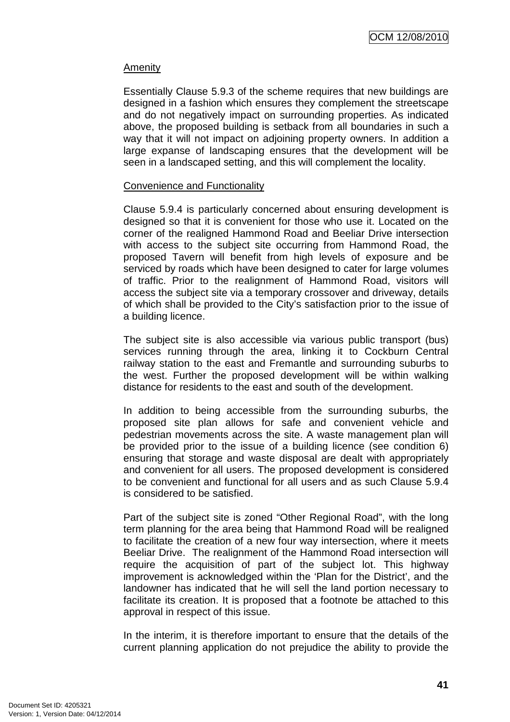### Amenity

Essentially Clause 5.9.3 of the scheme requires that new buildings are designed in a fashion which ensures they complement the streetscape and do not negatively impact on surrounding properties. As indicated above, the proposed building is setback from all boundaries in such a way that it will not impact on adjoining property owners. In addition a large expanse of landscaping ensures that the development will be seen in a landscaped setting, and this will complement the locality.

#### Convenience and Functionality

Clause 5.9.4 is particularly concerned about ensuring development is designed so that it is convenient for those who use it. Located on the corner of the realigned Hammond Road and Beeliar Drive intersection with access to the subject site occurring from Hammond Road, the proposed Tavern will benefit from high levels of exposure and be serviced by roads which have been designed to cater for large volumes of traffic. Prior to the realignment of Hammond Road, visitors will access the subject site via a temporary crossover and driveway, details of which shall be provided to the City's satisfaction prior to the issue of a building licence.

The subject site is also accessible via various public transport (bus) services running through the area, linking it to Cockburn Central railway station to the east and Fremantle and surrounding suburbs to the west. Further the proposed development will be within walking distance for residents to the east and south of the development.

In addition to being accessible from the surrounding suburbs, the proposed site plan allows for safe and convenient vehicle and pedestrian movements across the site. A waste management plan will be provided prior to the issue of a building licence (see condition 6) ensuring that storage and waste disposal are dealt with appropriately and convenient for all users. The proposed development is considered to be convenient and functional for all users and as such Clause 5.9.4 is considered to be satisfied.

Part of the subject site is zoned "Other Regional Road", with the long term planning for the area being that Hammond Road will be realigned to facilitate the creation of a new four way intersection, where it meets Beeliar Drive. The realignment of the Hammond Road intersection will require the acquisition of part of the subject lot. This highway improvement is acknowledged within the 'Plan for the District', and the landowner has indicated that he will sell the land portion necessary to facilitate its creation. It is proposed that a footnote be attached to this approval in respect of this issue.

In the interim, it is therefore important to ensure that the details of the current planning application do not prejudice the ability to provide the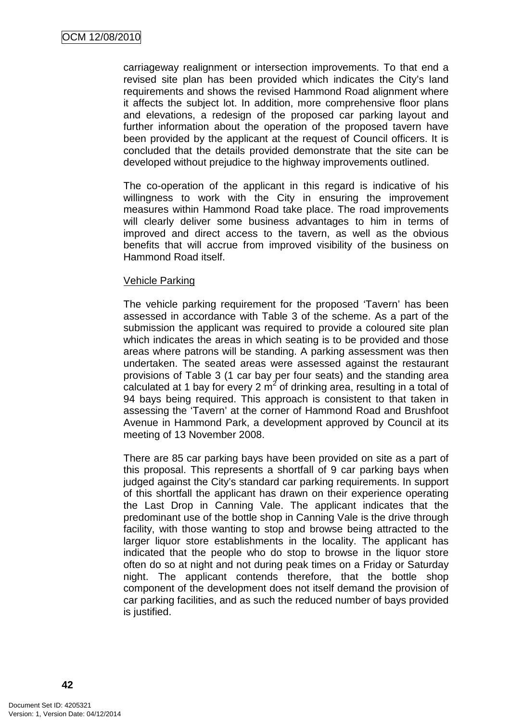carriageway realignment or intersection improvements. To that end a revised site plan has been provided which indicates the City's land requirements and shows the revised Hammond Road alignment where it affects the subject lot. In addition, more comprehensive floor plans and elevations, a redesign of the proposed car parking layout and further information about the operation of the proposed tavern have been provided by the applicant at the request of Council officers. It is concluded that the details provided demonstrate that the site can be developed without prejudice to the highway improvements outlined.

The co-operation of the applicant in this regard is indicative of his willingness to work with the City in ensuring the improvement measures within Hammond Road take place. The road improvements will clearly deliver some business advantages to him in terms of improved and direct access to the tavern, as well as the obvious benefits that will accrue from improved visibility of the business on Hammond Road itself.

#### Vehicle Parking

The vehicle parking requirement for the proposed 'Tavern' has been assessed in accordance with Table 3 of the scheme. As a part of the submission the applicant was required to provide a coloured site plan which indicates the areas in which seating is to be provided and those areas where patrons will be standing. A parking assessment was then undertaken. The seated areas were assessed against the restaurant provisions of Table 3 (1 car bay per four seats) and the standing area calculated at 1 bay for every 2  $\text{m}^2$  of drinking area, resulting in a total of 94 bays being required. This approach is consistent to that taken in assessing the 'Tavern' at the corner of Hammond Road and Brushfoot Avenue in Hammond Park, a development approved by Council at its meeting of 13 November 2008.

There are 85 car parking bays have been provided on site as a part of this proposal. This represents a shortfall of 9 car parking bays when judged against the City's standard car parking requirements. In support of this shortfall the applicant has drawn on their experience operating the Last Drop in Canning Vale. The applicant indicates that the predominant use of the bottle shop in Canning Vale is the drive through facility, with those wanting to stop and browse being attracted to the larger liquor store establishments in the locality. The applicant has indicated that the people who do stop to browse in the liquor store often do so at night and not during peak times on a Friday or Saturday night. The applicant contends therefore, that the bottle shop component of the development does not itself demand the provision of car parking facilities, and as such the reduced number of bays provided is justified.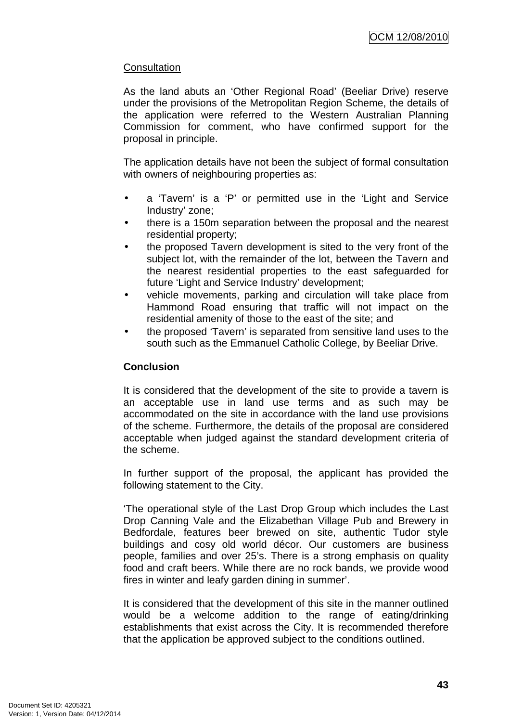# **Consultation**

As the land abuts an 'Other Regional Road' (Beeliar Drive) reserve under the provisions of the Metropolitan Region Scheme, the details of the application were referred to the Western Australian Planning Commission for comment, who have confirmed support for the proposal in principle.

The application details have not been the subject of formal consultation with owners of neighbouring properties as:

- a 'Tavern' is a 'P' or permitted use in the 'Light and Service Industry' zone;
- there is a 150m separation between the proposal and the nearest residential property;
- the proposed Tavern development is sited to the very front of the subject lot, with the remainder of the lot, between the Tavern and the nearest residential properties to the east safeguarded for future 'Light and Service Industry' development;
- vehicle movements, parking and circulation will take place from Hammond Road ensuring that traffic will not impact on the residential amenity of those to the east of the site; and
- the proposed 'Tavern' is separated from sensitive land uses to the south such as the Emmanuel Catholic College, by Beeliar Drive.

# **Conclusion**

It is considered that the development of the site to provide a tavern is an acceptable use in land use terms and as such may be accommodated on the site in accordance with the land use provisions of the scheme. Furthermore, the details of the proposal are considered acceptable when judged against the standard development criteria of the scheme.

In further support of the proposal, the applicant has provided the following statement to the City.

'The operational style of the Last Drop Group which includes the Last Drop Canning Vale and the Elizabethan Village Pub and Brewery in Bedfordale, features beer brewed on site, authentic Tudor style buildings and cosy old world décor. Our customers are business people, families and over 25's. There is a strong emphasis on quality food and craft beers. While there are no rock bands, we provide wood fires in winter and leafy garden dining in summer'.

It is considered that the development of this site in the manner outlined would be a welcome addition to the range of eating/drinking establishments that exist across the City. It is recommended therefore that the application be approved subject to the conditions outlined.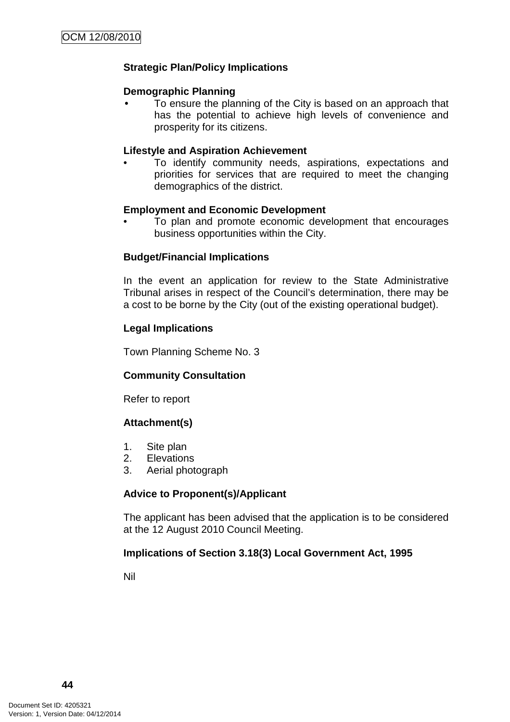# **Strategic Plan/Policy Implications**

### **Demographic Planning**

• To ensure the planning of the City is based on an approach that has the potential to achieve high levels of convenience and prosperity for its citizens.

#### **Lifestyle and Aspiration Achievement**

• To identify community needs, aspirations, expectations and priorities for services that are required to meet the changing demographics of the district.

#### **Employment and Economic Development**

• To plan and promote economic development that encourages business opportunities within the City.

### **Budget/Financial Implications**

In the event an application for review to the State Administrative Tribunal arises in respect of the Council's determination, there may be a cost to be borne by the City (out of the existing operational budget).

#### **Legal Implications**

Town Planning Scheme No. 3

### **Community Consultation**

Refer to report

### **Attachment(s)**

- 1. Site plan
- 2. Elevations
- 3. Aerial photograph

### **Advice to Proponent(s)/Applicant**

The applicant has been advised that the application is to be considered at the 12 August 2010 Council Meeting.

### **Implications of Section 3.18(3) Local Government Act, 1995**

Nil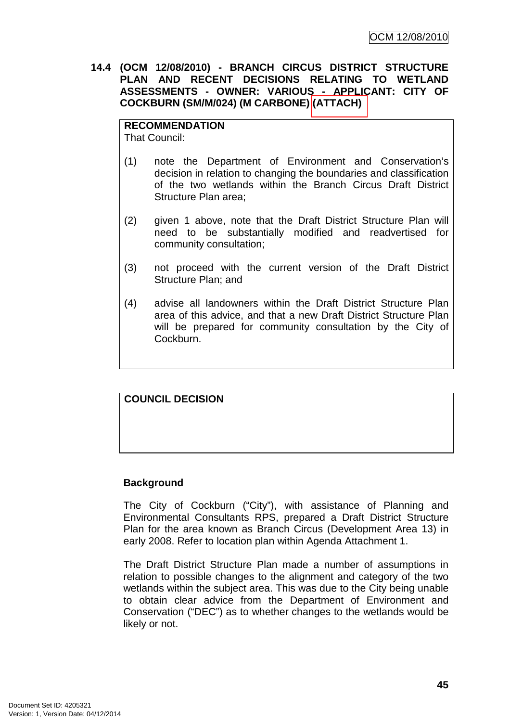**14.4 (OCM 12/08/2010) - BRANCH CIRCUS DISTRICT STRUCTURE PLAN AND RECENT DECISIONS RELATING TO WETLAND ASSESSMENTS - OWNER: VARIOUS - APPLICANT: CITY OF COCKBURN (SM/M/024) (M CARBONE) (ATTACH)** 

### **RECOMMENDATION**

That Council:

- (1) note the Department of Environment and Conservation's decision in relation to changing the boundaries and classification of the two wetlands within the Branch Circus Draft District Structure Plan area;
- (2) given 1 above, note that the Draft District Structure Plan will need to be substantially modified and readvertised for community consultation;
- (3) not proceed with the current version of the Draft District Structure Plan; and
- (4) advise all landowners within the Draft District Structure Plan area of this advice, and that a new Draft District Structure Plan will be prepared for community consultation by the City of Cockburn.

# **COUNCIL DECISION**

### **Background**

The City of Cockburn ("City"), with assistance of Planning and Environmental Consultants RPS, prepared a Draft District Structure Plan for the area known as Branch Circus (Development Area 13) in early 2008. Refer to location plan within Agenda Attachment 1.

The Draft District Structure Plan made a number of assumptions in relation to possible changes to the alignment and category of the two wetlands within the subject area. This was due to the City being unable to obtain clear advice from the Department of Environment and Conservation ("DEC") as to whether changes to the wetlands would be likely or not.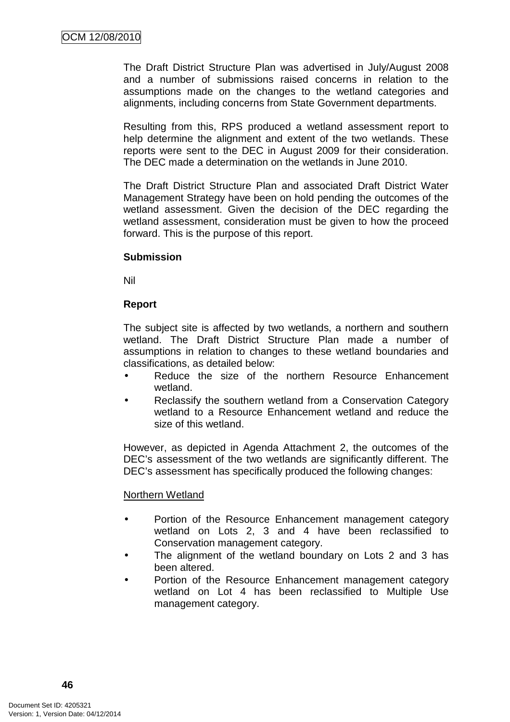The Draft District Structure Plan was advertised in July/August 2008 and a number of submissions raised concerns in relation to the assumptions made on the changes to the wetland categories and alignments, including concerns from State Government departments.

Resulting from this, RPS produced a wetland assessment report to help determine the alignment and extent of the two wetlands. These reports were sent to the DEC in August 2009 for their consideration. The DEC made a determination on the wetlands in June 2010.

The Draft District Structure Plan and associated Draft District Water Management Strategy have been on hold pending the outcomes of the wetland assessment. Given the decision of the DEC regarding the wetland assessment, consideration must be given to how the proceed forward. This is the purpose of this report.

#### **Submission**

Nil

### **Report**

The subject site is affected by two wetlands, a northern and southern wetland. The Draft District Structure Plan made a number of assumptions in relation to changes to these wetland boundaries and classifications, as detailed below:

- Reduce the size of the northern Resource Enhancement wetland.
- Reclassify the southern wetland from a Conservation Category wetland to a Resource Enhancement wetland and reduce the size of this wetland.

However, as depicted in Agenda Attachment 2, the outcomes of the DEC's assessment of the two wetlands are significantly different. The DEC's assessment has specifically produced the following changes:

### Northern Wetland

- Portion of the Resource Enhancement management category wetland on Lots 2, 3 and 4 have been reclassified to Conservation management category.
- The alignment of the wetland boundary on Lots 2 and 3 has been altered.
- Portion of the Resource Enhancement management category wetland on Lot 4 has been reclassified to Multiple Use management category.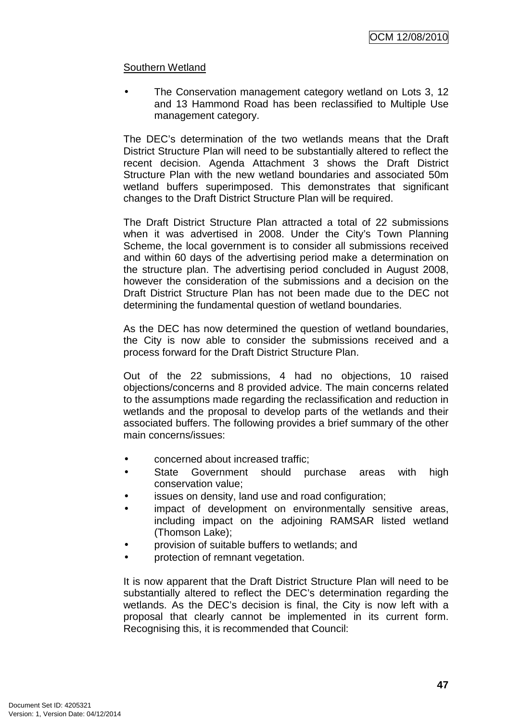### Southern Wetland

The Conservation management category wetland on Lots 3, 12 and 13 Hammond Road has been reclassified to Multiple Use management category.

The DEC's determination of the two wetlands means that the Draft District Structure Plan will need to be substantially altered to reflect the recent decision. Agenda Attachment 3 shows the Draft District Structure Plan with the new wetland boundaries and associated 50m wetland buffers superimposed. This demonstrates that significant changes to the Draft District Structure Plan will be required.

The Draft District Structure Plan attracted a total of 22 submissions when it was advertised in 2008. Under the City's Town Planning Scheme, the local government is to consider all submissions received and within 60 days of the advertising period make a determination on the structure plan. The advertising period concluded in August 2008, however the consideration of the submissions and a decision on the Draft District Structure Plan has not been made due to the DEC not determining the fundamental question of wetland boundaries.

As the DEC has now determined the question of wetland boundaries, the City is now able to consider the submissions received and a process forward for the Draft District Structure Plan.

Out of the 22 submissions, 4 had no objections, 10 raised objections/concerns and 8 provided advice. The main concerns related to the assumptions made regarding the reclassification and reduction in wetlands and the proposal to develop parts of the wetlands and their associated buffers. The following provides a brief summary of the other main concerns/issues:

- concerned about increased traffic;
- State Government should purchase areas with high conservation value;
- issues on density, land use and road configuration;
- impact of development on environmentally sensitive areas, including impact on the adjoining RAMSAR listed wetland (Thomson Lake);
- provision of suitable buffers to wetlands; and
- protection of remnant vegetation.

It is now apparent that the Draft District Structure Plan will need to be substantially altered to reflect the DEC's determination regarding the wetlands. As the DEC's decision is final, the City is now left with a proposal that clearly cannot be implemented in its current form. Recognising this, it is recommended that Council: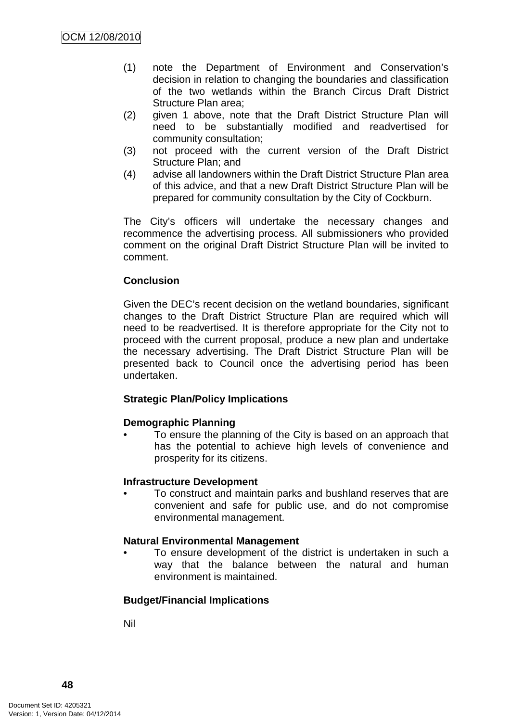- (1) note the Department of Environment and Conservation's decision in relation to changing the boundaries and classification of the two wetlands within the Branch Circus Draft District Structure Plan area;
- (2) given 1 above, note that the Draft District Structure Plan will need to be substantially modified and readvertised for community consultation;
- (3) not proceed with the current version of the Draft District Structure Plan; and
- (4) advise all landowners within the Draft District Structure Plan area of this advice, and that a new Draft District Structure Plan will be prepared for community consultation by the City of Cockburn.

The City's officers will undertake the necessary changes and recommence the advertising process. All submissioners who provided comment on the original Draft District Structure Plan will be invited to comment.

# **Conclusion**

Given the DEC's recent decision on the wetland boundaries, significant changes to the Draft District Structure Plan are required which will need to be readvertised. It is therefore appropriate for the City not to proceed with the current proposal, produce a new plan and undertake the necessary advertising. The Draft District Structure Plan will be presented back to Council once the advertising period has been undertaken.

### **Strategic Plan/Policy Implications**

### **Demographic Planning**

• To ensure the planning of the City is based on an approach that has the potential to achieve high levels of convenience and prosperity for its citizens.

### **Infrastructure Development**

• To construct and maintain parks and bushland reserves that are convenient and safe for public use, and do not compromise environmental management.

### **Natural Environmental Management**

• To ensure development of the district is undertaken in such a way that the balance between the natural and human environment is maintained.

# **Budget/Financial Implications**

Nil

**48**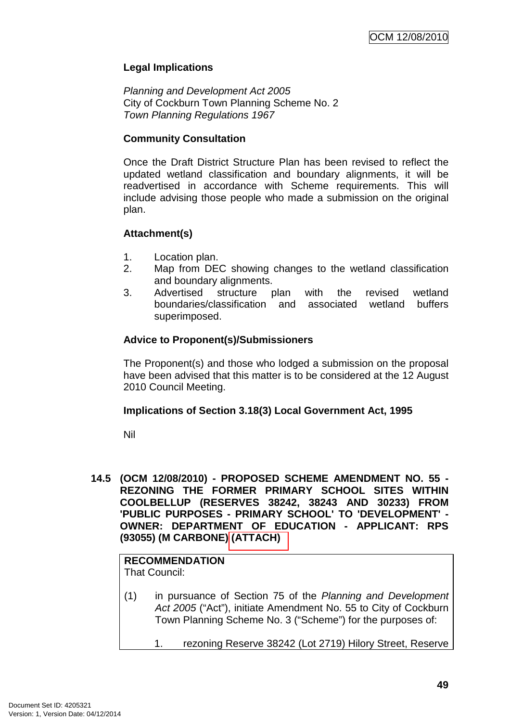# **Legal Implications**

Planning and Development Act 2005 City of Cockburn Town Planning Scheme No. 2 Town Planning Regulations 1967

### **Community Consultation**

Once the Draft District Structure Plan has been revised to reflect the updated wetland classification and boundary alignments, it will be readvertised in accordance with Scheme requirements. This will include advising those people who made a submission on the original plan.

# **Attachment(s)**

- 1. Location plan.
- 2. Map from DEC showing changes to the wetland classification and boundary alignments.
- 3. Advertised structure plan with the revised wetland boundaries/classification and associated wetland buffers superimposed.

### **Advice to Proponent(s)/Submissioners**

The Proponent(s) and those who lodged a submission on the proposal have been advised that this matter is to be considered at the 12 August 2010 Council Meeting.

### **Implications of Section 3.18(3) Local Government Act, 1995**

Nil

**14.5 (OCM 12/08/2010) - PROPOSED SCHEME AMENDMENT NO. 55 - REZONING THE FORMER PRIMARY SCHOOL SITES WITHIN COOLBELLUP (RESERVES 38242, 38243 AND 30233) FROM 'PUBLIC PURPOSES - PRIMARY SCHOOL' TO 'DEVELOPMENT' - OWNER: DEPARTMENT OF EDUCATION - APPLICANT: RPS (93055) (M CARBONE) (ATTACH)** 

#### **RECOMMENDATION** That Council:

- (1) in pursuance of Section 75 of the Planning and Development Act 2005 ("Act"), initiate Amendment No. 55 to City of Cockburn Town Planning Scheme No. 3 ("Scheme") for the purposes of:
	- 1. rezoning Reserve 38242 (Lot 2719) Hilory Street, Reserve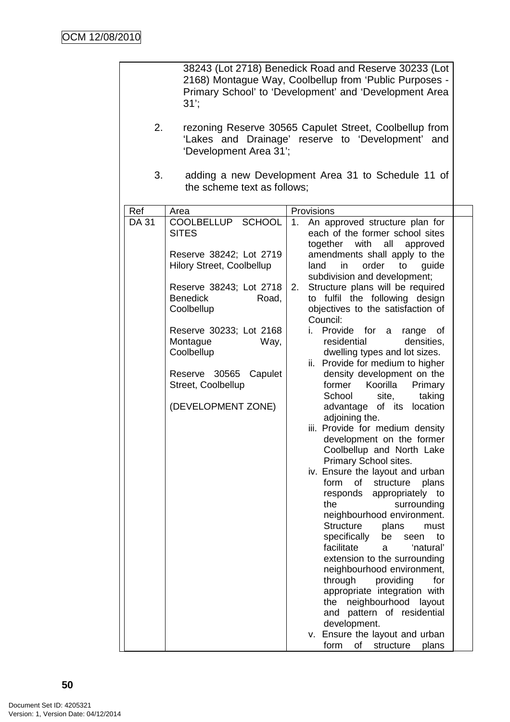|                                                | 31                                                           | 38243 (Lot 2718) Benedick Road and Reserve 30233 (Lot<br>2168) Montague Way, Coolbellup from 'Public Purposes -<br>Primary School' to 'Development' and 'Development Area |
|------------------------------------------------|--------------------------------------------------------------|---------------------------------------------------------------------------------------------------------------------------------------------------------------------------|
| 2.                                             | 'Development Area 31';                                       | rezoning Reserve 30565 Capulet Street, Coolbellup from<br>'Lakes and Drainage' reserve to 'Development' and                                                               |
| 3.                                             | the scheme text as follows;                                  | adding a new Development Area 31 to Schedule 11 of                                                                                                                        |
| Ref                                            | Area                                                         | Provisions                                                                                                                                                                |
| DA 31                                          | COOLBELLUP SCHOOL<br><b>SITES</b><br>Reserve 38242; Lot 2719 | 1.<br>An approved structure plan for<br>each of the former school sites<br>with<br>all<br>together<br>approved<br>amendments shall apply to the                           |
|                                                | <b>Hilory Street, Coolbellup</b><br>Reserve 38243; Lot 2718  | order<br>to<br>land<br>in.<br>guide<br>subdivision and development;<br>Structure plans will be required<br>2.                                                             |
|                                                | Benedick<br>Road,<br>Coolbellup                              | to fulfil the following design<br>objectives to the satisfaction of<br>Council:                                                                                           |
|                                                | Reserve 30233; Lot 2168<br>Montague<br>Way,<br>Coolbellup    | Provide for<br>İ.<br>a<br>range<br>0f<br>densities,<br>residential<br>dwelling types and lot sizes.<br>ii. Provide for medium to higher                                   |
| Reserve 30565<br>Capulet<br>Street, Coolbellup |                                                              | density development on the<br>former<br>Koorilla<br>Primary<br>School<br>taking<br>site,                                                                                  |
|                                                | (DEVELOPMENT ZONE)                                           | advantage of its location<br>adjoining the.                                                                                                                               |
|                                                |                                                              | iii. Provide for medium density<br>development on the former<br>Coolbellup and North Lake<br>Primary School sites.                                                        |
|                                                |                                                              | iv. Ensure the layout and urban<br>form<br>of<br>structure<br>plans                                                                                                       |
|                                                |                                                              | responds<br>appropriately to<br>the<br>surrounding<br>neighbourhood environment.                                                                                          |
|                                                |                                                              | Structure<br>plans<br>must<br>specifically<br>be<br>to<br>seen<br>facilitate<br>'natural'<br>a                                                                            |
|                                                |                                                              | extension to the surrounding<br>neighbourhood environment,                                                                                                                |
|                                                |                                                              | through<br>providing<br>for<br>appropriate integration with<br>neighbourhood<br>the<br>layout                                                                             |
|                                                |                                                              | pattern of residential<br>and                                                                                                                                             |
|                                                |                                                              | development.                                                                                                                                                              |
|                                                |                                                              | v. Ensure the layout and urban<br>form<br>οf<br>structure<br>plans                                                                                                        |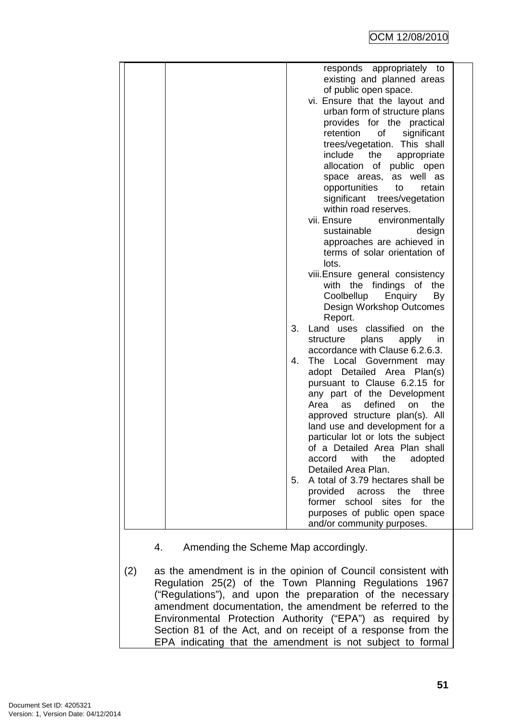|    | responds appropriately<br>to                                 |  |
|----|--------------------------------------------------------------|--|
|    | existing and planned areas                                   |  |
|    | of public open space.                                        |  |
|    | vi. Ensure that the layout and                               |  |
|    | urban form of structure plans                                |  |
|    | provides for the practical                                   |  |
|    | retention<br>significant<br>0f                               |  |
|    | trees/vegetation. This shall<br>include                      |  |
|    | the<br>appropriate<br>allocation of public open              |  |
|    | space areas, as well as                                      |  |
|    | opportunities<br>to<br>retain                                |  |
|    | significant trees/vegetation                                 |  |
|    | within road reserves.                                        |  |
|    | vii. Ensure<br>environmentally                               |  |
|    | sustainable<br>design                                        |  |
|    | approaches are achieved in                                   |  |
|    | terms of solar orientation of                                |  |
|    | lots.                                                        |  |
|    | viii. Ensure general consistency                             |  |
|    | with the findings of<br>the                                  |  |
|    | Coolbellup<br>Enquiry<br>By                                  |  |
|    | Design Workshop Outcomes                                     |  |
|    | Report.                                                      |  |
| 3. | Land uses classified on<br>the                               |  |
|    | plans<br>structure<br>apply<br>in                            |  |
|    | accordance with Clause 6.2.6.3.                              |  |
| 4. | The Local Government<br>may                                  |  |
|    | adopt Detailed Area Plan(s)                                  |  |
|    | pursuant to Clause 6.2.15 for<br>any part of the Development |  |
|    | defined<br>Area<br>the<br>as<br>on                           |  |
|    | approved structure plan(s). All                              |  |
|    | land use and development for a                               |  |
|    | particular lot or lots the subject                           |  |
|    | of a Detailed Area Plan shall                                |  |
|    | with<br>the<br>accord<br>adopted                             |  |
|    | Detailed Area Plan.                                          |  |
| 5. | A total of 3.79 hectares shall be                            |  |
|    | provided across the<br>three                                 |  |
|    | former school sites for the                                  |  |
|    | purposes of public open space                                |  |
|    | and/or community purposes.                                   |  |
|    |                                                              |  |

- 4. Amending the Scheme Map accordingly.
- (2) as the amendment is in the opinion of Council consistent with Regulation 25(2) of the Town Planning Regulations 1967 ("Regulations"), and upon the preparation of the necessary amendment documentation, the amendment be referred to the Environmental Protection Authority ("EPA") as required by Section 81 of the Act, and on receipt of a response from the EPA indicating that the amendment is not subject to formal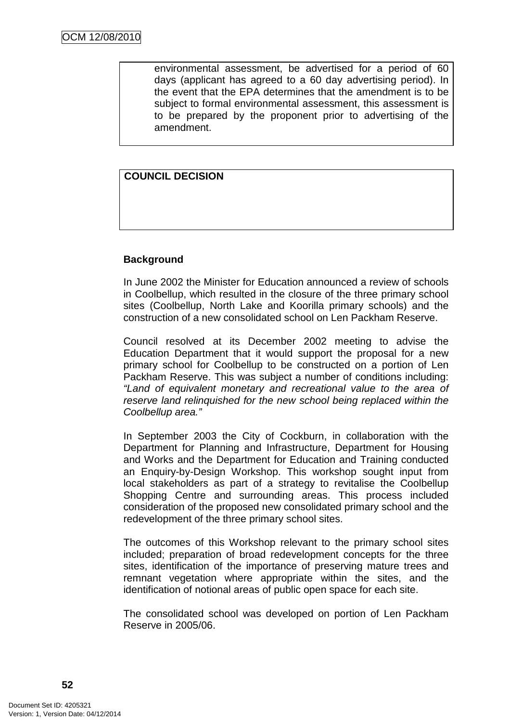environmental assessment, be advertised for a period of 60 days (applicant has agreed to a 60 day advertising period). In the event that the EPA determines that the amendment is to be subject to formal environmental assessment, this assessment is to be prepared by the proponent prior to advertising of the amendment.

### **COUNCIL DECISION**

### **Background**

In June 2002 the Minister for Education announced a review of schools in Coolbellup, which resulted in the closure of the three primary school sites (Coolbellup, North Lake and Koorilla primary schools) and the construction of a new consolidated school on Len Packham Reserve.

Council resolved at its December 2002 meeting to advise the Education Department that it would support the proposal for a new primary school for Coolbellup to be constructed on a portion of Len Packham Reserve. This was subject a number of conditions including: "Land of equivalent monetary and recreational value to the area of reserve land relinquished for the new school being replaced within the Coolbellup area."

In September 2003 the City of Cockburn, in collaboration with the Department for Planning and Infrastructure, Department for Housing and Works and the Department for Education and Training conducted an Enquiry-by-Design Workshop. This workshop sought input from local stakeholders as part of a strategy to revitalise the Coolbellup Shopping Centre and surrounding areas. This process included consideration of the proposed new consolidated primary school and the redevelopment of the three primary school sites.

The outcomes of this Workshop relevant to the primary school sites included; preparation of broad redevelopment concepts for the three sites, identification of the importance of preserving mature trees and remnant vegetation where appropriate within the sites, and the identification of notional areas of public open space for each site.

The consolidated school was developed on portion of Len Packham Reserve in 2005/06.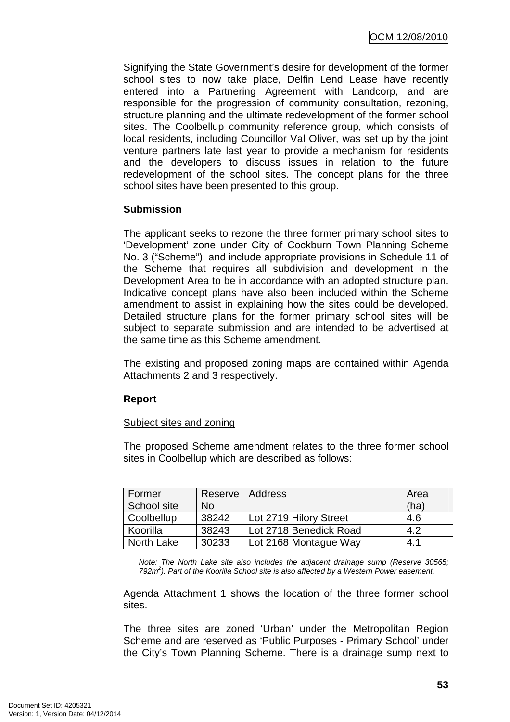Signifying the State Government's desire for development of the former school sites to now take place, Delfin Lend Lease have recently entered into a Partnering Agreement with Landcorp, and are responsible for the progression of community consultation, rezoning, structure planning and the ultimate redevelopment of the former school sites. The Coolbellup community reference group, which consists of local residents, including Councillor Val Oliver, was set up by the joint venture partners late last year to provide a mechanism for residents and the developers to discuss issues in relation to the future redevelopment of the school sites. The concept plans for the three school sites have been presented to this group.

# **Submission**

The applicant seeks to rezone the three former primary school sites to 'Development' zone under City of Cockburn Town Planning Scheme No. 3 ("Scheme"), and include appropriate provisions in Schedule 11 of the Scheme that requires all subdivision and development in the Development Area to be in accordance with an adopted structure plan. Indicative concept plans have also been included within the Scheme amendment to assist in explaining how the sites could be developed. Detailed structure plans for the former primary school sites will be subject to separate submission and are intended to be advertised at the same time as this Scheme amendment.

The existing and proposed zoning maps are contained within Agenda Attachments 2 and 3 respectively.

# **Report**

### Subject sites and zoning

The proposed Scheme amendment relates to the three former school sites in Coolbellup which are described as follows:

| Former      | Reserve   Address |                        | Area |
|-------------|-------------------|------------------------|------|
| School site | <b>No</b>         |                        | (ha) |
| Coolbellup  | 38242             | Lot 2719 Hilory Street | 4.6  |
| Koorilla    | 38243             | Lot 2718 Benedick Road | 4.2  |
| North Lake  | 30233             | Lot 2168 Montague Way  | 4.1  |

Note: The North Lake site also includes the adjacent drainage sump (Reserve 30565; 792 $m<sup>2</sup>$ ). Part of the Koorilla School site is also affected by a Western Power easement.

Agenda Attachment 1 shows the location of the three former school sites.

The three sites are zoned 'Urban' under the Metropolitan Region Scheme and are reserved as 'Public Purposes - Primary School' under the City's Town Planning Scheme. There is a drainage sump next to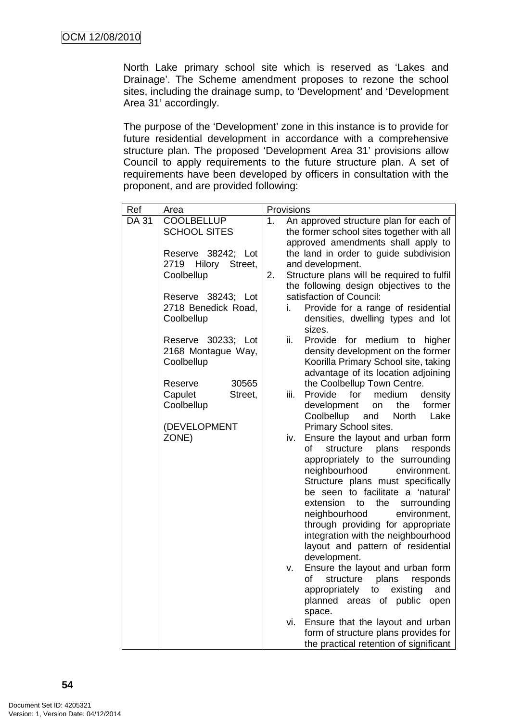North Lake primary school site which is reserved as 'Lakes and Drainage'. The Scheme amendment proposes to rezone the school sites, including the drainage sump, to 'Development' and 'Development Area 31' accordingly.

The purpose of the 'Development' zone in this instance is to provide for future residential development in accordance with a comprehensive structure plan. The proposed 'Development Area 31' provisions allow Council to apply requirements to the future structure plan. A set of requirements have been developed by officers in consultation with the proponent, and are provided following:

| Ref   | Area                                                          |                | Provisions |                                                                                                                                                                                                                                                                                                                                                                                                                                                                                                |
|-------|---------------------------------------------------------------|----------------|------------|------------------------------------------------------------------------------------------------------------------------------------------------------------------------------------------------------------------------------------------------------------------------------------------------------------------------------------------------------------------------------------------------------------------------------------------------------------------------------------------------|
| DA 31 | <b>COOLBELLUP</b><br><b>SCHOOL SITES</b>                      | 1 <sub>1</sub> |            | An approved structure plan for each of<br>the former school sites together with all                                                                                                                                                                                                                                                                                                                                                                                                            |
|       | Reserve 38242; Lot<br>2719<br>Hilory<br>Street,<br>Coolbellup | 2.             |            | approved amendments shall apply to<br>the land in order to guide subdivision<br>and development.<br>Structure plans will be required to fulfil                                                                                                                                                                                                                                                                                                                                                 |
|       | Reserve 38243; Lot<br>2718 Benedick Road,<br>Coolbellup       |                | i.         | the following design objectives to the<br>satisfaction of Council:<br>Provide for a range of residential<br>densities, dwelling types and lot<br>sizes.                                                                                                                                                                                                                                                                                                                                        |
|       | Reserve 30233; Lot<br>2168 Montague Way,<br>Coolbellup        |                | ii.        | Provide for medium<br>higher<br>to<br>density development on the former<br>Koorilla Primary School site, taking<br>advantage of its location adjoining                                                                                                                                                                                                                                                                                                                                         |
|       | Reserve<br>30565<br>Capulet<br>Street,<br>Coolbellup          |                | iii.       | the Coolbellup Town Centre.<br>Provide<br>for<br>medium<br>density<br>development<br>the<br>former<br>on<br>Coolbellup<br>North<br>and<br>Lake                                                                                                                                                                                                                                                                                                                                                 |
| ZONE) | (DEVELOPMENT                                                  |                | iv.<br>۷.  | Primary School sites.<br>Ensure the layout and urban form<br>plans<br>οf<br>structure<br>responds<br>appropriately to the surrounding<br>neighbourhood<br>environment.<br>Structure plans must specifically<br>be seen to facilitate a 'natural'<br>the<br>extension<br>to<br>surrounding<br>neighbourhood<br>environment,<br>through providing for appropriate<br>integration with the neighbourhood<br>layout and pattern of residential<br>development.<br>Ensure the layout and urban form |
|       |                                                               |                |            | of<br>plans<br>structure<br>responds<br>existing<br>appropriately<br>to<br>and<br>planned areas of public<br>open<br>space.                                                                                                                                                                                                                                                                                                                                                                    |
|       |                                                               |                | vi.        | Ensure that the layout and urban<br>form of structure plans provides for<br>the practical retention of significant                                                                                                                                                                                                                                                                                                                                                                             |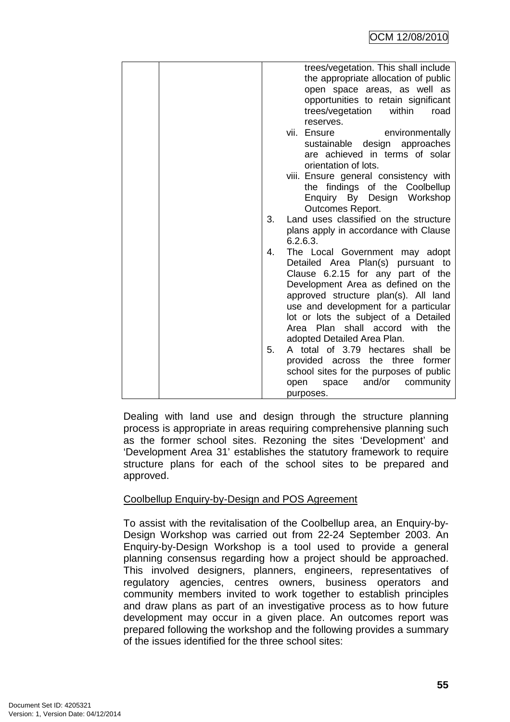| are achieved in terms of solar<br>orientation of lots.<br>viii. Ensure general consistency with<br>the findings of the Coolbellup<br>Enquiry By Design Workshop<br>Outcomes Report.<br>Land uses classified on the structure<br>plans apply in accordance with Clause<br>6.2.6.3.<br>The Local Government may adopt<br>Detailed Area Plan(s)<br>pursuant to<br>Clause 6.2.15 for any part of the<br>Development Area as defined on the<br>approved structure plan(s). All land<br>use and development for a particular<br>lot or lots the subject of a Detailed<br>Area Plan shall accord with the<br>adopted Detailed Area Plan.<br>A total of 3.79 hectares shall be |
|------------------------------------------------------------------------------------------------------------------------------------------------------------------------------------------------------------------------------------------------------------------------------------------------------------------------------------------------------------------------------------------------------------------------------------------------------------------------------------------------------------------------------------------------------------------------------------------------------------------------------------------------------------------------|
| the<br>three<br>provided across<br>former<br>school sites for the purposes of public<br>and/or<br>community<br>space<br>open<br>purposes.                                                                                                                                                                                                                                                                                                                                                                                                                                                                                                                              |
|                                                                                                                                                                                                                                                                                                                                                                                                                                                                                                                                                                                                                                                                        |

Dealing with land use and design through the structure planning process is appropriate in areas requiring comprehensive planning such as the former school sites. Rezoning the sites 'Development' and 'Development Area 31' establishes the statutory framework to require structure plans for each of the school sites to be prepared and approved.

# Coolbellup Enquiry-by-Design and POS Agreement

To assist with the revitalisation of the Coolbellup area, an Enquiry-by-Design Workshop was carried out from 22-24 September 2003. An Enquiry-by-Design Workshop is a tool used to provide a general planning consensus regarding how a project should be approached. This involved designers, planners, engineers, representatives of regulatory agencies, centres owners, business operators and community members invited to work together to establish principles and draw plans as part of an investigative process as to how future development may occur in a given place. An outcomes report was prepared following the workshop and the following provides a summary of the issues identified for the three school sites: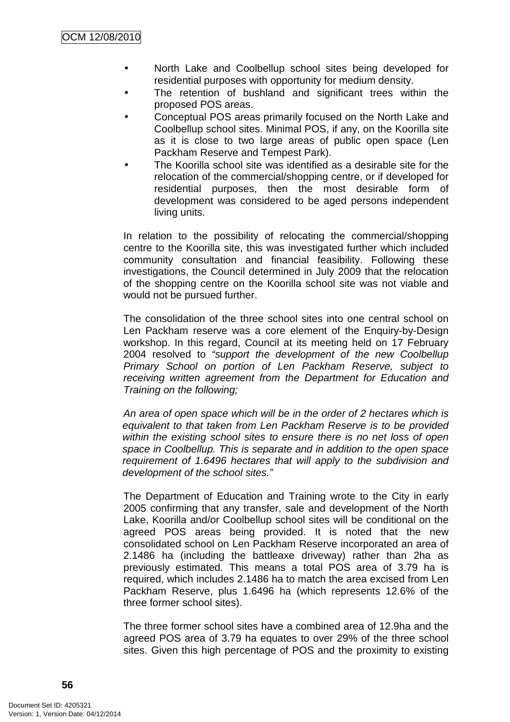- North Lake and Coolbellup school sites being developed for residential purposes with opportunity for medium density.
- The retention of bushland and significant trees within the proposed POS areas.
- Conceptual POS areas primarily focused on the North Lake and Coolbellup school sites. Minimal POS, if any, on the Koorilla site as it is close to two large areas of public open space (Len Packham Reserve and Tempest Park).
- The Koorilla school site was identified as a desirable site for the relocation of the commercial/shopping centre, or if developed for residential purposes, then the most desirable form of development was considered to be aged persons independent living units.

In relation to the possibility of relocating the commercial/shopping centre to the Koorilla site, this was investigated further which included community consultation and financial feasibility. Following these investigations, the Council determined in July 2009 that the relocation of the shopping centre on the Koorilla school site was not viable and would not be pursued further.

The consolidation of the three school sites into one central school on Len Packham reserve was a core element of the Enquiry-by-Design workshop. In this regard, Council at its meeting held on 17 February 2004 resolved to "support the development of the new Coolbellup Primary School on portion of Len Packham Reserve, subject to receiving written agreement from the Department for Education and Training on the following;

An area of open space which will be in the order of 2 hectares which is equivalent to that taken from Len Packham Reserve is to be provided within the existing school sites to ensure there is no net loss of open space in Coolbellup. This is separate and in addition to the open space requirement of 1.6496 hectares that will apply to the subdivision and development of the school sites."

The Department of Education and Training wrote to the City in early 2005 confirming that any transfer, sale and development of the North Lake, Koorilla and/or Coolbellup school sites will be conditional on the agreed POS areas being provided. It is noted that the new consolidated school on Len Packham Reserve incorporated an area of 2.1486 ha (including the battleaxe driveway) rather than 2ha as previously estimated. This means a total POS area of 3.79 ha is required, which includes 2.1486 ha to match the area excised from Len Packham Reserve, plus 1.6496 ha (which represents 12.6% of the three former school sites).

The three former school sites have a combined area of 12.9ha and the agreed POS area of 3.79 ha equates to over 29% of the three school sites. Given this high percentage of POS and the proximity to existing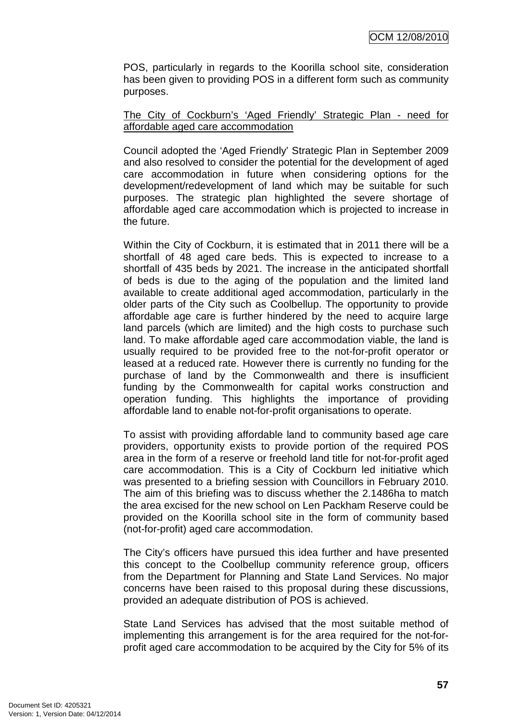POS, particularly in regards to the Koorilla school site, consideration has been given to providing POS in a different form such as community purposes.

### The City of Cockburn's 'Aged Friendly' Strategic Plan - need for affordable aged care accommodation

Council adopted the 'Aged Friendly' Strategic Plan in September 2009 and also resolved to consider the potential for the development of aged care accommodation in future when considering options for the development/redevelopment of land which may be suitable for such purposes. The strategic plan highlighted the severe shortage of affordable aged care accommodation which is projected to increase in the future.

Within the City of Cockburn, it is estimated that in 2011 there will be a shortfall of 48 aged care beds. This is expected to increase to a shortfall of 435 beds by 2021. The increase in the anticipated shortfall of beds is due to the aging of the population and the limited land available to create additional aged accommodation, particularly in the older parts of the City such as Coolbellup. The opportunity to provide affordable age care is further hindered by the need to acquire large land parcels (which are limited) and the high costs to purchase such land. To make affordable aged care accommodation viable, the land is usually required to be provided free to the not-for-profit operator or leased at a reduced rate. However there is currently no funding for the purchase of land by the Commonwealth and there is insufficient funding by the Commonwealth for capital works construction and operation funding. This highlights the importance of providing affordable land to enable not-for-profit organisations to operate.

To assist with providing affordable land to community based age care providers, opportunity exists to provide portion of the required POS area in the form of a reserve or freehold land title for not-for-profit aged care accommodation. This is a City of Cockburn led initiative which was presented to a briefing session with Councillors in February 2010. The aim of this briefing was to discuss whether the 2.1486ha to match the area excised for the new school on Len Packham Reserve could be provided on the Koorilla school site in the form of community based (not-for-profit) aged care accommodation.

The City's officers have pursued this idea further and have presented this concept to the Coolbellup community reference group, officers from the Department for Planning and State Land Services. No major concerns have been raised to this proposal during these discussions, provided an adequate distribution of POS is achieved.

State Land Services has advised that the most suitable method of implementing this arrangement is for the area required for the not-forprofit aged care accommodation to be acquired by the City for 5% of its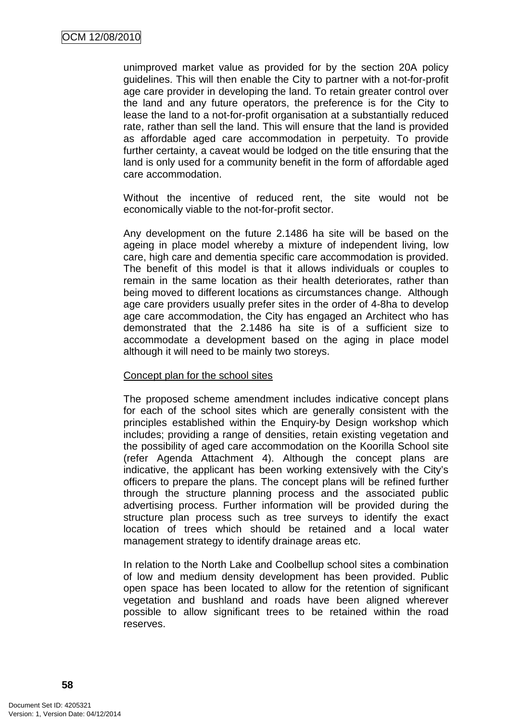unimproved market value as provided for by the section 20A policy guidelines. This will then enable the City to partner with a not-for-profit age care provider in developing the land. To retain greater control over the land and any future operators, the preference is for the City to lease the land to a not-for-profit organisation at a substantially reduced rate, rather than sell the land. This will ensure that the land is provided as affordable aged care accommodation in perpetuity. To provide further certainty, a caveat would be lodged on the title ensuring that the land is only used for a community benefit in the form of affordable aged care accommodation.

Without the incentive of reduced rent, the site would not be economically viable to the not-for-profit sector.

Any development on the future 2.1486 ha site will be based on the ageing in place model whereby a mixture of independent living, low care, high care and dementia specific care accommodation is provided. The benefit of this model is that it allows individuals or couples to remain in the same location as their health deteriorates, rather than being moved to different locations as circumstances change. Although age care providers usually prefer sites in the order of 4-8ha to develop age care accommodation, the City has engaged an Architect who has demonstrated that the 2.1486 ha site is of a sufficient size to accommodate a development based on the aging in place model although it will need to be mainly two storeys.

### Concept plan for the school sites

The proposed scheme amendment includes indicative concept plans for each of the school sites which are generally consistent with the principles established within the Enquiry-by Design workshop which includes; providing a range of densities, retain existing vegetation and the possibility of aged care accommodation on the Koorilla School site (refer Agenda Attachment 4). Although the concept plans are indicative, the applicant has been working extensively with the City's officers to prepare the plans. The concept plans will be refined further through the structure planning process and the associated public advertising process. Further information will be provided during the structure plan process such as tree surveys to identify the exact location of trees which should be retained and a local water management strategy to identify drainage areas etc.

In relation to the North Lake and Coolbellup school sites a combination of low and medium density development has been provided. Public open space has been located to allow for the retention of significant vegetation and bushland and roads have been aligned wherever possible to allow significant trees to be retained within the road reserves.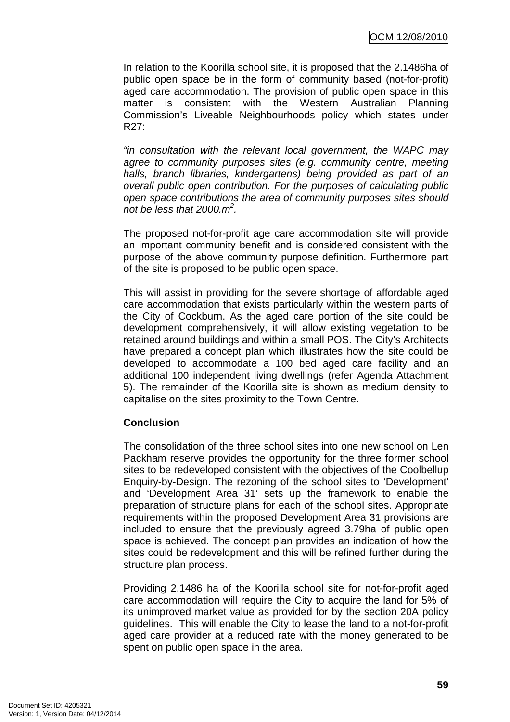In relation to the Koorilla school site, it is proposed that the 2.1486ha of public open space be in the form of community based (not-for-profit) aged care accommodation. The provision of public open space in this matter is consistent with the Western Australian Planning Commission's Liveable Neighbourhoods policy which states under R27:

"in consultation with the relevant local government, the WAPC may agree to community purposes sites (e.g. community centre, meeting halls, branch libraries, kindergartens) being provided as part of an overall public open contribution. For the purposes of calculating public open space contributions the area of community purposes sites should not be less that  $2000 \cdot m^2$ .

The proposed not-for-profit age care accommodation site will provide an important community benefit and is considered consistent with the purpose of the above community purpose definition. Furthermore part of the site is proposed to be public open space.

This will assist in providing for the severe shortage of affordable aged care accommodation that exists particularly within the western parts of the City of Cockburn. As the aged care portion of the site could be development comprehensively, it will allow existing vegetation to be retained around buildings and within a small POS. The City's Architects have prepared a concept plan which illustrates how the site could be developed to accommodate a 100 bed aged care facility and an additional 100 independent living dwellings (refer Agenda Attachment 5). The remainder of the Koorilla site is shown as medium density to capitalise on the sites proximity to the Town Centre.

### **Conclusion**

The consolidation of the three school sites into one new school on Len Packham reserve provides the opportunity for the three former school sites to be redeveloped consistent with the objectives of the Coolbellup Enquiry-by-Design. The rezoning of the school sites to 'Development' and 'Development Area 31' sets up the framework to enable the preparation of structure plans for each of the school sites. Appropriate requirements within the proposed Development Area 31 provisions are included to ensure that the previously agreed 3.79ha of public open space is achieved. The concept plan provides an indication of how the sites could be redevelopment and this will be refined further during the structure plan process.

Providing 2.1486 ha of the Koorilla school site for not-for-profit aged care accommodation will require the City to acquire the land for 5% of its unimproved market value as provided for by the section 20A policy guidelines. This will enable the City to lease the land to a not-for-profit aged care provider at a reduced rate with the money generated to be spent on public open space in the area.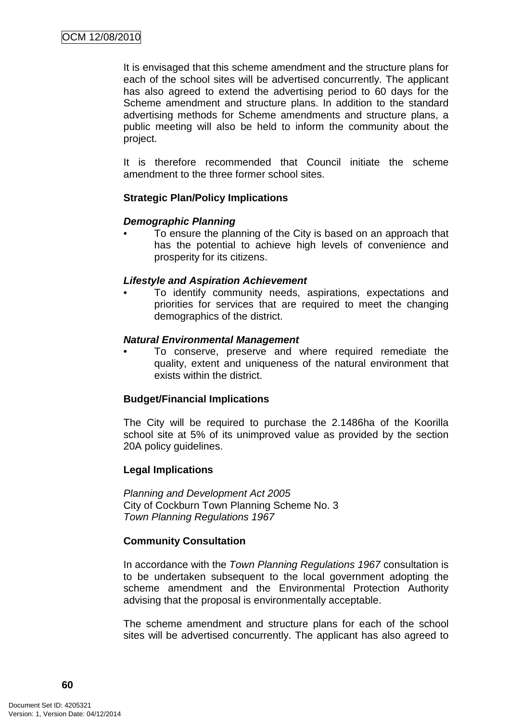It is envisaged that this scheme amendment and the structure plans for each of the school sites will be advertised concurrently. The applicant has also agreed to extend the advertising period to 60 days for the Scheme amendment and structure plans. In addition to the standard advertising methods for Scheme amendments and structure plans, a public meeting will also be held to inform the community about the project.

It is therefore recommended that Council initiate the scheme amendment to the three former school sites.

### **Strategic Plan/Policy Implications**

#### **Demographic Planning**

• To ensure the planning of the City is based on an approach that has the potential to achieve high levels of convenience and prosperity for its citizens.

#### **Lifestyle and Aspiration Achievement**

• To identify community needs, aspirations, expectations and priorities for services that are required to meet the changing demographics of the district.

#### **Natural Environmental Management**

• To conserve, preserve and where required remediate the quality, extent and uniqueness of the natural environment that exists within the district.

### **Budget/Financial Implications**

The City will be required to purchase the 2.1486ha of the Koorilla school site at 5% of its unimproved value as provided by the section 20A policy guidelines.

### **Legal Implications**

Planning and Development Act 2005 City of Cockburn Town Planning Scheme No. 3 Town Planning Regulations 1967

### **Community Consultation**

In accordance with the Town Planning Regulations 1967 consultation is to be undertaken subsequent to the local government adopting the scheme amendment and the Environmental Protection Authority advising that the proposal is environmentally acceptable.

The scheme amendment and structure plans for each of the school sites will be advertised concurrently. The applicant has also agreed to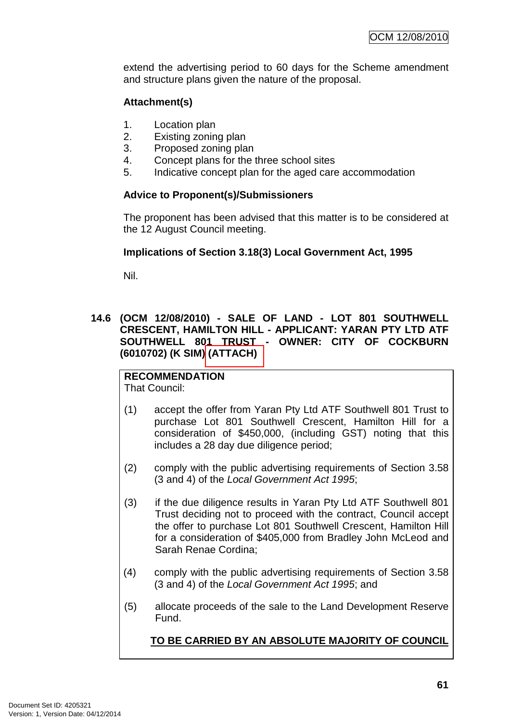extend the advertising period to 60 days for the Scheme amendment and structure plans given the nature of the proposal.

# **Attachment(s)**

- 1. Location plan
- 2. Existing zoning plan
- 3. Proposed zoning plan
- 4. Concept plans for the three school sites
- 5. Indicative concept plan for the aged care accommodation

### **Advice to Proponent(s)/Submissioners**

The proponent has been advised that this matter is to be considered at the 12 August Council meeting.

### **Implications of Section 3.18(3) Local Government Act, 1995**

Nil.

### **14.6 (OCM 12/08/2010) - SALE OF LAND - LOT 801 SOUTHWELL CRESCENT, HAMILTON HILL - APPLICANT: YARAN PTY LTD ATF SOUTHWELL 801 TRUST - OWNER: CITY OF COCKBURN (6010702) (K SIM) (ATTACH)**

#### **RECOMMENDATION** That Council:

- (1) accept the offer from Yaran Pty Ltd ATF Southwell 801 Trust to purchase Lot 801 Southwell Crescent, Hamilton Hill for a consideration of \$450,000, (including GST) noting that this includes a 28 day due diligence period;
- (2) comply with the public advertising requirements of Section 3.58 (3 and 4) of the Local Government Act 1995;
- (3) if the due diligence results in Yaran Pty Ltd ATF Southwell 801 Trust deciding not to proceed with the contract, Council accept the offer to purchase Lot 801 Southwell Crescent, Hamilton Hill for a consideration of \$405,000 from Bradley John McLeod and Sarah Renae Cordina;
- (4) comply with the public advertising requirements of Section 3.58 (3 and 4) of the Local Government Act 1995; and
- (5) allocate proceeds of the sale to the Land Development Reserve Fund.

### **TO BE CARRIED BY AN ABSOLUTE MAJORITY OF COUNCIL**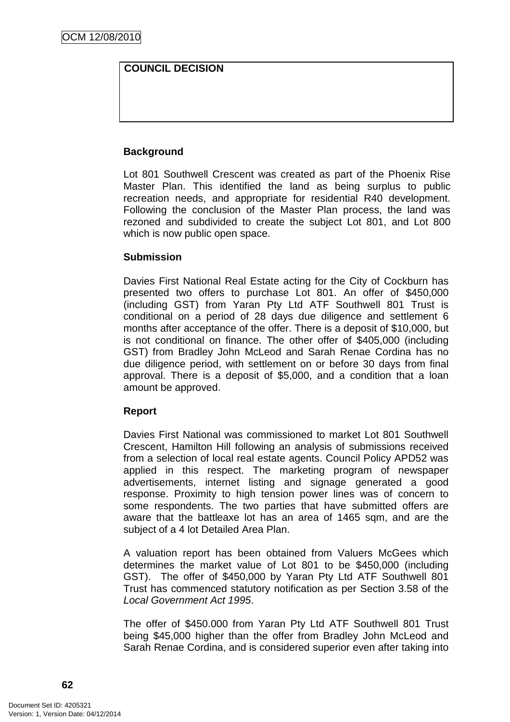# **COUNCIL DECISION**

### **Background**

Lot 801 Southwell Crescent was created as part of the Phoenix Rise Master Plan. This identified the land as being surplus to public recreation needs, and appropriate for residential R40 development. Following the conclusion of the Master Plan process, the land was rezoned and subdivided to create the subject Lot 801, and Lot 800 which is now public open space.

### **Submission**

Davies First National Real Estate acting for the City of Cockburn has presented two offers to purchase Lot 801. An offer of \$450,000 (including GST) from Yaran Pty Ltd ATF Southwell 801 Trust is conditional on a period of 28 days due diligence and settlement 6 months after acceptance of the offer. There is a deposit of \$10,000, but is not conditional on finance. The other offer of \$405,000 (including GST) from Bradley John McLeod and Sarah Renae Cordina has no due diligence period, with settlement on or before 30 days from final approval. There is a deposit of \$5,000, and a condition that a loan amount be approved.

### **Report**

Davies First National was commissioned to market Lot 801 Southwell Crescent, Hamilton Hill following an analysis of submissions received from a selection of local real estate agents. Council Policy APD52 was applied in this respect. The marketing program of newspaper advertisements, internet listing and signage generated a good response. Proximity to high tension power lines was of concern to some respondents. The two parties that have submitted offers are aware that the battleaxe lot has an area of 1465 sqm, and are the subject of a 4 lot Detailed Area Plan.

A valuation report has been obtained from Valuers McGees which determines the market value of Lot 801 to be \$450,000 (including GST). The offer of \$450,000 by Yaran Pty Ltd ATF Southwell 801 Trust has commenced statutory notification as per Section 3.58 of the Local Government Act 1995.

The offer of \$450.000 from Yaran Pty Ltd ATF Southwell 801 Trust being \$45,000 higher than the offer from Bradley John McLeod and Sarah Renae Cordina, and is considered superior even after taking into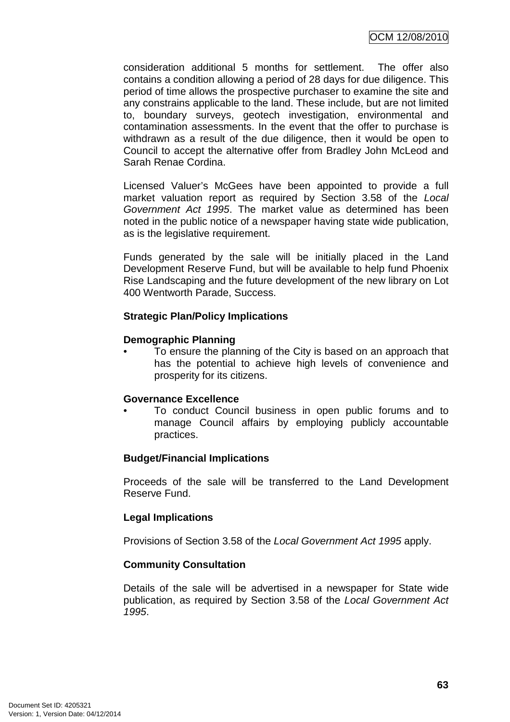consideration additional 5 months for settlement. The offer also contains a condition allowing a period of 28 days for due diligence. This period of time allows the prospective purchaser to examine the site and any constrains applicable to the land. These include, but are not limited to, boundary surveys, geotech investigation, environmental and contamination assessments. In the event that the offer to purchase is withdrawn as a result of the due diligence, then it would be open to Council to accept the alternative offer from Bradley John McLeod and Sarah Renae Cordina.

Licensed Valuer's McGees have been appointed to provide a full market valuation report as required by Section 3.58 of the Local Government Act 1995. The market value as determined has been noted in the public notice of a newspaper having state wide publication, as is the legislative requirement.

Funds generated by the sale will be initially placed in the Land Development Reserve Fund, but will be available to help fund Phoenix Rise Landscaping and the future development of the new library on Lot 400 Wentworth Parade, Success.

### **Strategic Plan/Policy Implications**

### **Demographic Planning**

• To ensure the planning of the City is based on an approach that has the potential to achieve high levels of convenience and prosperity for its citizens.

# **Governance Excellence**

• To conduct Council business in open public forums and to manage Council affairs by employing publicly accountable practices.

# **Budget/Financial Implications**

Proceeds of the sale will be transferred to the Land Development Reserve Fund.

# **Legal Implications**

Provisions of Section 3.58 of the Local Government Act 1995 apply.

# **Community Consultation**

Details of the sale will be advertised in a newspaper for State wide publication, as required by Section 3.58 of the Local Government Act 1995.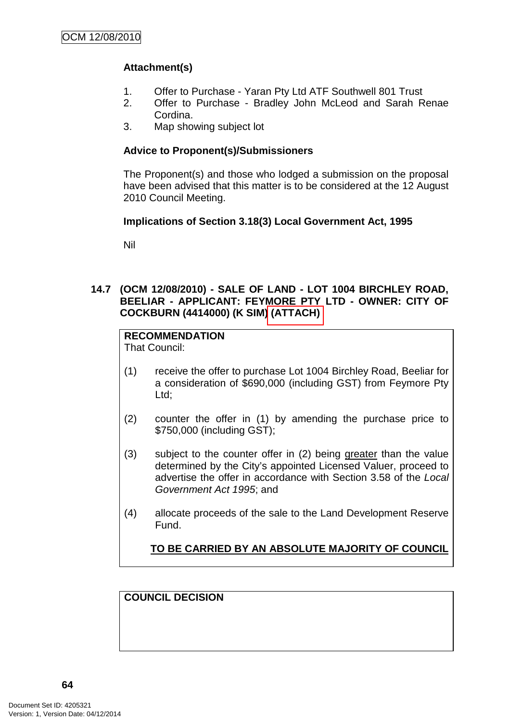# **Attachment(s)**

- 1. Offer to Purchase Yaran Pty Ltd ATF Southwell 801 Trust
- 2. Offer to Purchase Bradley John McLeod and Sarah Renae Cordina.
- 3. Map showing subject lot

### **Advice to Proponent(s)/Submissioners**

The Proponent(s) and those who lodged a submission on the proposal have been advised that this matter is to be considered at the 12 August 2010 Council Meeting.

# **Implications of Section 3.18(3) Local Government Act, 1995**

Nil

### **14.7 (OCM 12/08/2010) - SALE OF LAND - LOT 1004 BIRCHLEY ROAD, BEELIAR - APPLICANT: FEYMORE PTY LTD - OWNER: CITY OF COCKBURN (4414000) (K SIM) (ATTACH)**

# **RECOMMENDATION**

That Council:

- (1) receive the offer to purchase Lot 1004 Birchley Road, Beeliar for a consideration of \$690,000 (including GST) from Feymore Pty Ltd;
- (2) counter the offer in (1) by amending the purchase price to \$750,000 (including GST);
- (3) subject to the counter offer in (2) being greater than the value determined by the City's appointed Licensed Valuer, proceed to advertise the offer in accordance with Section 3.58 of the Local Government Act 1995; and
- (4) allocate proceeds of the sale to the Land Development Reserve Fund.

# **TO BE CARRIED BY AN ABSOLUTE MAJORITY OF COUNCIL**

**COUNCIL DECISION**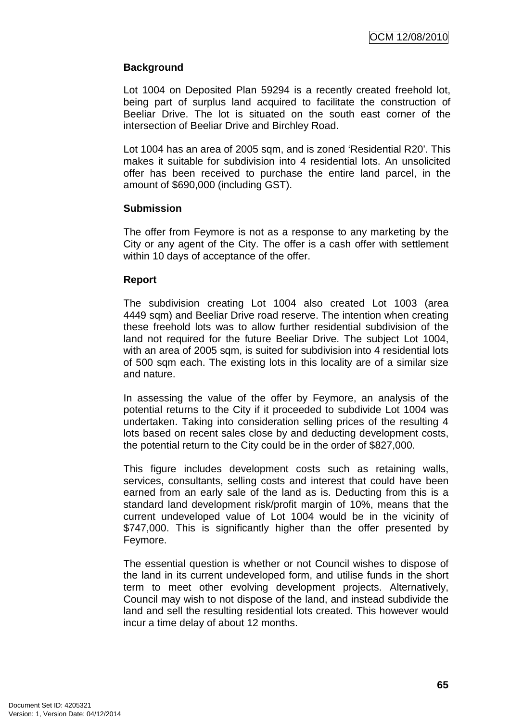### **Background**

Lot 1004 on Deposited Plan 59294 is a recently created freehold lot, being part of surplus land acquired to facilitate the construction of Beeliar Drive. The lot is situated on the south east corner of the intersection of Beeliar Drive and Birchley Road.

Lot 1004 has an area of 2005 sqm, and is zoned 'Residential R20'. This makes it suitable for subdivision into 4 residential lots. An unsolicited offer has been received to purchase the entire land parcel, in the amount of \$690,000 (including GST).

### **Submission**

The offer from Feymore is not as a response to any marketing by the City or any agent of the City. The offer is a cash offer with settlement within 10 days of acceptance of the offer.

#### **Report**

The subdivision creating Lot 1004 also created Lot 1003 (area 4449 sam) and Beeliar Drive road reserve. The intention when creating these freehold lots was to allow further residential subdivision of the land not required for the future Beeliar Drive. The subject Lot 1004, with an area of 2005 sqm, is suited for subdivision into 4 residential lots of 500 sqm each. The existing lots in this locality are of a similar size and nature.

In assessing the value of the offer by Feymore, an analysis of the potential returns to the City if it proceeded to subdivide Lot 1004 was undertaken. Taking into consideration selling prices of the resulting 4 lots based on recent sales close by and deducting development costs, the potential return to the City could be in the order of \$827,000.

This figure includes development costs such as retaining walls, services, consultants, selling costs and interest that could have been earned from an early sale of the land as is. Deducting from this is a standard land development risk/profit margin of 10%, means that the current undeveloped value of Lot 1004 would be in the vicinity of \$747,000. This is significantly higher than the offer presented by Feymore.

The essential question is whether or not Council wishes to dispose of the land in its current undeveloped form, and utilise funds in the short term to meet other evolving development projects. Alternatively, Council may wish to not dispose of the land, and instead subdivide the land and sell the resulting residential lots created. This however would incur a time delay of about 12 months.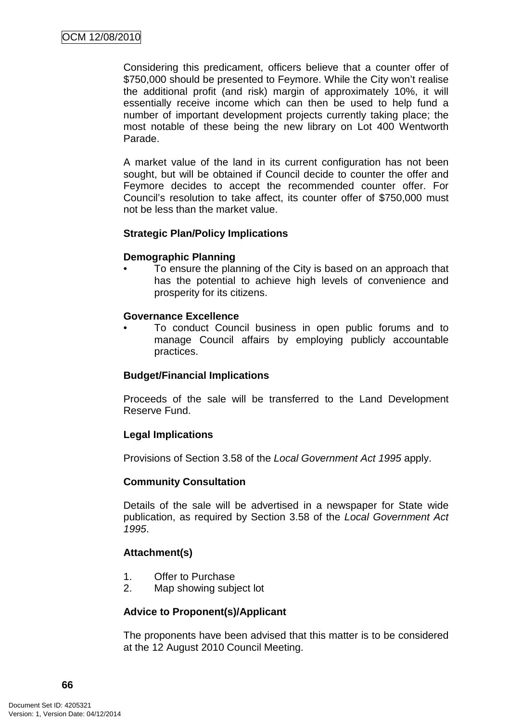Considering this predicament, officers believe that a counter offer of \$750,000 should be presented to Feymore. While the City won't realise the additional profit (and risk) margin of approximately 10%, it will essentially receive income which can then be used to help fund a number of important development projects currently taking place; the most notable of these being the new library on Lot 400 Wentworth Parade.

A market value of the land in its current configuration has not been sought, but will be obtained if Council decide to counter the offer and Feymore decides to accept the recommended counter offer. For Council's resolution to take affect, its counter offer of \$750,000 must not be less than the market value.

### **Strategic Plan/Policy Implications**

#### **Demographic Planning**

• To ensure the planning of the City is based on an approach that has the potential to achieve high levels of convenience and prosperity for its citizens.

#### **Governance Excellence**

• To conduct Council business in open public forums and to manage Council affairs by employing publicly accountable practices.

### **Budget/Financial Implications**

Proceeds of the sale will be transferred to the Land Development Reserve Fund.

### **Legal Implications**

Provisions of Section 3.58 of the Local Government Act 1995 apply.

#### **Community Consultation**

Details of the sale will be advertised in a newspaper for State wide publication, as required by Section 3.58 of the Local Government Act 1995.

### **Attachment(s)**

- 1. Offer to Purchase
- 2. Map showing subject lot

### **Advice to Proponent(s)/Applicant**

The proponents have been advised that this matter is to be considered at the 12 August 2010 Council Meeting.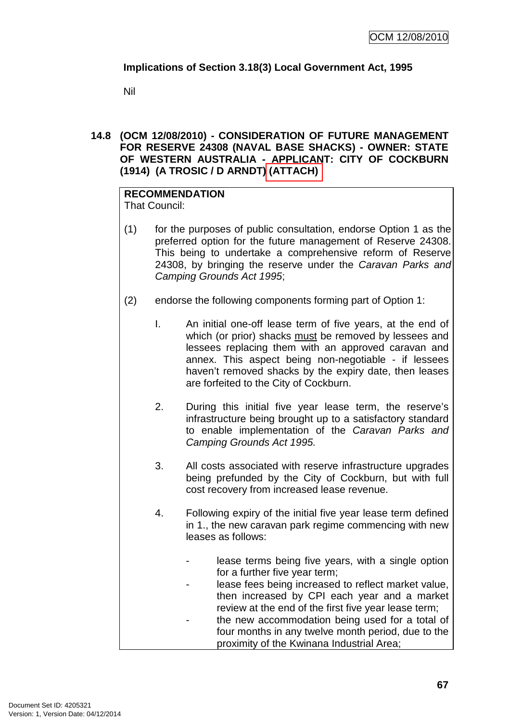# **Implications of Section 3.18(3) Local Government Act, 1995**

Nil

### **14.8 (OCM 12/08/2010) - CONSIDERATION OF FUTURE MANAGEMENT FOR RESERVE 24308 (NAVAL BASE SHACKS) - OWNER: STATE OF WESTERN AUSTRALIA - APPLICANT: CITY OF COCKBURN (1914) (A TROSIC / D ARNDT) (ATTACH)**

# **RECOMMENDATION**

That Council:

- (1) for the purposes of public consultation, endorse Option 1 as the preferred option for the future management of Reserve 24308. This being to undertake a comprehensive reform of Reserve 24308, by bringing the reserve under the Caravan Parks and Camping Grounds Act 1995;
- (2) endorse the following components forming part of Option 1:
	- I. An initial one-off lease term of five years, at the end of which (or prior) shacks must be removed by lessees and lessees replacing them with an approved caravan and annex. This aspect being non-negotiable - if lessees haven't removed shacks by the expiry date, then leases are forfeited to the City of Cockburn.
	- 2. During this initial five year lease term, the reserve's infrastructure being brought up to a satisfactory standard to enable implementation of the Caravan Parks and Camping Grounds Act 1995.
	- 3. All costs associated with reserve infrastructure upgrades being prefunded by the City of Cockburn, but with full cost recovery from increased lease revenue.
	- 4. Following expiry of the initial five year lease term defined in 1., the new caravan park regime commencing with new leases as follows:
		- lease terms being five years, with a single option for a further five year term;
		- lease fees being increased to reflect market value, then increased by CPI each year and a market review at the end of the first five year lease term;
		- the new accommodation being used for a total of four months in any twelve month period, due to the proximity of the Kwinana Industrial Area;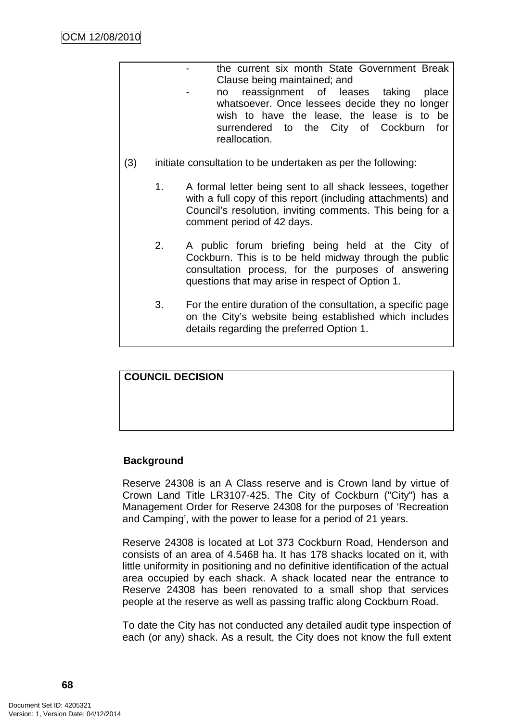| the current six month State Government Break<br>Clause being maintained; and<br>reassignment of leases taking place<br>no<br>whatsoever. Once lessees decide they no longer<br>wish to have the lease, the lease is to be<br>surrendered to the City of Cockburn for<br>reallocation.<br>initiate consultation to be undertaken as per the following:<br>1.<br>A formal letter being sent to all shack lessees, together<br>with a full copy of this report (including attachments) and<br>Council's resolution, inviting comments. This being for a<br>comment period of 42 days.<br>A public forum briefing being held at the City of<br>2.<br>Cockburn. This is to be held midway through the public<br>consultation process, for the purposes of answering<br>questions that may arise in respect of Option 1.<br>3.<br>For the entire duration of the consultation, a specific page<br>on the City's website being established which includes<br>details regarding the preferred Option 1. |     |  |
|-------------------------------------------------------------------------------------------------------------------------------------------------------------------------------------------------------------------------------------------------------------------------------------------------------------------------------------------------------------------------------------------------------------------------------------------------------------------------------------------------------------------------------------------------------------------------------------------------------------------------------------------------------------------------------------------------------------------------------------------------------------------------------------------------------------------------------------------------------------------------------------------------------------------------------------------------------------------------------------------------|-----|--|
|                                                                                                                                                                                                                                                                                                                                                                                                                                                                                                                                                                                                                                                                                                                                                                                                                                                                                                                                                                                                 |     |  |
|                                                                                                                                                                                                                                                                                                                                                                                                                                                                                                                                                                                                                                                                                                                                                                                                                                                                                                                                                                                                 | (3) |  |
|                                                                                                                                                                                                                                                                                                                                                                                                                                                                                                                                                                                                                                                                                                                                                                                                                                                                                                                                                                                                 |     |  |
|                                                                                                                                                                                                                                                                                                                                                                                                                                                                                                                                                                                                                                                                                                                                                                                                                                                                                                                                                                                                 |     |  |
|                                                                                                                                                                                                                                                                                                                                                                                                                                                                                                                                                                                                                                                                                                                                                                                                                                                                                                                                                                                                 |     |  |

**COUNCIL DECISION** 

# **Background**

Reserve 24308 is an A Class reserve and is Crown land by virtue of Crown Land Title LR3107-425. The City of Cockburn ("City") has a Management Order for Reserve 24308 for the purposes of 'Recreation and Camping', with the power to lease for a period of 21 years.

Reserve 24308 is located at Lot 373 Cockburn Road, Henderson and consists of an area of 4.5468 ha. It has 178 shacks located on it, with little uniformity in positioning and no definitive identification of the actual area occupied by each shack. A shack located near the entrance to Reserve 24308 has been renovated to a small shop that services people at the reserve as well as passing traffic along Cockburn Road.

To date the City has not conducted any detailed audit type inspection of each (or any) shack. As a result, the City does not know the full extent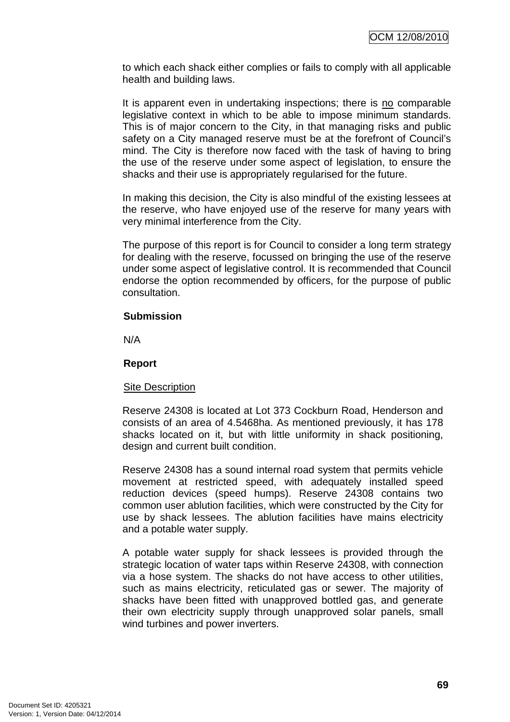to which each shack either complies or fails to comply with all applicable health and building laws.

It is apparent even in undertaking inspections; there is no comparable legislative context in which to be able to impose minimum standards. This is of major concern to the City, in that managing risks and public safety on a City managed reserve must be at the forefront of Council's mind. The City is therefore now faced with the task of having to bring the use of the reserve under some aspect of legislation, to ensure the shacks and their use is appropriately regularised for the future.

In making this decision, the City is also mindful of the existing lessees at the reserve, who have enjoyed use of the reserve for many years with very minimal interference from the City.

The purpose of this report is for Council to consider a long term strategy for dealing with the reserve, focussed on bringing the use of the reserve under some aspect of legislative control. It is recommended that Council endorse the option recommended by officers, for the purpose of public consultation.

#### **Submission**

N/A

### **Report**

#### Site Description

Reserve 24308 is located at Lot 373 Cockburn Road, Henderson and consists of an area of 4.5468ha. As mentioned previously, it has 178 shacks located on it, but with little uniformity in shack positioning, design and current built condition.

Reserve 24308 has a sound internal road system that permits vehicle movement at restricted speed, with adequately installed speed reduction devices (speed humps). Reserve 24308 contains two common user ablution facilities, which were constructed by the City for use by shack lessees. The ablution facilities have mains electricity and a potable water supply.

A potable water supply for shack lessees is provided through the strategic location of water taps within Reserve 24308, with connection via a hose system. The shacks do not have access to other utilities, such as mains electricity, reticulated gas or sewer. The majority of shacks have been fitted with unapproved bottled gas, and generate their own electricity supply through unapproved solar panels, small wind turbines and power inverters.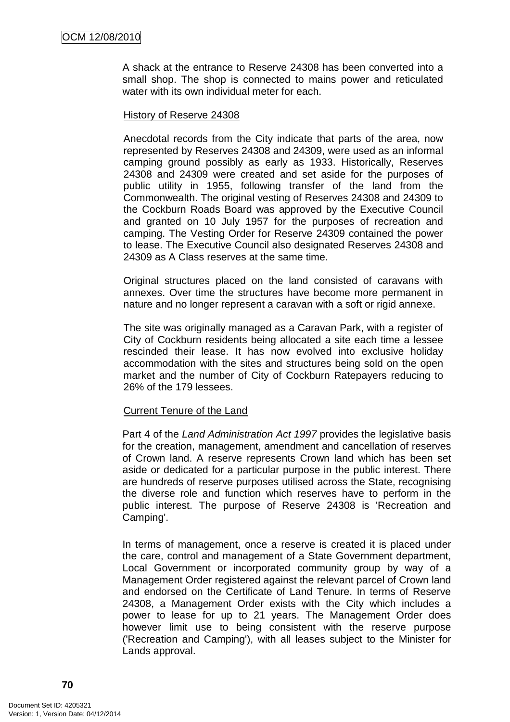A shack at the entrance to Reserve 24308 has been converted into a small shop. The shop is connected to mains power and reticulated water with its own individual meter for each.

#### History of Reserve 24308

Anecdotal records from the City indicate that parts of the area, now represented by Reserves 24308 and 24309, were used as an informal camping ground possibly as early as 1933. Historically, Reserves 24308 and 24309 were created and set aside for the purposes of public utility in 1955, following transfer of the land from the Commonwealth. The original vesting of Reserves 24308 and 24309 to the Cockburn Roads Board was approved by the Executive Council and granted on 10 July 1957 for the purposes of recreation and camping. The Vesting Order for Reserve 24309 contained the power to lease. The Executive Council also designated Reserves 24308 and 24309 as A Class reserves at the same time.

Original structures placed on the land consisted of caravans with annexes. Over time the structures have become more permanent in nature and no longer represent a caravan with a soft or rigid annexe.

The site was originally managed as a Caravan Park, with a register of City of Cockburn residents being allocated a site each time a lessee rescinded their lease. It has now evolved into exclusive holiday accommodation with the sites and structures being sold on the open market and the number of City of Cockburn Ratepayers reducing to 26% of the 179 lessees.

### Current Tenure of the Land

Part 4 of the Land Administration Act 1997 provides the legislative basis for the creation, management, amendment and cancellation of reserves of Crown land. A reserve represents Crown land which has been set aside or dedicated for a particular purpose in the public interest. There are hundreds of reserve purposes utilised across the State, recognising the diverse role and function which reserves have to perform in the public interest. The purpose of Reserve 24308 is 'Recreation and Camping'.

In terms of management, once a reserve is created it is placed under the care, control and management of a State Government department, Local Government or incorporated community group by way of a Management Order registered against the relevant parcel of Crown land and endorsed on the Certificate of Land Tenure. In terms of Reserve 24308, a Management Order exists with the City which includes a power to lease for up to 21 years. The Management Order does however limit use to being consistent with the reserve purpose ('Recreation and Camping'), with all leases subject to the Minister for Lands approval.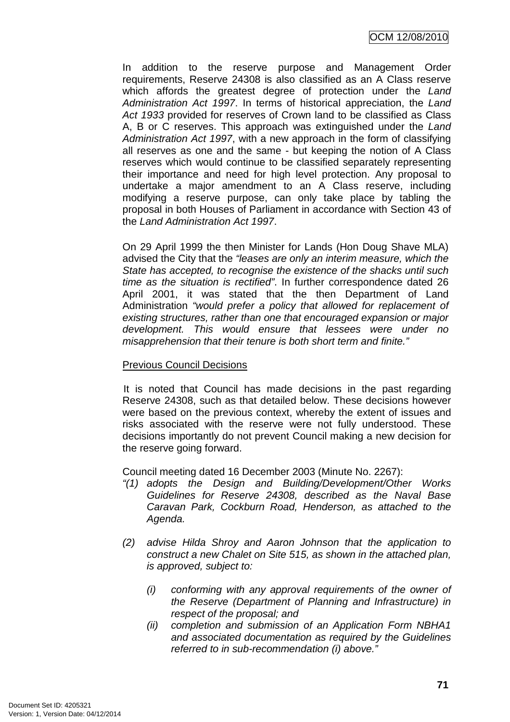In addition to the reserve purpose and Management Order requirements, Reserve 24308 is also classified as an A Class reserve which affords the greatest degree of protection under the Land Administration Act 1997. In terms of historical appreciation, the Land Act 1933 provided for reserves of Crown land to be classified as Class A, B or C reserves. This approach was extinguished under the Land Administration Act 1997, with a new approach in the form of classifying all reserves as one and the same - but keeping the notion of A Class reserves which would continue to be classified separately representing their importance and need for high level protection. Any proposal to undertake a major amendment to an A Class reserve, including modifying a reserve purpose, can only take place by tabling the proposal in both Houses of Parliament in accordance with Section 43 of the Land Administration Act 1997.

On 29 April 1999 the then Minister for Lands (Hon Doug Shave MLA) advised the City that the "leases are only an interim measure, which the State has accepted, to recognise the existence of the shacks until such time as the situation is rectified". In further correspondence dated 26 April 2001, it was stated that the then Department of Land Administration "would prefer a policy that allowed for replacement of existing structures, rather than one that encouraged expansion or major development. This would ensure that lessees were under no misapprehension that their tenure is both short term and finite."

## Previous Council Decisions

It is noted that Council has made decisions in the past regarding Reserve 24308, such as that detailed below. These decisions however were based on the previous context, whereby the extent of issues and risks associated with the reserve were not fully understood. These decisions importantly do not prevent Council making a new decision for the reserve going forward.

Council meeting dated 16 December 2003 (Minute No. 2267):

- "(1) adopts the Design and Building/Development/Other Works Guidelines for Reserve 24308, described as the Naval Base Caravan Park, Cockburn Road, Henderson, as attached to the Agenda.
- (2) advise Hilda Shroy and Aaron Johnson that the application to construct a new Chalet on Site 515, as shown in the attached plan, is approved, subject to:
	- (i) conforming with any approval requirements of the owner of the Reserve (Department of Planning and Infrastructure) in respect of the proposal; and
	- (ii) completion and submission of an Application Form NBHA1 and associated documentation as required by the Guidelines referred to in sub-recommendation (i) above."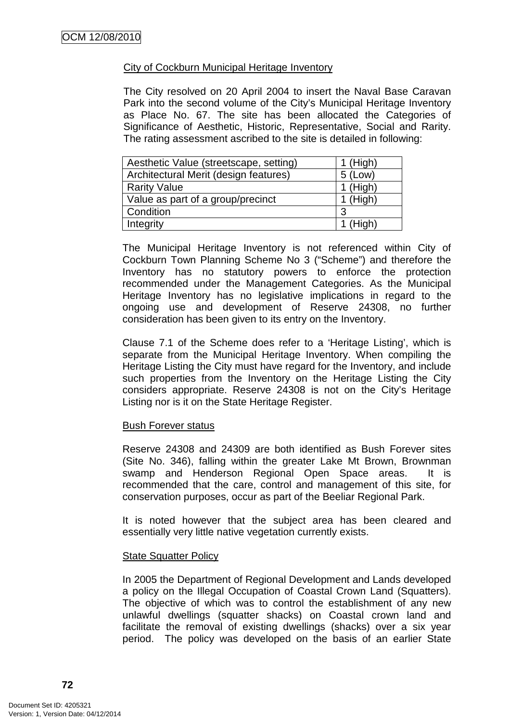## City of Cockburn Municipal Heritage Inventory

The City resolved on 20 April 2004 to insert the Naval Base Caravan Park into the second volume of the City's Municipal Heritage Inventory as Place No. 67. The site has been allocated the Categories of Significance of Aesthetic, Historic, Representative, Social and Rarity. The rating assessment ascribed to the site is detailed in following:

| Aesthetic Value (streetscape, setting) | $1$ (High) |
|----------------------------------------|------------|
| Architectural Merit (design features)  | $5$ (Low)  |
| <b>Rarity Value</b>                    | $1$ (High) |
| Value as part of a group/precinct      | $1$ (High) |
| Condition                              | -3         |
| Integrity                              | $1$ (High) |

The Municipal Heritage Inventory is not referenced within City of Cockburn Town Planning Scheme No 3 ("Scheme") and therefore the Inventory has no statutory powers to enforce the protection recommended under the Management Categories. As the Municipal Heritage Inventory has no legislative implications in regard to the ongoing use and development of Reserve 24308, no further consideration has been given to its entry on the Inventory.

Clause 7.1 of the Scheme does refer to a 'Heritage Listing', which is separate from the Municipal Heritage Inventory. When compiling the Heritage Listing the City must have regard for the Inventory, and include such properties from the Inventory on the Heritage Listing the City considers appropriate. Reserve 24308 is not on the City's Heritage Listing nor is it on the State Heritage Register.

### **Bush Forever status**

Reserve 24308 and 24309 are both identified as Bush Forever sites (Site No. 346), falling within the greater Lake Mt Brown, Brownman swamp and Henderson Regional Open Space areas. It is recommended that the care, control and management of this site, for conservation purposes, occur as part of the Beeliar Regional Park.

It is noted however that the subject area has been cleared and essentially very little native vegetation currently exists.

### **State Squatter Policy**

In 2005 the Department of Regional Development and Lands developed a policy on the Illegal Occupation of Coastal Crown Land (Squatters). The objective of which was to control the establishment of any new unlawful dwellings (squatter shacks) on Coastal crown land and facilitate the removal of existing dwellings (shacks) over a six year period. The policy was developed on the basis of an earlier State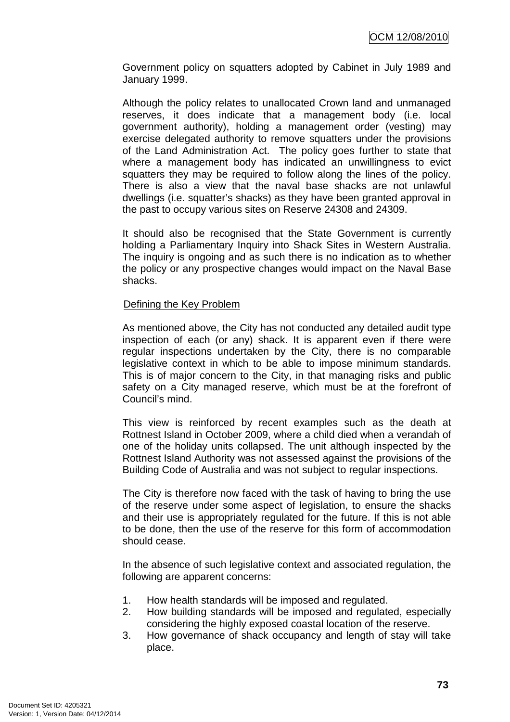Government policy on squatters adopted by Cabinet in July 1989 and January 1999.

Although the policy relates to unallocated Crown land and unmanaged reserves, it does indicate that a management body (i.e. local government authority), holding a management order (vesting) may exercise delegated authority to remove squatters under the provisions of the Land Administration Act. The policy goes further to state that where a management body has indicated an unwillingness to evict squatters they may be required to follow along the lines of the policy. There is also a view that the naval base shacks are not unlawful dwellings (i.e. squatter's shacks) as they have been granted approval in the past to occupy various sites on Reserve 24308 and 24309.

It should also be recognised that the State Government is currently holding a Parliamentary Inquiry into Shack Sites in Western Australia. The inquiry is ongoing and as such there is no indication as to whether the policy or any prospective changes would impact on the Naval Base shacks.

### Defining the Key Problem

As mentioned above, the City has not conducted any detailed audit type inspection of each (or any) shack. It is apparent even if there were regular inspections undertaken by the City, there is no comparable legislative context in which to be able to impose minimum standards. This is of major concern to the City, in that managing risks and public safety on a City managed reserve, which must be at the forefront of Council's mind.

This view is reinforced by recent examples such as the death at Rottnest Island in October 2009, where a child died when a verandah of one of the holiday units collapsed. The unit although inspected by the Rottnest Island Authority was not assessed against the provisions of the Building Code of Australia and was not subject to regular inspections.

The City is therefore now faced with the task of having to bring the use of the reserve under some aspect of legislation, to ensure the shacks and their use is appropriately regulated for the future. If this is not able to be done, then the use of the reserve for this form of accommodation should cease.

In the absence of such legislative context and associated regulation, the following are apparent concerns:

- 1. How health standards will be imposed and regulated.
- 2. How building standards will be imposed and regulated, especially considering the highly exposed coastal location of the reserve.
- 3. How governance of shack occupancy and length of stay will take place.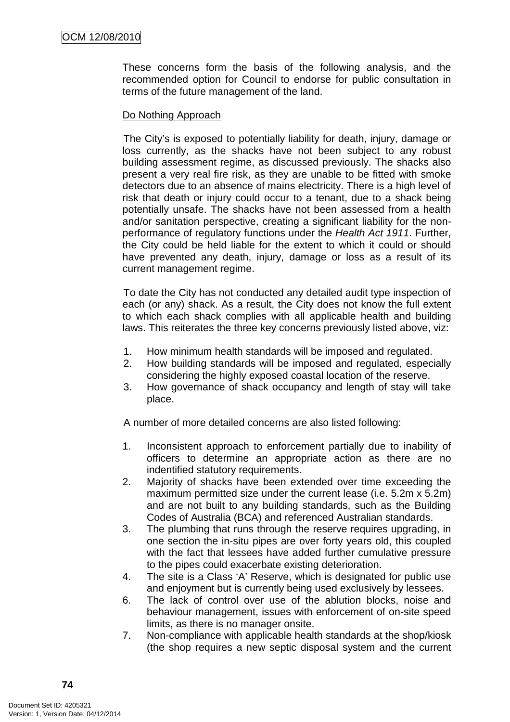These concerns form the basis of the following analysis, and the recommended option for Council to endorse for public consultation in terms of the future management of the land.

### Do Nothing Approach

The City's is exposed to potentially liability for death, injury, damage or loss currently, as the shacks have not been subject to any robust building assessment regime, as discussed previously. The shacks also present a very real fire risk, as they are unable to be fitted with smoke detectors due to an absence of mains electricity. There is a high level of risk that death or injury could occur to a tenant, due to a shack being potentially unsafe. The shacks have not been assessed from a health and/or sanitation perspective, creating a significant liability for the nonperformance of regulatory functions under the Health Act 1911. Further, the City could be held liable for the extent to which it could or should have prevented any death, injury, damage or loss as a result of its current management regime.

To date the City has not conducted any detailed audit type inspection of each (or any) shack. As a result, the City does not know the full extent to which each shack complies with all applicable health and building laws. This reiterates the three key concerns previously listed above, viz:

- 1. How minimum health standards will be imposed and regulated.
- 2. How building standards will be imposed and regulated, especially considering the highly exposed coastal location of the reserve.
- 3. How governance of shack occupancy and length of stay will take place.

A number of more detailed concerns are also listed following:

- 1. Inconsistent approach to enforcement partially due to inability of officers to determine an appropriate action as there are no indentified statutory requirements.
- 2. Majority of shacks have been extended over time exceeding the maximum permitted size under the current lease (i.e. 5.2m x 5.2m) and are not built to any building standards, such as the Building Codes of Australia (BCA) and referenced Australian standards.
- 3. The plumbing that runs through the reserve requires upgrading, in one section the in-situ pipes are over forty years old, this coupled with the fact that lessees have added further cumulative pressure to the pipes could exacerbate existing deterioration.
- 4. The site is a Class 'A' Reserve, which is designated for public use and enjoyment but is currently being used exclusively by lessees.
- 6. The lack of control over use of the ablution blocks, noise and behaviour management, issues with enforcement of on-site speed limits, as there is no manager onsite.
- 7. Non-compliance with applicable health standards at the shop/kiosk (the shop requires a new septic disposal system and the current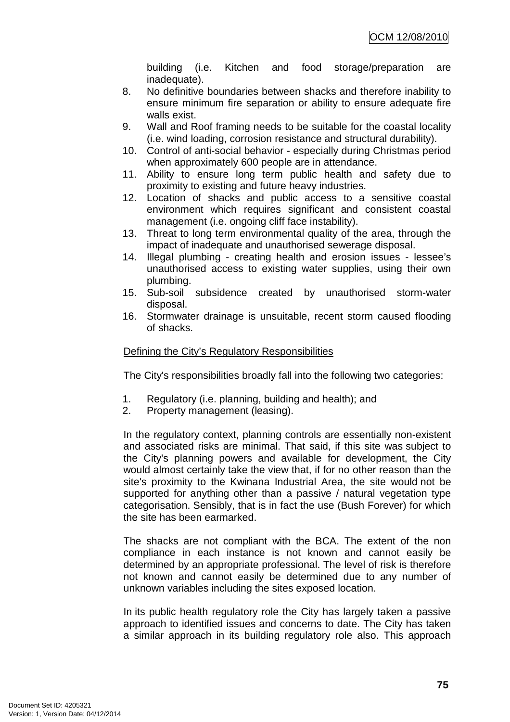building (i.e. Kitchen and food storage/preparation are inadequate).

- 8. No definitive boundaries between shacks and therefore inability to ensure minimum fire separation or ability to ensure adequate fire walls exist.
- 9. Wall and Roof framing needs to be suitable for the coastal locality (i.e. wind loading, corrosion resistance and structural durability).
- 10. Control of anti-social behavior especially during Christmas period when approximately 600 people are in attendance.
- 11. Ability to ensure long term public health and safety due to proximity to existing and future heavy industries.
- 12. Location of shacks and public access to a sensitive coastal environment which requires significant and consistent coastal management (i.e. ongoing cliff face instability).
- 13. Threat to long term environmental quality of the area, through the impact of inadequate and unauthorised sewerage disposal.
- 14. Illegal plumbing creating health and erosion issues lessee's unauthorised access to existing water supplies, using their own plumbing.
- 15. Sub-soil subsidence created by unauthorised storm-water disposal.
- 16. Stormwater drainage is unsuitable, recent storm caused flooding of shacks.

## Defining the City's Regulatory Responsibilities

The City's responsibilities broadly fall into the following two categories:

- 1. Regulatory (i.e. planning, building and health); and
- 2. Property management (leasing).

In the regulatory context, planning controls are essentially non-existent and associated risks are minimal. That said, if this site was subject to the City's planning powers and available for development, the City would almost certainly take the view that, if for no other reason than the site's proximity to the Kwinana Industrial Area, the site would not be supported for anything other than a passive / natural vegetation type categorisation. Sensibly, that is in fact the use (Bush Forever) for which the site has been earmarked.

The shacks are not compliant with the BCA. The extent of the non compliance in each instance is not known and cannot easily be determined by an appropriate professional. The level of risk is therefore not known and cannot easily be determined due to any number of unknown variables including the sites exposed location.

In its public health regulatory role the City has largely taken a passive approach to identified issues and concerns to date. The City has taken a similar approach in its building regulatory role also. This approach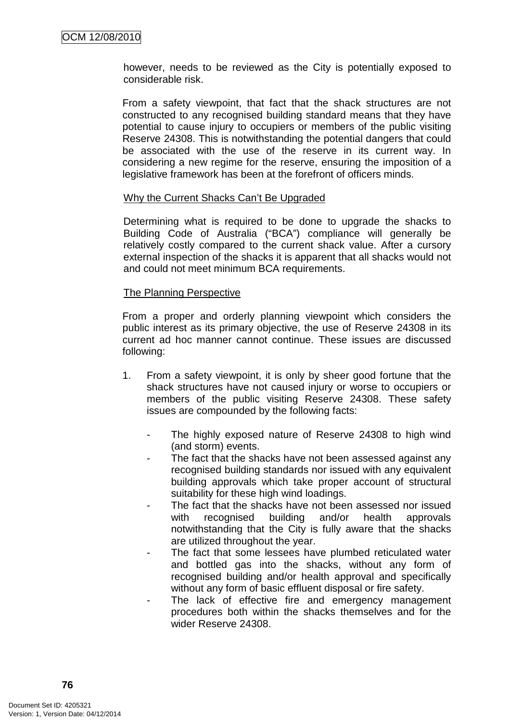however, needs to be reviewed as the City is potentially exposed to considerable risk.

From a safety viewpoint, that fact that the shack structures are not constructed to any recognised building standard means that they have potential to cause injury to occupiers or members of the public visiting Reserve 24308. This is notwithstanding the potential dangers that could be associated with the use of the reserve in its current way. In considering a new regime for the reserve, ensuring the imposition of a legislative framework has been at the forefront of officers minds.

#### Why the Current Shacks Can't Be Upgraded

Determining what is required to be done to upgrade the shacks to Building Code of Australia ("BCA") compliance will generally be relatively costly compared to the current shack value. After a cursory external inspection of the shacks it is apparent that all shacks would not and could not meet minimum BCA requirements.

#### The Planning Perspective

From a proper and orderly planning viewpoint which considers the public interest as its primary objective, the use of Reserve 24308 in its current ad hoc manner cannot continue. These issues are discussed following:

- 1. From a safety viewpoint, it is only by sheer good fortune that the shack structures have not caused injury or worse to occupiers or members of the public visiting Reserve 24308. These safety issues are compounded by the following facts:
	- The highly exposed nature of Reserve 24308 to high wind (and storm) events.
	- The fact that the shacks have not been assessed against any recognised building standards nor issued with any equivalent building approvals which take proper account of structural suitability for these high wind loadings.
	- The fact that the shacks have not been assessed nor issued with recognised building and/or health approvals notwithstanding that the City is fully aware that the shacks are utilized throughout the year.
	- The fact that some lessees have plumbed reticulated water and bottled gas into the shacks, without any form of recognised building and/or health approval and specifically without any form of basic effluent disposal or fire safety.
	- The lack of effective fire and emergency management procedures both within the shacks themselves and for the wider Reserve 24308.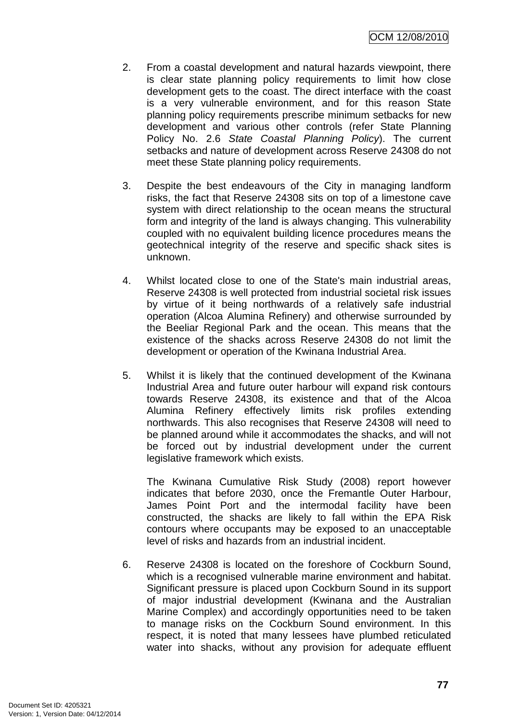- 2. From a coastal development and natural hazards viewpoint, there is clear state planning policy requirements to limit how close development gets to the coast. The direct interface with the coast is a very vulnerable environment, and for this reason State planning policy requirements prescribe minimum setbacks for new development and various other controls (refer State Planning Policy No. 2.6 State Coastal Planning Policy). The current setbacks and nature of development across Reserve 24308 do not meet these State planning policy requirements.
- 3. Despite the best endeavours of the City in managing landform risks, the fact that Reserve 24308 sits on top of a limestone cave system with direct relationship to the ocean means the structural form and integrity of the land is always changing. This vulnerability coupled with no equivalent building licence procedures means the geotechnical integrity of the reserve and specific shack sites is unknown.
- 4. Whilst located close to one of the State's main industrial areas, Reserve 24308 is well protected from industrial societal risk issues by virtue of it being northwards of a relatively safe industrial operation (Alcoa Alumina Refinery) and otherwise surrounded by the Beeliar Regional Park and the ocean. This means that the existence of the shacks across Reserve 24308 do not limit the development or operation of the Kwinana Industrial Area.
- 5. Whilst it is likely that the continued development of the Kwinana Industrial Area and future outer harbour will expand risk contours towards Reserve 24308, its existence and that of the Alcoa Alumina Refinery effectively limits risk profiles extending northwards. This also recognises that Reserve 24308 will need to be planned around while it accommodates the shacks, and will not be forced out by industrial development under the current legislative framework which exists.

The Kwinana Cumulative Risk Study (2008) report however indicates that before 2030, once the Fremantle Outer Harbour, James Point Port and the intermodal facility have been constructed, the shacks are likely to fall within the EPA Risk contours where occupants may be exposed to an unacceptable level of risks and hazards from an industrial incident.

6. Reserve 24308 is located on the foreshore of Cockburn Sound, which is a recognised vulnerable marine environment and habitat. Significant pressure is placed upon Cockburn Sound in its support of major industrial development (Kwinana and the Australian Marine Complex) and accordingly opportunities need to be taken to manage risks on the Cockburn Sound environment. In this respect, it is noted that many lessees have plumbed reticulated water into shacks, without any provision for adequate effluent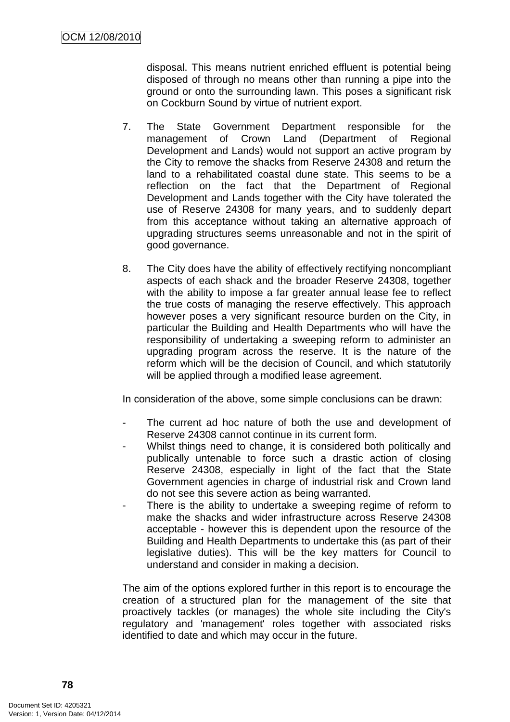disposal. This means nutrient enriched effluent is potential being disposed of through no means other than running a pipe into the ground or onto the surrounding lawn. This poses a significant risk on Cockburn Sound by virtue of nutrient export.

- 7. The State Government Department responsible for the management of Crown Land (Department of Regional Development and Lands) would not support an active program by the City to remove the shacks from Reserve 24308 and return the land to a rehabilitated coastal dune state. This seems to be a reflection on the fact that the Department of Regional Development and Lands together with the City have tolerated the use of Reserve 24308 for many years, and to suddenly depart from this acceptance without taking an alternative approach of upgrading structures seems unreasonable and not in the spirit of good governance.
- 8. The City does have the ability of effectively rectifying noncompliant aspects of each shack and the broader Reserve 24308, together with the ability to impose a far greater annual lease fee to reflect the true costs of managing the reserve effectively. This approach however poses a very significant resource burden on the City, in particular the Building and Health Departments who will have the responsibility of undertaking a sweeping reform to administer an upgrading program across the reserve. It is the nature of the reform which will be the decision of Council, and which statutorily will be applied through a modified lease agreement.

In consideration of the above, some simple conclusions can be drawn:

- The current ad hoc nature of both the use and development of Reserve 24308 cannot continue in its current form.
- Whilst things need to change, it is considered both politically and publically untenable to force such a drastic action of closing Reserve 24308, especially in light of the fact that the State Government agencies in charge of industrial risk and Crown land do not see this severe action as being warranted.
- There is the ability to undertake a sweeping regime of reform to make the shacks and wider infrastructure across Reserve 24308 acceptable - however this is dependent upon the resource of the Building and Health Departments to undertake this (as part of their legislative duties). This will be the key matters for Council to understand and consider in making a decision.

The aim of the options explored further in this report is to encourage the creation of a structured plan for the management of the site that proactively tackles (or manages) the whole site including the City's regulatory and 'management' roles together with associated risks identified to date and which may occur in the future.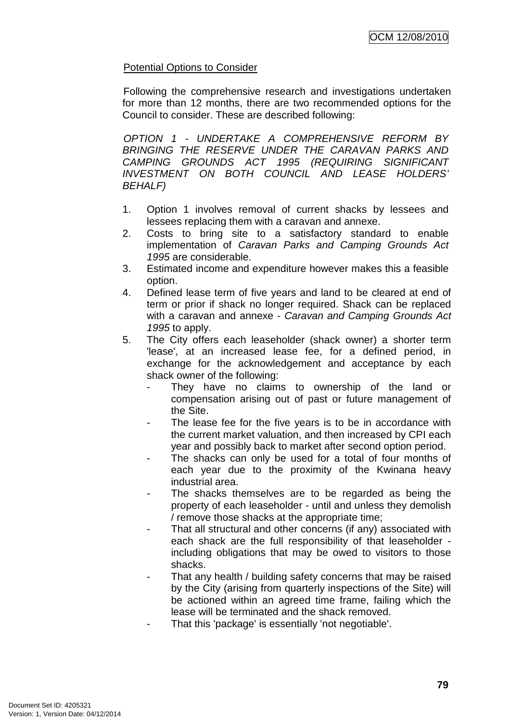## Potential Options to Consider

Following the comprehensive research and investigations undertaken for more than 12 months, there are two recommended options for the Council to consider. These are described following:

OPTION 1 - UNDERTAKE A COMPREHENSIVE REFORM BY BRINGING THE RESERVE UNDER THE CARAVAN PARKS AND CAMPING GROUNDS ACT 1995 (REQUIRING SIGNIFICANT INVESTMENT ON BOTH COUNCIL AND LEASE HOLDERS' BEHALF)

- 1. Option 1 involves removal of current shacks by lessees and lessees replacing them with a caravan and annexe.
- 2. Costs to bring site to a satisfactory standard to enable implementation of Caravan Parks and Camping Grounds Act 1995 are considerable.
- 3. Estimated income and expenditure however makes this a feasible option.
- 4. Defined lease term of five years and land to be cleared at end of term or prior if shack no longer required. Shack can be replaced with a caravan and annexe - Caravan and Camping Grounds Act 1995 to apply.
- 5. The City offers each leaseholder (shack owner) a shorter term 'lease', at an increased lease fee, for a defined period, in exchange for the acknowledgement and acceptance by each shack owner of the following:
	- They have no claims to ownership of the land or compensation arising out of past or future management of the Site.
	- The lease fee for the five years is to be in accordance with the current market valuation, and then increased by CPI each year and possibly back to market after second option period.
	- The shacks can only be used for a total of four months of each year due to the proximity of the Kwinana heavy industrial area.
	- The shacks themselves are to be regarded as being the property of each leaseholder - until and unless they demolish / remove those shacks at the appropriate time;
	- That all structural and other concerns (if any) associated with each shack are the full responsibility of that leaseholder including obligations that may be owed to visitors to those shacks.
	- That any health / building safety concerns that may be raised by the City (arising from quarterly inspections of the Site) will be actioned within an agreed time frame, failing which the lease will be terminated and the shack removed.
	- That this 'package' is essentially 'not negotiable'.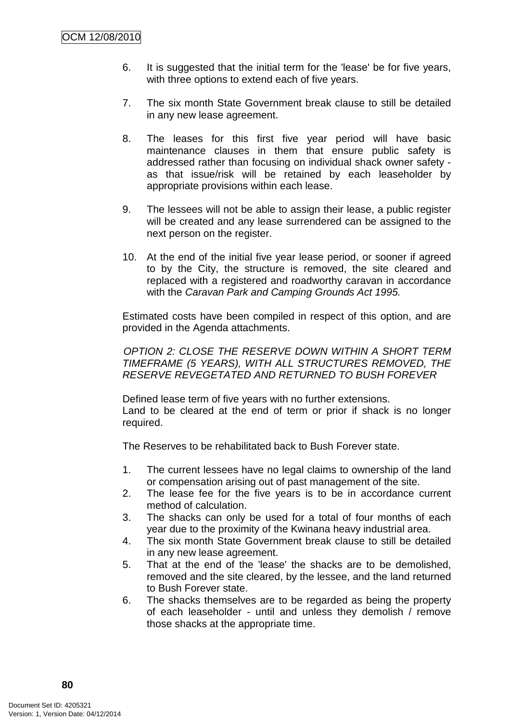- 6. It is suggested that the initial term for the 'lease' be for five years, with three options to extend each of five years.
- 7. The six month State Government break clause to still be detailed in any new lease agreement.
- 8. The leases for this first five year period will have basic maintenance clauses in them that ensure public safety is addressed rather than focusing on individual shack owner safety as that issue/risk will be retained by each leaseholder by appropriate provisions within each lease.
- 9. The lessees will not be able to assign their lease, a public register will be created and any lease surrendered can be assigned to the next person on the register.
- 10. At the end of the initial five year lease period, or sooner if agreed to by the City, the structure is removed, the site cleared and replaced with a registered and roadworthy caravan in accordance with the Caravan Park and Camping Grounds Act 1995.

Estimated costs have been compiled in respect of this option, and are provided in the Agenda attachments.

OPTION 2: CLOSE THE RESERVE DOWN WITHIN A SHORT TERM TIMEFRAME (5 YEARS), WITH ALL STRUCTURES REMOVED, THE RESERVE REVEGETATED AND RETURNED TO BUSH FOREVER

Defined lease term of five years with no further extensions. Land to be cleared at the end of term or prior if shack is no longer required.

The Reserves to be rehabilitated back to Bush Forever state.

- 1. The current lessees have no legal claims to ownership of the land or compensation arising out of past management of the site.
- 2. The lease fee for the five years is to be in accordance current method of calculation.
- 3. The shacks can only be used for a total of four months of each year due to the proximity of the Kwinana heavy industrial area.
- 4. The six month State Government break clause to still be detailed in any new lease agreement.
- 5. That at the end of the 'lease' the shacks are to be demolished, removed and the site cleared, by the lessee, and the land returned to Bush Forever state.
- 6. The shacks themselves are to be regarded as being the property of each leaseholder - until and unless they demolish / remove those shacks at the appropriate time.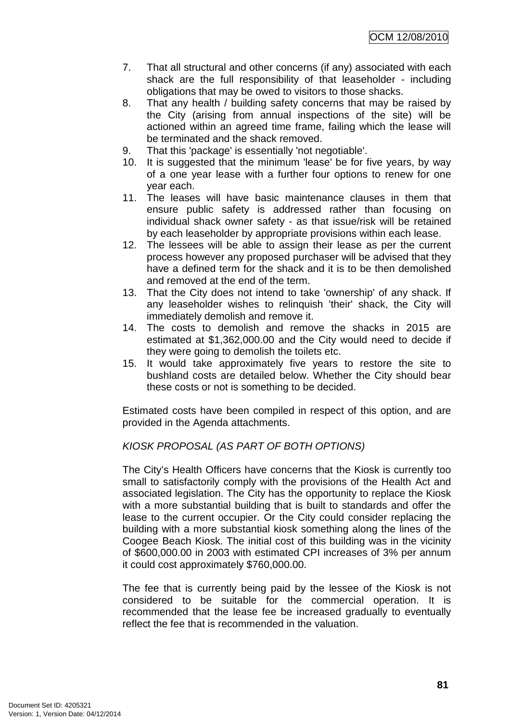- 7. That all structural and other concerns (if any) associated with each shack are the full responsibility of that leaseholder - including obligations that may be owed to visitors to those shacks.
- 8. That any health / building safety concerns that may be raised by the City (arising from annual inspections of the site) will be actioned within an agreed time frame, failing which the lease will be terminated and the shack removed.
- 9. That this 'package' is essentially 'not negotiable'.
- 10. It is suggested that the minimum 'lease' be for five years, by way of a one year lease with a further four options to renew for one year each.
- 11. The leases will have basic maintenance clauses in them that ensure public safety is addressed rather than focusing on individual shack owner safety - as that issue/risk will be retained by each leaseholder by appropriate provisions within each lease.
- 12. The lessees will be able to assign their lease as per the current process however any proposed purchaser will be advised that they have a defined term for the shack and it is to be then demolished and removed at the end of the term.
- 13. That the City does not intend to take 'ownership' of any shack. If any leaseholder wishes to relinquish 'their' shack, the City will immediately demolish and remove it.
- 14. The costs to demolish and remove the shacks in 2015 are estimated at \$1,362,000.00 and the City would need to decide if they were going to demolish the toilets etc.
- 15. It would take approximately five years to restore the site to bushland costs are detailed below. Whether the City should bear these costs or not is something to be decided.

Estimated costs have been compiled in respect of this option, and are provided in the Agenda attachments.

## KIOSK PROPOSAL (AS PART OF BOTH OPTIONS)

The City's Health Officers have concerns that the Kiosk is currently too small to satisfactorily comply with the provisions of the Health Act and associated legislation. The City has the opportunity to replace the Kiosk with a more substantial building that is built to standards and offer the lease to the current occupier. Or the City could consider replacing the building with a more substantial kiosk something along the lines of the Coogee Beach Kiosk. The initial cost of this building was in the vicinity of \$600,000.00 in 2003 with estimated CPI increases of 3% per annum it could cost approximately \$760,000.00.

The fee that is currently being paid by the lessee of the Kiosk is not considered to be suitable for the commercial operation. It is recommended that the lease fee be increased gradually to eventually reflect the fee that is recommended in the valuation.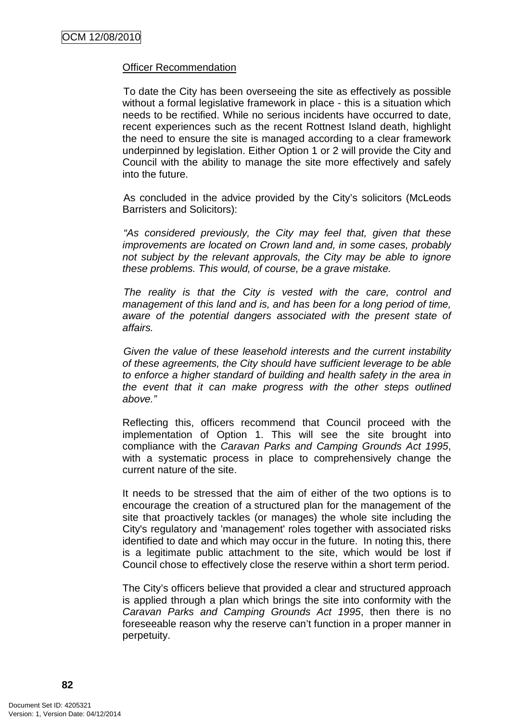#### Officer Recommendation

To date the City has been overseeing the site as effectively as possible without a formal legislative framework in place - this is a situation which needs to be rectified. While no serious incidents have occurred to date, recent experiences such as the recent Rottnest Island death, highlight the need to ensure the site is managed according to a clear framework underpinned by legislation. Either Option 1 or 2 will provide the City and Council with the ability to manage the site more effectively and safely into the future.

As concluded in the advice provided by the City's solicitors (McLeods Barristers and Solicitors):

"As considered previously, the City may feel that, given that these improvements are located on Crown land and, in some cases, probably not subject by the relevant approvals, the City may be able to ignore these problems. This would, of course, be a grave mistake.

The reality is that the City is vested with the care, control and management of this land and is, and has been for a long period of time, aware of the potential dangers associated with the present state of affairs.

Given the value of these leasehold interests and the current instability of these agreements, the City should have sufficient leverage to be able to enforce a higher standard of building and health safety in the area in the event that it can make progress with the other steps outlined above."

Reflecting this, officers recommend that Council proceed with the implementation of Option 1. This will see the site brought into compliance with the Caravan Parks and Camping Grounds Act 1995, with a systematic process in place to comprehensively change the current nature of the site.

It needs to be stressed that the aim of either of the two options is to encourage the creation of a structured plan for the management of the site that proactively tackles (or manages) the whole site including the City's regulatory and 'management' roles together with associated risks identified to date and which may occur in the future. In noting this, there is a legitimate public attachment to the site, which would be lost if Council chose to effectively close the reserve within a short term period.

The City's officers believe that provided a clear and structured approach is applied through a plan which brings the site into conformity with the Caravan Parks and Camping Grounds Act 1995, then there is no foreseeable reason why the reserve can't function in a proper manner in perpetuity.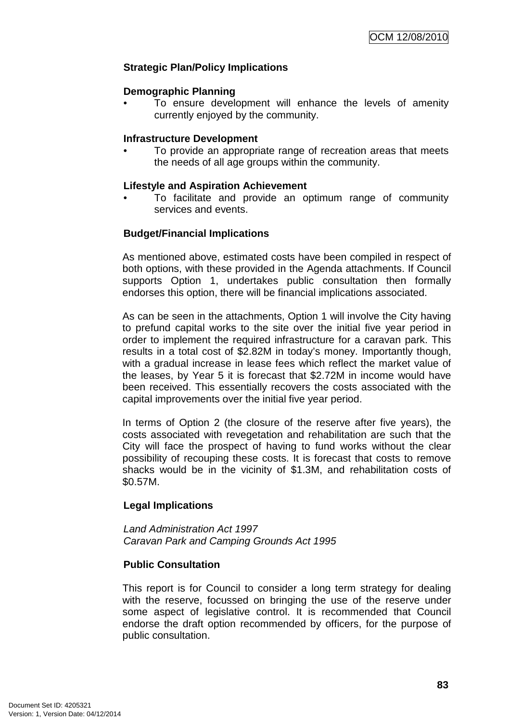## **Strategic Plan/Policy Implications**

#### **Demographic Planning**

To ensure development will enhance the levels of amenity currently enjoyed by the community.

### **Infrastructure Development**

• To provide an appropriate range of recreation areas that meets the needs of all age groups within the community.

### **Lifestyle and Aspiration Achievement**

• To facilitate and provide an optimum range of community services and events.

### **Budget/Financial Implications**

As mentioned above, estimated costs have been compiled in respect of both options, with these provided in the Agenda attachments. If Council supports Option 1, undertakes public consultation then formally endorses this option, there will be financial implications associated.

As can be seen in the attachments, Option 1 will involve the City having to prefund capital works to the site over the initial five year period in order to implement the required infrastructure for a caravan park. This results in a total cost of \$2.82M in today's money. Importantly though, with a gradual increase in lease fees which reflect the market value of the leases, by Year 5 it is forecast that \$2.72M in income would have been received. This essentially recovers the costs associated with the capital improvements over the initial five year period.

In terms of Option 2 (the closure of the reserve after five years), the costs associated with revegetation and rehabilitation are such that the City will face the prospect of having to fund works without the clear possibility of recouping these costs. It is forecast that costs to remove shacks would be in the vicinity of \$1.3M, and rehabilitation costs of \$0.57M.

### **Legal Implications**

Land Administration Act 1997 Caravan Park and Camping Grounds Act 1995

### **Public Consultation**

This report is for Council to consider a long term strategy for dealing with the reserve, focussed on bringing the use of the reserve under some aspect of legislative control. It is recommended that Council endorse the draft option recommended by officers, for the purpose of public consultation.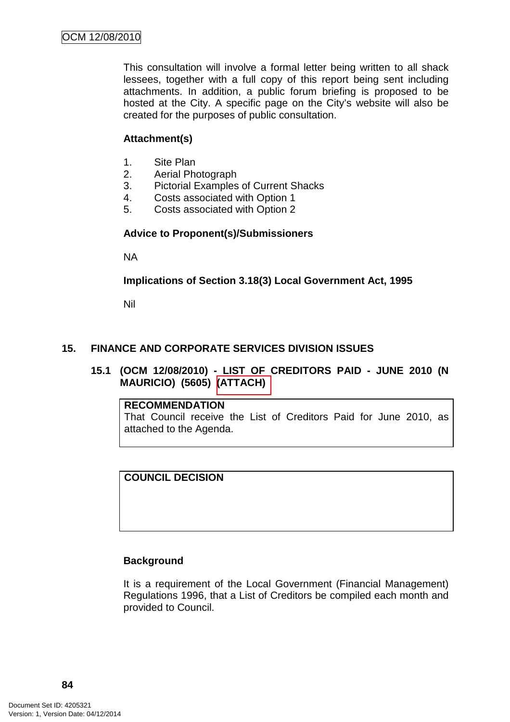This consultation will involve a formal letter being written to all shack lessees, together with a full copy of this report being sent including attachments. In addition, a public forum briefing is proposed to be hosted at the City. A specific page on the City's website will also be created for the purposes of public consultation.

### **Attachment(s)**

- 1. Site Plan
- 2. Aerial Photograph
- 3. Pictorial Examples of Current Shacks
- 4. Costs associated with Option 1
- 5. Costs associated with Option 2

#### **Advice to Proponent(s)/Submissioners**

NA

**Implications of Section 3.18(3) Local Government Act, 1995**

Nil

### **15. FINANCE AND CORPORATE SERVICES DIVISION ISSUES**

**15.1 (OCM 12/08/2010) - LIST OF CREDITORS PAID - JUNE 2010 (N MAURICIO) (5605) (ATTACH)** 

**RECOMMENDATION** That Council receive the List of Creditors Paid for June 2010, as attached to the Agenda.

**COUNCIL DECISION** 

#### **Background**

It is a requirement of the Local Government (Financial Management) Regulations 1996, that a List of Creditors be compiled each month and provided to Council.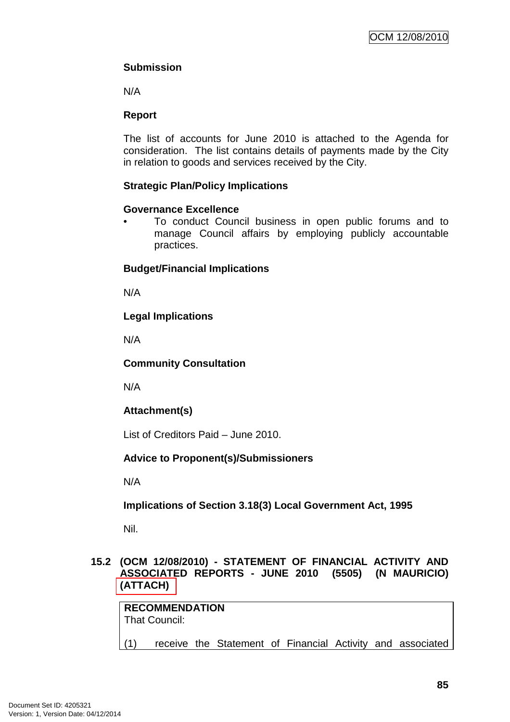## **Submission**

N/A

## **Report**

The list of accounts for June 2010 is attached to the Agenda for consideration. The list contains details of payments made by the City in relation to goods and services received by the City.

## **Strategic Plan/Policy Implications**

## **Governance Excellence**

• To conduct Council business in open public forums and to manage Council affairs by employing publicly accountable practices.

## **Budget/Financial Implications**

N/A

## **Legal Implications**

N/A

## **Community Consultation**

N/A

## **Attachment(s)**

List of Creditors Paid – June 2010.

## **Advice to Proponent(s)/Submissioners**

N/A

**Implications of Section 3.18(3) Local Government Act, 1995**

Nil.

## **15.2 (OCM 12/08/2010) - STATEMENT OF FINANCIAL ACTIVITY AND ASSOCIATED REPORTS - JUNE 2010 (5505) (N MAURICIO) (ATTACH)**

|     | <b>RECOMMENDATION</b><br>That Council: |  |  |  |                                                            |
|-----|----------------------------------------|--|--|--|------------------------------------------------------------|
| (1) |                                        |  |  |  | receive the Statement of Financial Activity and associated |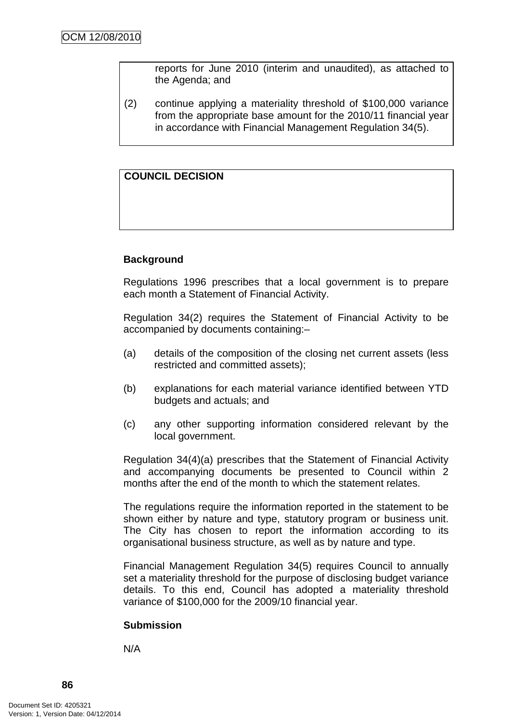reports for June 2010 (interim and unaudited), as attached to the Agenda; and

(2) continue applying a materiality threshold of \$100,000 variance from the appropriate base amount for the 2010/11 financial year in accordance with Financial Management Regulation 34(5).

## **COUNCIL DECISION**

## **Background**

Regulations 1996 prescribes that a local government is to prepare each month a Statement of Financial Activity.

Regulation 34(2) requires the Statement of Financial Activity to be accompanied by documents containing:–

- (a) details of the composition of the closing net current assets (less restricted and committed assets);
- (b) explanations for each material variance identified between YTD budgets and actuals; and
- (c) any other supporting information considered relevant by the local government.

Regulation 34(4)(a) prescribes that the Statement of Financial Activity and accompanying documents be presented to Council within 2 months after the end of the month to which the statement relates.

The regulations require the information reported in the statement to be shown either by nature and type, statutory program or business unit. The City has chosen to report the information according to its organisational business structure, as well as by nature and type.

Financial Management Regulation 34(5) requires Council to annually set a materiality threshold for the purpose of disclosing budget variance details. To this end, Council has adopted a materiality threshold variance of \$100,000 for the 2009/10 financial year.

### **Submission**

N/A

**86**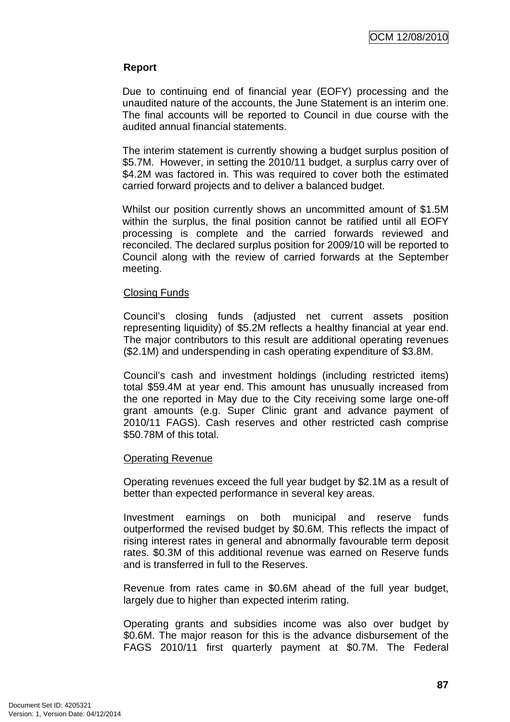## **Report**

Due to continuing end of financial year (EOFY) processing and the unaudited nature of the accounts, the June Statement is an interim one. The final accounts will be reported to Council in due course with the audited annual financial statements.

The interim statement is currently showing a budget surplus position of \$5.7M. However, in setting the 2010/11 budget, a surplus carry over of \$4.2M was factored in. This was required to cover both the estimated carried forward projects and to deliver a balanced budget.

Whilst our position currently shows an uncommitted amount of \$1.5M within the surplus, the final position cannot be ratified until all EOFY processing is complete and the carried forwards reviewed and reconciled. The declared surplus position for 2009/10 will be reported to Council along with the review of carried forwards at the September meeting.

### Closing Funds

Council's closing funds (adjusted net current assets position representing liquidity) of \$5.2M reflects a healthy financial at year end. The major contributors to this result are additional operating revenues (\$2.1M) and underspending in cash operating expenditure of \$3.8M.

Council's cash and investment holdings (including restricted items) total \$59.4M at year end. This amount has unusually increased from the one reported in May due to the City receiving some large one-off grant amounts (e.g. Super Clinic grant and advance payment of 2010/11 FAGS). Cash reserves and other restricted cash comprise \$50.78M of this total.

### Operating Revenue

Operating revenues exceed the full year budget by \$2.1M as a result of better than expected performance in several key areas.

Investment earnings on both municipal and reserve funds outperformed the revised budget by \$0.6M. This reflects the impact of rising interest rates in general and abnormally favourable term deposit rates. \$0.3M of this additional revenue was earned on Reserve funds and is transferred in full to the Reserves.

Revenue from rates came in \$0.6M ahead of the full year budget, largely due to higher than expected interim rating.

Operating grants and subsidies income was also over budget by \$0.6M. The major reason for this is the advance disbursement of the FAGS 2010/11 first quarterly payment at \$0.7M. The Federal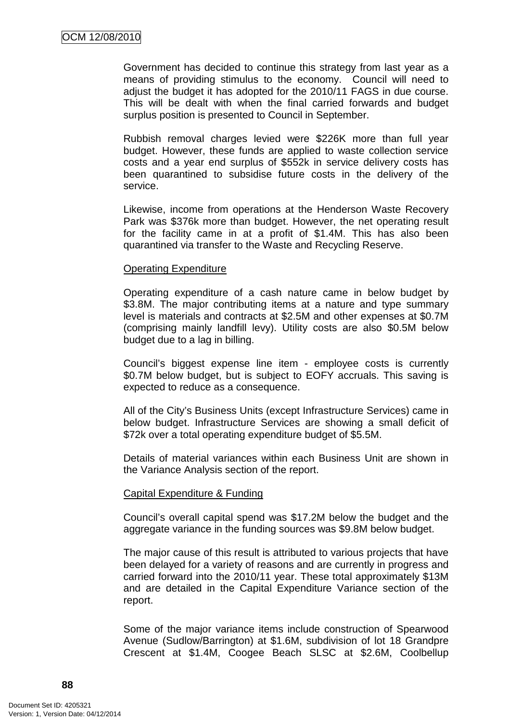Government has decided to continue this strategy from last year as a means of providing stimulus to the economy. Council will need to adjust the budget it has adopted for the 2010/11 FAGS in due course. This will be dealt with when the final carried forwards and budget surplus position is presented to Council in September.

Rubbish removal charges levied were \$226K more than full year budget. However, these funds are applied to waste collection service costs and a year end surplus of \$552k in service delivery costs has been quarantined to subsidise future costs in the delivery of the service.

Likewise, income from operations at the Henderson Waste Recovery Park was \$376k more than budget. However, the net operating result for the facility came in at a profit of \$1.4M. This has also been quarantined via transfer to the Waste and Recycling Reserve.

#### Operating Expenditure

Operating expenditure of a cash nature came in below budget by \$3.8M. The major contributing items at a nature and type summary level is materials and contracts at \$2.5M and other expenses at \$0.7M (comprising mainly landfill levy). Utility costs are also \$0.5M below budget due to a lag in billing.

Council's biggest expense line item - employee costs is currently \$0.7M below budget, but is subject to EOFY accruals. This saving is expected to reduce as a consequence.

All of the City's Business Units (except Infrastructure Services) came in below budget. Infrastructure Services are showing a small deficit of \$72k over a total operating expenditure budget of \$5.5M.

Details of material variances within each Business Unit are shown in the Variance Analysis section of the report.

### Capital Expenditure & Funding

Council's overall capital spend was \$17.2M below the budget and the aggregate variance in the funding sources was \$9.8M below budget.

The major cause of this result is attributed to various projects that have been delayed for a variety of reasons and are currently in progress and carried forward into the 2010/11 year. These total approximately \$13M and are detailed in the Capital Expenditure Variance section of the report.

Some of the major variance items include construction of Spearwood Avenue (Sudlow/Barrington) at \$1.6M, subdivision of lot 18 Grandpre Crescent at \$1.4M, Coogee Beach SLSC at \$2.6M, Coolbellup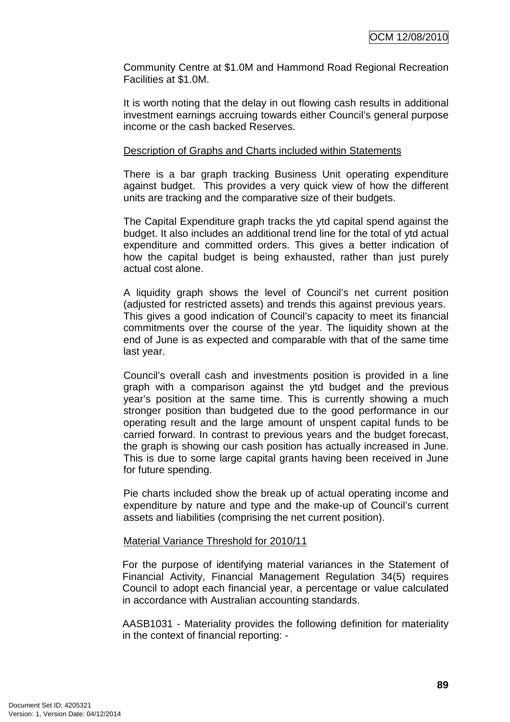Community Centre at \$1.0M and Hammond Road Regional Recreation Facilities at \$1.0M.

It is worth noting that the delay in out flowing cash results in additional investment earnings accruing towards either Council's general purpose income or the cash backed Reserves.

#### Description of Graphs and Charts included within Statements

There is a bar graph tracking Business Unit operating expenditure against budget. This provides a very quick view of how the different units are tracking and the comparative size of their budgets.

The Capital Expenditure graph tracks the ytd capital spend against the budget. It also includes an additional trend line for the total of ytd actual expenditure and committed orders. This gives a better indication of how the capital budget is being exhausted, rather than just purely actual cost alone.

A liquidity graph shows the level of Council's net current position (adjusted for restricted assets) and trends this against previous years. This gives a good indication of Council's capacity to meet its financial commitments over the course of the year. The liquidity shown at the end of June is as expected and comparable with that of the same time last year.

Council's overall cash and investments position is provided in a line graph with a comparison against the ytd budget and the previous year's position at the same time. This is currently showing a much stronger position than budgeted due to the good performance in our operating result and the large amount of unspent capital funds to be carried forward. In contrast to previous years and the budget forecast, the graph is showing our cash position has actually increased in June. This is due to some large capital grants having been received in June for future spending.

Pie charts included show the break up of actual operating income and expenditure by nature and type and the make-up of Council's current assets and liabilities (comprising the net current position).

### Material Variance Threshold for 2010/11

For the purpose of identifying material variances in the Statement of Financial Activity, Financial Management Regulation 34(5) requires Council to adopt each financial year, a percentage or value calculated in accordance with Australian accounting standards.

AASB1031 - Materiality provides the following definition for materiality in the context of financial reporting: -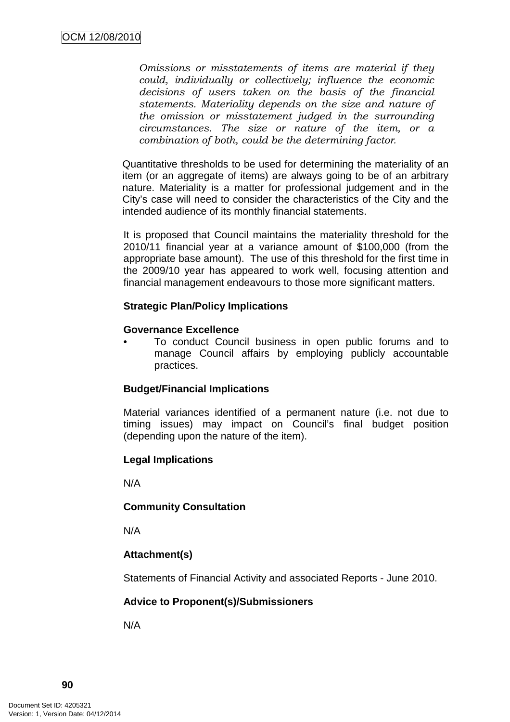Omissions or misstatements of items are material if they could, individually or collectively; influence the economic decisions of users taken on the basis of the financial statements. Materiality depends on the size and nature of the omission or misstatement judged in the surrounding circumstances. The size or nature of the item, or a combination of both, could be the determining factor.

Quantitative thresholds to be used for determining the materiality of an item (or an aggregate of items) are always going to be of an arbitrary nature. Materiality is a matter for professional judgement and in the City's case will need to consider the characteristics of the City and the intended audience of its monthly financial statements.

It is proposed that Council maintains the materiality threshold for the 2010/11 financial year at a variance amount of \$100,000 (from the appropriate base amount). The use of this threshold for the first time in the 2009/10 year has appeared to work well, focusing attention and financial management endeavours to those more significant matters.

### **Strategic Plan/Policy Implications**

#### **Governance Excellence**

• To conduct Council business in open public forums and to manage Council affairs by employing publicly accountable practices.

### **Budget/Financial Implications**

Material variances identified of a permanent nature (i.e. not due to timing issues) may impact on Council's final budget position (depending upon the nature of the item).

### **Legal Implications**

N/A

### **Community Consultation**

N/A

## **Attachment(s)**

Statements of Financial Activity and associated Reports - June 2010.

## **Advice to Proponent(s)/Submissioners**

N/A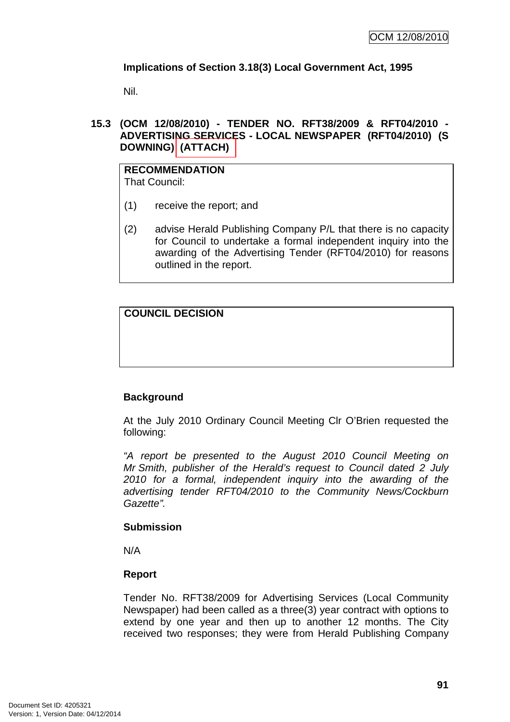## **Implications of Section 3.18(3) Local Government Act, 1995**

Nil.

## **15.3 (OCM 12/08/2010) - TENDER NO. RFT38/2009 & RFT04/2010 - ADVERTISING SERVICES - LOCAL NEWSPAPER (RFT04/2010) (S DOWNING) (ATTACH)**

#### **RECOMMENDATION** That Council:

- (1) receive the report; and
- (2) advise Herald Publishing Company P/L that there is no capacity for Council to undertake a formal independent inquiry into the awarding of the Advertising Tender (RFT04/2010) for reasons outlined in the report.

**COUNCIL DECISION** 

## **Background**

At the July 2010 Ordinary Council Meeting Clr O'Brien requested the following:

"A report be presented to the August 2010 Council Meeting on Mr Smith, publisher of the Herald's request to Council dated 2 July 2010 for a formal, independent inquiry into the awarding of the advertising tender RFT04/2010 to the Community News/Cockburn Gazette".

### **Submission**

N/A

### **Report**

Tender No. RFT38/2009 for Advertising Services (Local Community Newspaper) had been called as a three(3) year contract with options to extend by one year and then up to another 12 months. The City received two responses; they were from Herald Publishing Company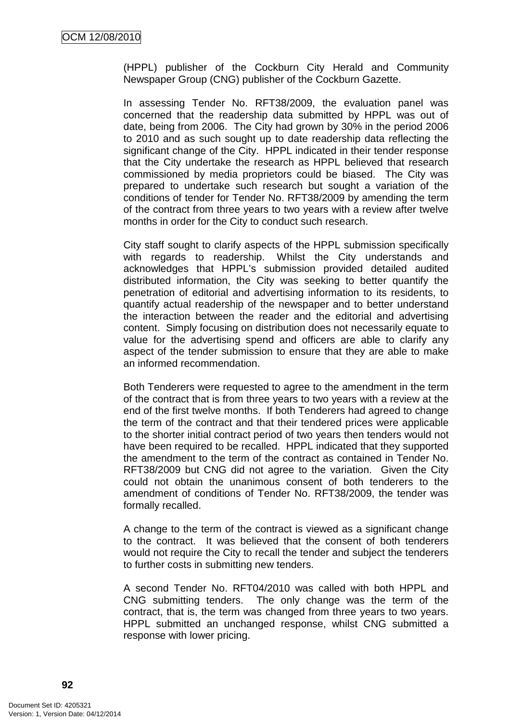(HPPL) publisher of the Cockburn City Herald and Community Newspaper Group (CNG) publisher of the Cockburn Gazette.

In assessing Tender No. RFT38/2009, the evaluation panel was concerned that the readership data submitted by HPPL was out of date, being from 2006. The City had grown by 30% in the period 2006 to 2010 and as such sought up to date readership data reflecting the significant change of the City. HPPL indicated in their tender response that the City undertake the research as HPPL believed that research commissioned by media proprietors could be biased. The City was prepared to undertake such research but sought a variation of the conditions of tender for Tender No. RFT38/2009 by amending the term of the contract from three years to two years with a review after twelve months in order for the City to conduct such research.

City staff sought to clarify aspects of the HPPL submission specifically with regards to readership. Whilst the City understands and acknowledges that HPPL's submission provided detailed audited distributed information, the City was seeking to better quantify the penetration of editorial and advertising information to its residents, to quantify actual readership of the newspaper and to better understand the interaction between the reader and the editorial and advertising content. Simply focusing on distribution does not necessarily equate to value for the advertising spend and officers are able to clarify any aspect of the tender submission to ensure that they are able to make an informed recommendation.

Both Tenderers were requested to agree to the amendment in the term of the contract that is from three years to two years with a review at the end of the first twelve months. If both Tenderers had agreed to change the term of the contract and that their tendered prices were applicable to the shorter initial contract period of two years then tenders would not have been required to be recalled. HPPL indicated that they supported the amendment to the term of the contract as contained in Tender No. RFT38/2009 but CNG did not agree to the variation. Given the City could not obtain the unanimous consent of both tenderers to the amendment of conditions of Tender No. RFT38/2009, the tender was formally recalled.

A change to the term of the contract is viewed as a significant change to the contract. It was believed that the consent of both tenderers would not require the City to recall the tender and subject the tenderers to further costs in submitting new tenders.

A second Tender No. RFT04/2010 was called with both HPPL and CNG submitting tenders. The only change was the term of the contract, that is, the term was changed from three years to two years. HPPL submitted an unchanged response, whilst CNG submitted a response with lower pricing.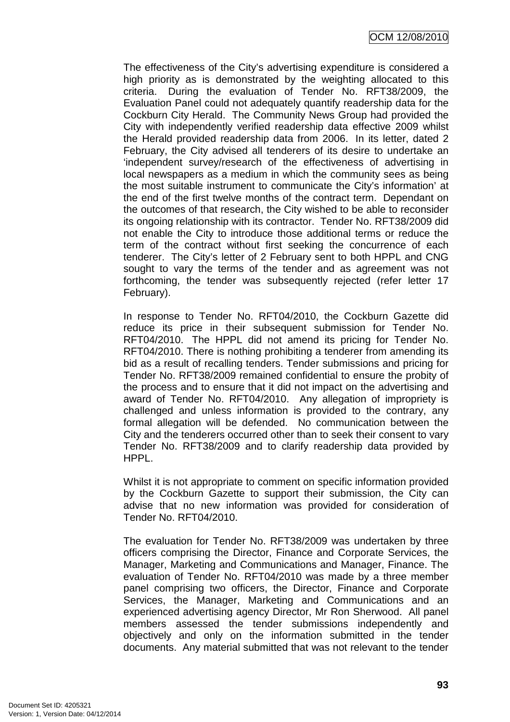The effectiveness of the City's advertising expenditure is considered a high priority as is demonstrated by the weighting allocated to this criteria. During the evaluation of Tender No. RFT38/2009, the Evaluation Panel could not adequately quantify readership data for the Cockburn City Herald. The Community News Group had provided the City with independently verified readership data effective 2009 whilst the Herald provided readership data from 2006. In its letter, dated 2 February, the City advised all tenderers of its desire to undertake an 'independent survey/research of the effectiveness of advertising in local newspapers as a medium in which the community sees as being the most suitable instrument to communicate the City's information' at the end of the first twelve months of the contract term. Dependant on the outcomes of that research, the City wished to be able to reconsider its ongoing relationship with its contractor. Tender No. RFT38/2009 did not enable the City to introduce those additional terms or reduce the term of the contract without first seeking the concurrence of each tenderer. The City's letter of 2 February sent to both HPPL and CNG sought to vary the terms of the tender and as agreement was not forthcoming, the tender was subsequently rejected (refer letter 17 February).

In response to Tender No. RFT04/2010, the Cockburn Gazette did reduce its price in their subsequent submission for Tender No. RFT04/2010. The HPPL did not amend its pricing for Tender No. RFT04/2010. There is nothing prohibiting a tenderer from amending its bid as a result of recalling tenders. Tender submissions and pricing for Tender No. RFT38/2009 remained confidential to ensure the probity of the process and to ensure that it did not impact on the advertising and award of Tender No. RFT04/2010. Any allegation of impropriety is challenged and unless information is provided to the contrary, any formal allegation will be defended. No communication between the City and the tenderers occurred other than to seek their consent to vary Tender No. RFT38/2009 and to clarify readership data provided by HPPL.

Whilst it is not appropriate to comment on specific information provided by the Cockburn Gazette to support their submission, the City can advise that no new information was provided for consideration of Tender No. RFT04/2010.

The evaluation for Tender No. RFT38/2009 was undertaken by three officers comprising the Director, Finance and Corporate Services, the Manager, Marketing and Communications and Manager, Finance. The evaluation of Tender No. RFT04/2010 was made by a three member panel comprising two officers, the Director, Finance and Corporate Services, the Manager, Marketing and Communications and an experienced advertising agency Director, Mr Ron Sherwood. All panel members assessed the tender submissions independently and objectively and only on the information submitted in the tender documents. Any material submitted that was not relevant to the tender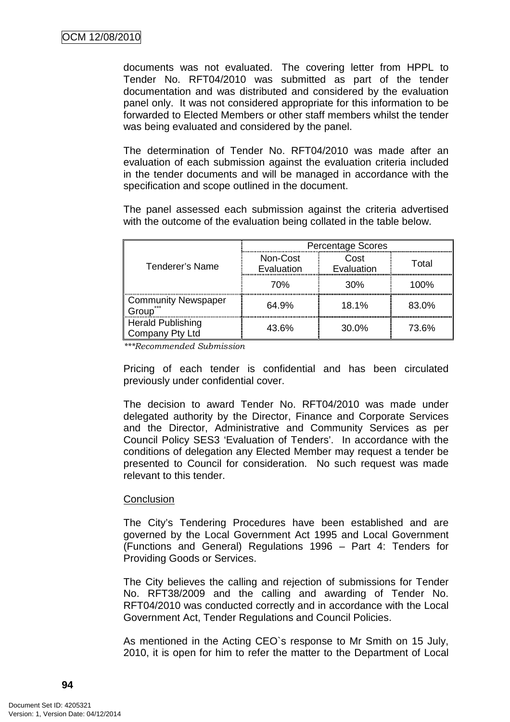documents was not evaluated. The covering letter from HPPL to Tender No. RFT04/2010 was submitted as part of the tender documentation and was distributed and considered by the evaluation panel only. It was not considered appropriate for this information to be forwarded to Elected Members or other staff members whilst the tender was being evaluated and considered by the panel.

The determination of Tender No. RFT04/2010 was made after an evaluation of each submission against the evaluation criteria included in the tender documents and will be managed in accordance with the specification and scope outlined in the document.

The panel assessed each submission against the criteria advertised with the outcome of the evaluation being collated in the table below.

|                                             |                        | <b>Percentage Scores</b> |       |
|---------------------------------------------|------------------------|--------------------------|-------|
| Tenderer's Name                             | Non-Cost<br>Evaluation | Cost<br>Evaluation       | Total |
|                                             | 70%                    | 30 <sup>%</sup>          | 100%  |
| <b>Community Newspaper</b><br>roun          | 64.9%                  | 18.1%                    | 83.0% |
| <b>Herald Publishing</b><br>Company Pty Ltd | 43.6%                  | 30.0%                    | 73.6% |

\*\*\*Recommended Submission

Pricing of each tender is confidential and has been circulated previously under confidential cover.

The decision to award Tender No. RFT04/2010 was made under delegated authority by the Director, Finance and Corporate Services and the Director, Administrative and Community Services as per Council Policy SES3 'Evaluation of Tenders'. In accordance with the conditions of delegation any Elected Member may request a tender be presented to Council for consideration. No such request was made relevant to this tender.

#### **Conclusion**

The City's Tendering Procedures have been established and are governed by the Local Government Act 1995 and Local Government (Functions and General) Regulations 1996 – Part 4: Tenders for Providing Goods or Services.

The City believes the calling and rejection of submissions for Tender No. RFT38/2009 and the calling and awarding of Tender No. RFT04/2010 was conducted correctly and in accordance with the Local Government Act, Tender Regulations and Council Policies.

As mentioned in the Acting CEO`s response to Mr Smith on 15 July, 2010, it is open for him to refer the matter to the Department of Local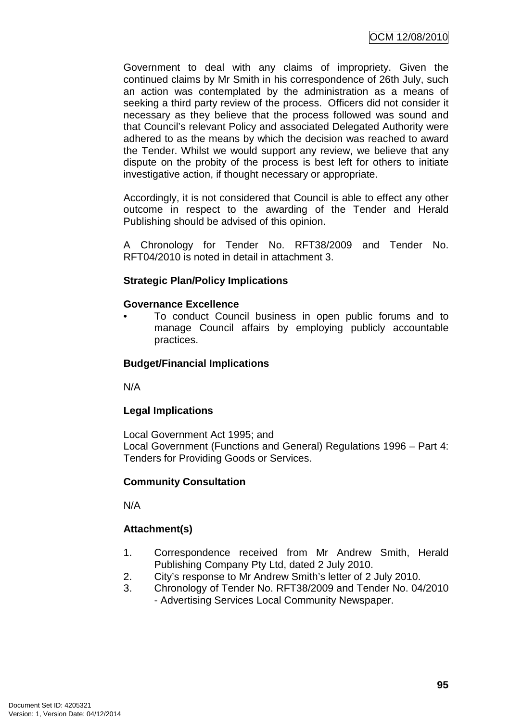Government to deal with any claims of impropriety. Given the continued claims by Mr Smith in his correspondence of 26th July, such an action was contemplated by the administration as a means of seeking a third party review of the process. Officers did not consider it necessary as they believe that the process followed was sound and that Council's relevant Policy and associated Delegated Authority were adhered to as the means by which the decision was reached to award the Tender. Whilst we would support any review, we believe that any dispute on the probity of the process is best left for others to initiate investigative action, if thought necessary or appropriate.

Accordingly, it is not considered that Council is able to effect any other outcome in respect to the awarding of the Tender and Herald Publishing should be advised of this opinion.

A Chronology for Tender No. RFT38/2009 and Tender No. RFT04/2010 is noted in detail in attachment 3.

## **Strategic Plan/Policy Implications**

### **Governance Excellence**

• To conduct Council business in open public forums and to manage Council affairs by employing publicly accountable practices.

## **Budget/Financial Implications**

N/A

## **Legal Implications**

Local Government Act 1995; and Local Government (Functions and General) Regulations 1996 – Part 4: Tenders for Providing Goods or Services.

## **Community Consultation**

N/A

## **Attachment(s)**

- 1. Correspondence received from Mr Andrew Smith, Herald Publishing Company Pty Ltd, dated 2 July 2010.
- 2. City's response to Mr Andrew Smith's letter of 2 July 2010.
- 3. Chronology of Tender No. RFT38/2009 and Tender No. 04/2010 - Advertising Services Local Community Newspaper.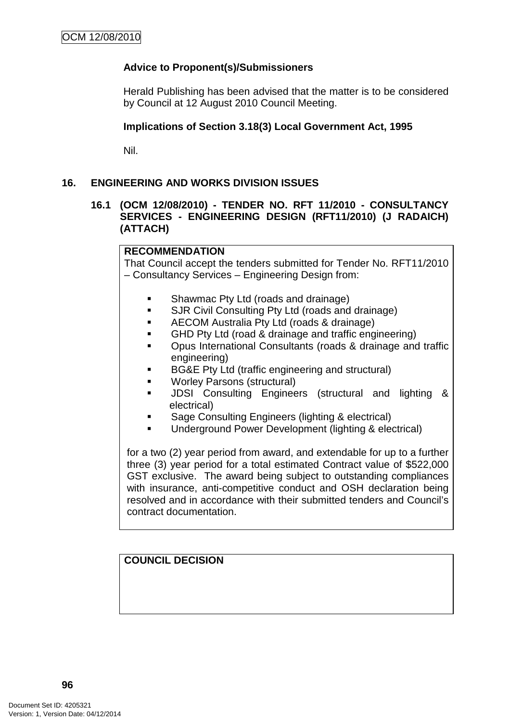## **Advice to Proponent(s)/Submissioners**

Herald Publishing has been advised that the matter is to be considered by Council at 12 August 2010 Council Meeting.

### **Implications of Section 3.18(3) Local Government Act, 1995**

Nil.

## **16. ENGINEERING AND WORKS DIVISION ISSUES**

### **16.1 (OCM 12/08/2010) - TENDER NO. RFT 11/2010 - CONSULTANCY SERVICES - ENGINEERING DESIGN (RFT11/2010) (J RADAICH) (ATTACH)**

## **RECOMMENDATION**

That Council accept the tenders submitted for Tender No. RFT11/2010 – Consultancy Services – Engineering Design from:

- Shawmac Pty Ltd (roads and drainage)
- **SJR Civil Consulting Pty Ltd (roads and drainage)**
- AECOM Australia Pty Ltd (roads & drainage)
- **GHD Pty Ltd (road & drainage and traffic engineering)**
- Opus International Consultants (roads & drainage and traffic engineering)
- BG&E Pty Ltd (traffic engineering and structural)
- Worley Parsons (structural)
- JDSI Consulting Engineers (structural and lighting & electrical)
- Sage Consulting Engineers (lighting & electrical)
- Underground Power Development (lighting & electrical)

for a two (2) year period from award, and extendable for up to a further three (3) year period for a total estimated Contract value of \$522,000 GST exclusive. The award being subject to outstanding compliances with insurance, anti-competitive conduct and OSH declaration being resolved and in accordance with their submitted tenders and Council's contract documentation.

**COUNCIL DECISION**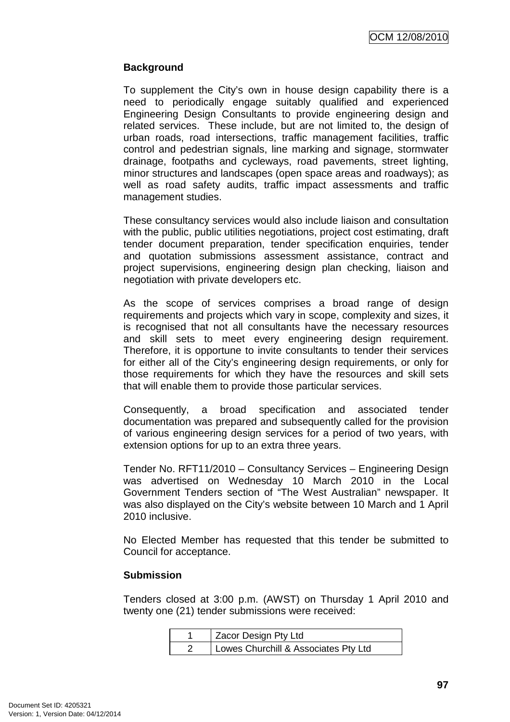## **Background**

To supplement the City's own in house design capability there is a need to periodically engage suitably qualified and experienced Engineering Design Consultants to provide engineering design and related services. These include, but are not limited to, the design of urban roads, road intersections, traffic management facilities, traffic control and pedestrian signals, line marking and signage, stormwater drainage, footpaths and cycleways, road pavements, street lighting, minor structures and landscapes (open space areas and roadways); as well as road safety audits, traffic impact assessments and traffic management studies.

These consultancy services would also include liaison and consultation with the public, public utilities negotiations, project cost estimating, draft tender document preparation, tender specification enquiries, tender and quotation submissions assessment assistance, contract and project supervisions, engineering design plan checking, liaison and negotiation with private developers etc.

As the scope of services comprises a broad range of design requirements and projects which vary in scope, complexity and sizes, it is recognised that not all consultants have the necessary resources and skill sets to meet every engineering design requirement. Therefore, it is opportune to invite consultants to tender their services for either all of the City's engineering design requirements, or only for those requirements for which they have the resources and skill sets that will enable them to provide those particular services.

Consequently, a broad specification and associated tender documentation was prepared and subsequently called for the provision of various engineering design services for a period of two years, with extension options for up to an extra three years.

Tender No. RFT11/2010 – Consultancy Services – Engineering Design was advertised on Wednesday 10 March 2010 in the Local Government Tenders section of "The West Australian" newspaper. It was also displayed on the City's website between 10 March and 1 April 2010 inclusive.

No Elected Member has requested that this tender be submitted to Council for acceptance.

### **Submission**

Tenders closed at 3:00 p.m. (AWST) on Thursday 1 April 2010 and twenty one (21) tender submissions were received:

| Zacor Design Pty Ltd                 |
|--------------------------------------|
| Lowes Churchill & Associates Pty Ltd |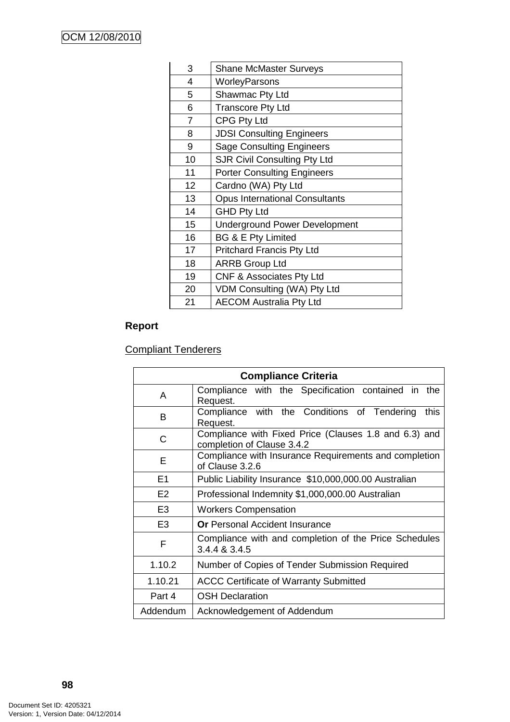| 3              | <b>Shane McMaster Surveys</b>         |
|----------------|---------------------------------------|
| 4              | WorleyParsons                         |
| 5              | Shawmac Pty Ltd                       |
| 6              | <b>Transcore Pty Ltd</b>              |
| $\overline{7}$ | <b>CPG Pty Ltd</b>                    |
| 8              | <b>JDSI Consulting Engineers</b>      |
| 9              | <b>Sage Consulting Engineers</b>      |
| 10             | <b>SJR Civil Consulting Pty Ltd</b>   |
| 11             | <b>Porter Consulting Engineers</b>    |
| 12             | Cardno (WA) Pty Ltd                   |
| 13             | <b>Opus International Consultants</b> |
| 14             | <b>GHD Pty Ltd</b>                    |
| 15             | <b>Underground Power Development</b>  |
| 16             | BG & E Pty Limited                    |
| 17             | <b>Pritchard Francis Pty Ltd</b>      |
| 18             | <b>ARRB Group Ltd</b>                 |
| 19             | <b>CNF &amp; Associates Pty Ltd</b>   |
| 20             | VDM Consulting (WA) Pty Ltd           |
| 21             | <b>AECOM Australia Pty Ltd</b>        |
|                |                                       |

# **Report**

Compliant Tenderers

| <b>Compliance Criteria</b> |                                                                                     |  |  |  |  |
|----------------------------|-------------------------------------------------------------------------------------|--|--|--|--|
| A                          | Compliance with the Specification contained in the<br>Request.                      |  |  |  |  |
| B                          | Compliance with the Conditions of Tendering<br>this<br>Request.                     |  |  |  |  |
| C                          | Compliance with Fixed Price (Clauses 1.8 and 6.3) and<br>completion of Clause 3.4.2 |  |  |  |  |
| E                          | Compliance with Insurance Requirements and completion<br>of Clause 3.2.6            |  |  |  |  |
| E <sub>1</sub>             | Public Liability Insurance \$10,000,000.00 Australian                               |  |  |  |  |
| E <sub>2</sub>             | Professional Indemnity \$1,000,000.00 Australian                                    |  |  |  |  |
| E <sub>3</sub>             | <b>Workers Compensation</b>                                                         |  |  |  |  |
| E <sub>3</sub>             | <b>Or</b> Personal Accident Insurance                                               |  |  |  |  |
| F                          | Compliance with and completion of the Price Schedules<br>3.4.4 & 3.4.5              |  |  |  |  |
| 1.10.2                     | Number of Copies of Tender Submission Required                                      |  |  |  |  |
| 1.10.21                    | <b>ACCC Certificate of Warranty Submitted</b>                                       |  |  |  |  |
| Part 4                     | <b>OSH Declaration</b>                                                              |  |  |  |  |
| Addendum                   | Acknowledgement of Addendum                                                         |  |  |  |  |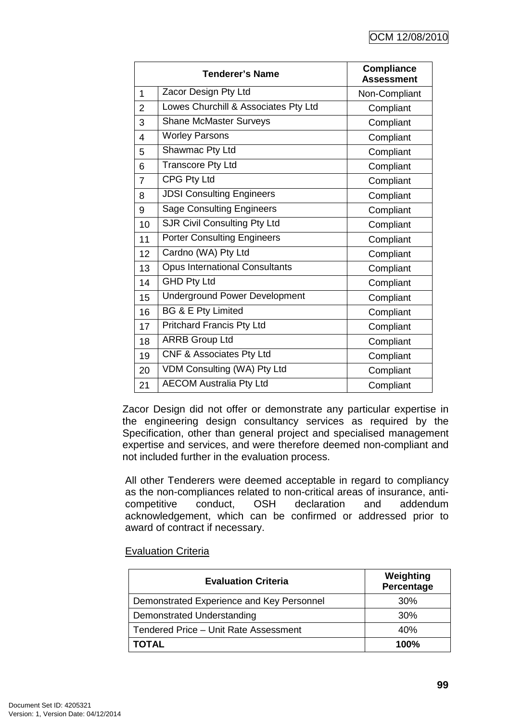|                | <b>Tenderer's Name</b>                | <b>Compliance</b><br><b>Assessment</b> |
|----------------|---------------------------------------|----------------------------------------|
| 1              | Zacor Design Pty Ltd                  | Non-Compliant                          |
| $\overline{2}$ | Lowes Churchill & Associates Pty Ltd  | Compliant                              |
| 3              | <b>Shane McMaster Surveys</b>         | Compliant                              |
| 4              | <b>Worley Parsons</b>                 | Compliant                              |
| 5              | Shawmac Pty Ltd                       | Compliant                              |
| 6              | <b>Transcore Pty Ltd</b>              | Compliant                              |
| $\overline{7}$ | <b>CPG Pty Ltd</b>                    | Compliant                              |
| 8              | <b>JDSI Consulting Engineers</b>      | Compliant                              |
| 9              | <b>Sage Consulting Engineers</b>      | Compliant                              |
| 10             | <b>SJR Civil Consulting Pty Ltd</b>   | Compliant                              |
| 11             | <b>Porter Consulting Engineers</b>    | Compliant                              |
| 12             | Cardno (WA) Pty Ltd                   | Compliant                              |
| 13             | <b>Opus International Consultants</b> | Compliant                              |
| 14             | <b>GHD Pty Ltd</b>                    | Compliant                              |
| 15             | <b>Underground Power Development</b>  | Compliant                              |
| 16             | <b>BG &amp; E Pty Limited</b>         | Compliant                              |
| 17             | <b>Pritchard Francis Pty Ltd</b>      | Compliant                              |
| 18             | <b>ARRB Group Ltd</b>                 | Compliant                              |
| 19             | CNF & Associates Pty Ltd              | Compliant                              |
| 20             | VDM Consulting (WA) Pty Ltd           | Compliant                              |
| 21             | <b>AECOM Australia Pty Ltd</b>        | Compliant                              |

Zacor Design did not offer or demonstrate any particular expertise in the engineering design consultancy services as required by the Specification, other than general project and specialised management expertise and services, and were therefore deemed non-compliant and not included further in the evaluation process.

All other Tenderers were deemed acceptable in regard to compliancy as the non-compliances related to non-critical areas of insurance, anticompetitive conduct, OSH declaration and addendum acknowledgement, which can be confirmed or addressed prior to award of contract if necessary.

## Evaluation Criteria

| <b>Evaluation Criteria</b>                | Weighting<br>Percentage |
|-------------------------------------------|-------------------------|
| Demonstrated Experience and Key Personnel | 30%                     |
| Demonstrated Understanding                | 30%                     |
| Tendered Price - Unit Rate Assessment     | 40%                     |
| <b>TOTAL</b>                              | 100%                    |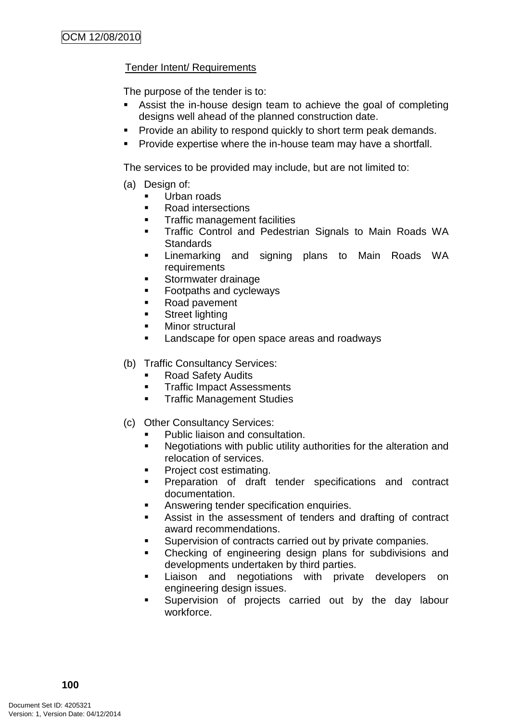## Tender Intent/ Requirements

The purpose of the tender is to:

- Assist the in-house design team to achieve the goal of completing designs well ahead of the planned construction date.
- **Provide an ability to respond quickly to short term peak demands.**
- **Provide expertise where the in-house team may have a shortfall.**

The services to be provided may include, but are not limited to:

- (a) Design of:
	- Urban roads
	- Road intersections
	- **Traffic management facilities**
	- **Traffic Control and Pedestrian Signals to Main Roads WA Standards**
	- Linemarking and signing plans to Main Roads WA requirements
	- **Stormwater drainage**
	- **Footpaths and cycleways**
	- **Road pavement**
	- **Street lighting**
	- **Minor structural**
	- **Landscape for open space areas and roadways**

(b) Traffic Consultancy Services:

- Road Safety Audits
- **Traffic Impact Assessments**
- **FRAMEL STARK Traffic Management Studies**
- (c) Other Consultancy Services:
	- Public liaison and consultation.
	- **Negotiations with public utility authorities for the alteration and** relocation of services.
	- Project cost estimating.
	- **Preparation of draft tender specifications and contract** documentation.
	- Answering tender specification enquiries.
	- Assist in the assessment of tenders and drafting of contract award recommendations.
	- **Supervision of contracts carried out by private companies.**
	- Checking of engineering design plans for subdivisions and developments undertaken by third parties.
	- **EXECT** Liaison and negotiations with private developers on engineering design issues.
	- **Supervision of projects carried out by the day labour** workforce.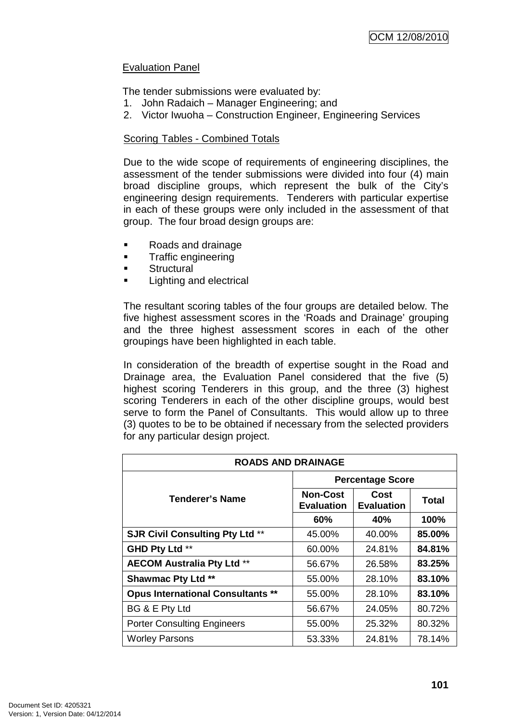## Evaluation Panel

The tender submissions were evaluated by:

- 1. John Radaich Manager Engineering; and
- 2. Victor Iwuoha Construction Engineer, Engineering Services

## Scoring Tables - Combined Totals

Due to the wide scope of requirements of engineering disciplines, the assessment of the tender submissions were divided into four (4) main broad discipline groups, which represent the bulk of the City's engineering design requirements. Tenderers with particular expertise in each of these groups were only included in the assessment of that group. The four broad design groups are:

- Roads and drainage
- **Traffic engineering**
- **Structural**
- **Lighting and electrical**

The resultant scoring tables of the four groups are detailed below. The five highest assessment scores in the 'Roads and Drainage' grouping and the three highest assessment scores in each of the other groupings have been highlighted in each table.

In consideration of the breadth of expertise sought in the Road and Drainage area, the Evaluation Panel considered that the five (5) highest scoring Tenderers in this group, and the three (3) highest scoring Tenderers in each of the other discipline groups, would best serve to form the Panel of Consultants. This would allow up to three (3) quotes to be to be obtained if necessary from the selected providers for any particular design project.

| <b>ROADS AND DRAINAGE</b>                |                                      |                           |              |  |  |
|------------------------------------------|--------------------------------------|---------------------------|--------------|--|--|
|                                          | <b>Percentage Score</b>              |                           |              |  |  |
| Tenderer's Name                          | <b>Non-Cost</b><br><b>Evaluation</b> | Cost<br><b>Evaluation</b> | <b>Total</b> |  |  |
|                                          | 60%                                  | 40%                       | 100%         |  |  |
| <b>SJR Civil Consulting Pty Ltd **</b>   | 45.00%                               | 40.00%                    | 85.00%       |  |  |
| GHD Pty Ltd **                           | 60.00%                               | 24.81%                    | 84.81%       |  |  |
| <b>AECOM Australia Pty Ltd **</b>        | 56.67%                               | 26.58%                    | 83.25%       |  |  |
| <b>Shawmac Pty Ltd **</b>                | 55.00%                               | 28.10%                    | 83.10%       |  |  |
| <b>Opus International Consultants **</b> | 55.00%                               | 28.10%                    | 83.10%       |  |  |
| BG & E Pty Ltd                           | 56.67%                               | 24.05%                    | 80.72%       |  |  |
| <b>Porter Consulting Engineers</b>       | 55.00%                               | 25.32%                    | 80.32%       |  |  |
| <b>Worley Parsons</b>                    | 53.33%                               | 24.81%                    | 78.14%       |  |  |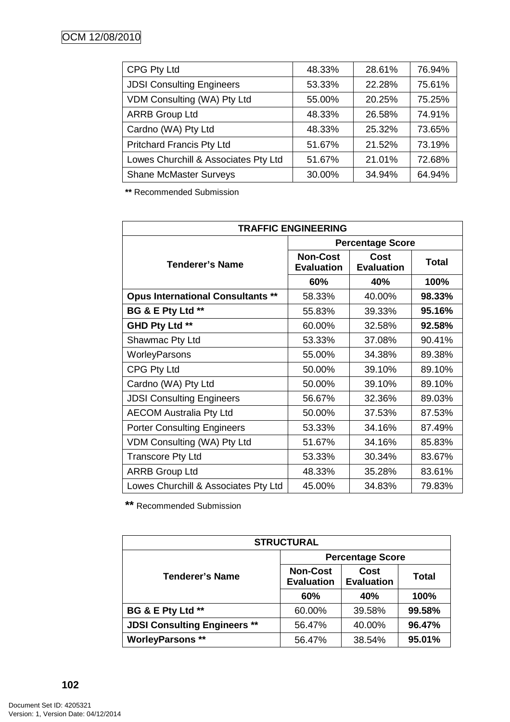| CPG Pty Ltd                          | 48.33% | 28.61% | 76.94% |
|--------------------------------------|--------|--------|--------|
| <b>JDSI Consulting Engineers</b>     | 53.33% | 22.28% | 75.61% |
| VDM Consulting (WA) Pty Ltd          | 55.00% | 20.25% | 75.25% |
| <b>ARRB Group Ltd</b>                | 48.33% | 26.58% | 74.91% |
| Cardno (WA) Pty Ltd                  | 48.33% | 25.32% | 73.65% |
| <b>Pritchard Francis Pty Ltd</b>     | 51.67% | 21.52% | 73.19% |
| Lowes Churchill & Associates Pty Ltd | 51.67% | 21.01% | 72.68% |
| <b>Shane McMaster Surveys</b>        | 30.00% | 34.94% | 64.94% |

**\*\*** Recommended Submission

| <b>TRAFFIC ENGINEERING</b>               |                                      |                                  |              |  |
|------------------------------------------|--------------------------------------|----------------------------------|--------------|--|
|                                          | <b>Percentage Score</b>              |                                  |              |  |
| <b>Tenderer's Name</b>                   | <b>Non-Cost</b><br><b>Evaluation</b> | <b>Cost</b><br><b>Evaluation</b> | <b>Total</b> |  |
|                                          | 60%                                  | 40%                              | 100%         |  |
| <b>Opus International Consultants **</b> | 58.33%                               | 40.00%                           | 98.33%       |  |
| BG & E Pty Ltd **                        | 55.83%                               | 39.33%                           | 95.16%       |  |
| GHD Pty Ltd **                           | 60.00%                               | 32.58%                           | 92.58%       |  |
| Shawmac Pty Ltd                          | 53.33%                               | 37.08%                           | 90.41%       |  |
| WorleyParsons                            | 55.00%                               | 34.38%                           | 89.38%       |  |
| CPG Pty Ltd                              | 50.00%                               | 39.10%                           | 89.10%       |  |
| Cardno (WA) Pty Ltd                      | 50.00%                               | 39.10%                           | 89.10%       |  |
| <b>JDSI Consulting Engineers</b>         | 56.67%                               | 32.36%                           | 89.03%       |  |
| <b>AECOM Australia Pty Ltd</b>           | 50.00%                               | 37.53%                           | 87.53%       |  |
| <b>Porter Consulting Engineers</b>       | 53.33%                               | 34.16%                           | 87.49%       |  |
| VDM Consulting (WA) Pty Ltd              | 51.67%                               | 34.16%                           | 85.83%       |  |
| <b>Transcore Pty Ltd</b>                 | 53.33%                               | 30.34%                           | 83.67%       |  |
| <b>ARRB Group Ltd</b>                    | 48.33%                               | 35.28%                           | 83.61%       |  |
| Lowes Churchill & Associates Pty Ltd     | 45.00%                               | 34.83%                           | 79.83%       |  |

**\*\*** Recommended Submission

| <b>STRUCTURAL</b>                   |                                      |                           |              |  |  |
|-------------------------------------|--------------------------------------|---------------------------|--------------|--|--|
|                                     | <b>Percentage Score</b>              |                           |              |  |  |
| <b>Tenderer's Name</b>              | <b>Non-Cost</b><br><b>Evaluation</b> | Cost<br><b>Evaluation</b> | <b>Total</b> |  |  |
|                                     | 60%                                  | 40%                       | 100%         |  |  |
| BG & E Pty Ltd **                   | 60.00%                               | 39.58%                    | 99.58%       |  |  |
| <b>JDSI Consulting Engineers **</b> | 56.47%                               | 40.00%                    | 96.47%       |  |  |
| <b>WorleyParsons **</b>             | 56.47%                               | 38.54%                    | 95.01%       |  |  |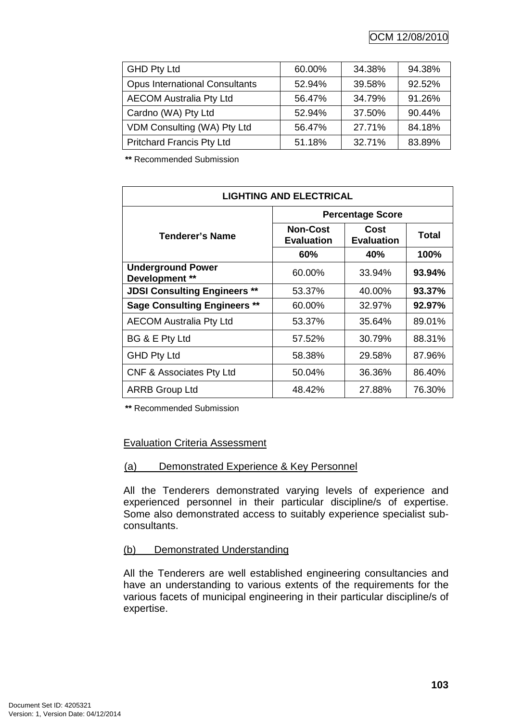OCM 12/08/2010

| <b>GHD Pty Ltd</b>                    | 60.00% | 34.38% | 94.38% |
|---------------------------------------|--------|--------|--------|
| <b>Opus International Consultants</b> | 52.94% | 39.58% | 92.52% |
| <b>AECOM Australia Pty Ltd</b>        | 56.47% | 34.79% | 91.26% |
| Cardno (WA) Pty Ltd                   | 52.94% | 37.50% | 90.44% |
| VDM Consulting (WA) Pty Ltd           | 56.47% | 27.71% | 84.18% |
| <b>Pritchard Francis Pty Ltd</b>      | 51.18% | 32.71% | 83.89% |

**\*\*** Recommended Submission

| <b>LIGHTING AND ELECTRICAL</b>             |                                      |                           |           |  |
|--------------------------------------------|--------------------------------------|---------------------------|-----------|--|
| Tenderer's Name                            | <b>Percentage Score</b>              |                           |           |  |
|                                            | <b>Non-Cost</b><br><b>Evaluation</b> | Cost<br><b>Evaluation</b> | Total     |  |
|                                            | 60%                                  | 40%                       | 100%      |  |
| <b>Underground Power</b><br>Development ** | 60.00%                               | 33.94%                    | 93.94%    |  |
| <b>JDSI Consulting Engineers **</b>        | 53.37%                               | 40.00%                    | 93.37%    |  |
| <b>Sage Consulting Engineers **</b>        | 60.00%                               | 32.97%                    | $92.97\%$ |  |
| <b>AECOM Australia Pty Ltd</b>             | 53.37%                               | 35.64%                    | 89.01%    |  |
| BG & E Pty Ltd                             | 57.52%                               | 30.79%                    | 88.31%    |  |
| <b>GHD Pty Ltd</b>                         | 58.38%                               | 29.58%                    | 87.96%    |  |
| <b>CNF &amp; Associates Pty Ltd</b>        | 50.04%                               | 36.36%                    | 86.40%    |  |
| <b>ARRB Group Ltd</b>                      | 48.42%                               | 27.88%                    | 76.30%    |  |

**\*\*** Recommended Submission

### Evaluation Criteria Assessment

### (a) Demonstrated Experience & Key Personnel

All the Tenderers demonstrated varying levels of experience and experienced personnel in their particular discipline/s of expertise. Some also demonstrated access to suitably experience specialist subconsultants.

### (b) Demonstrated Understanding

All the Tenderers are well established engineering consultancies and have an understanding to various extents of the requirements for the various facets of municipal engineering in their particular discipline/s of expertise.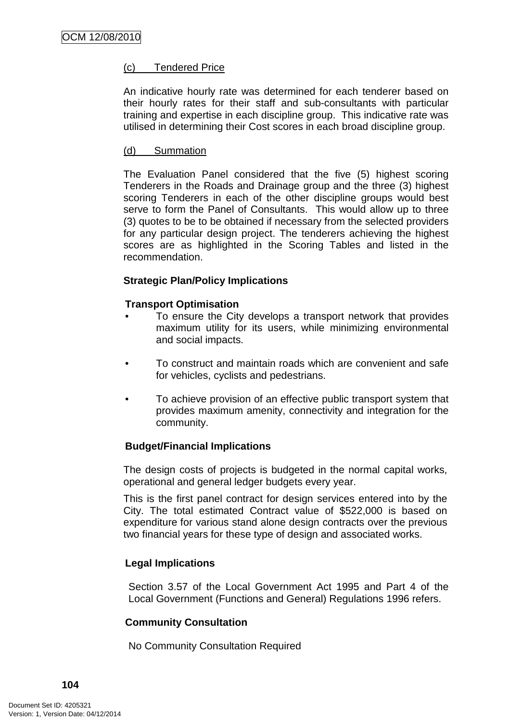## (c) Tendered Price

An indicative hourly rate was determined for each tenderer based on their hourly rates for their staff and sub-consultants with particular training and expertise in each discipline group. This indicative rate was utilised in determining their Cost scores in each broad discipline group.

## (d) Summation

The Evaluation Panel considered that the five (5) highest scoring Tenderers in the Roads and Drainage group and the three (3) highest scoring Tenderers in each of the other discipline groups would best serve to form the Panel of Consultants. This would allow up to three (3) quotes to be to be obtained if necessary from the selected providers for any particular design project. The tenderers achieving the highest scores are as highlighted in the Scoring Tables and listed in the recommendation.

## **Strategic Plan/Policy Implications**

## **Transport Optimisation**

- To ensure the City develops a transport network that provides maximum utility for its users, while minimizing environmental and social impacts.
- To construct and maintain roads which are convenient and safe for vehicles, cyclists and pedestrians.
- To achieve provision of an effective public transport system that provides maximum amenity, connectivity and integration for the community.

## **Budget/Financial Implications**

The design costs of projects is budgeted in the normal capital works, operational and general ledger budgets every year.

This is the first panel contract for design services entered into by the City. The total estimated Contract value of \$522,000 is based on expenditure for various stand alone design contracts over the previous two financial years for these type of design and associated works.

## **Legal Implications**

Section 3.57 of the Local Government Act 1995 and Part 4 of the Local Government (Functions and General) Regulations 1996 refers.

## **Community Consultation**

No Community Consultation Required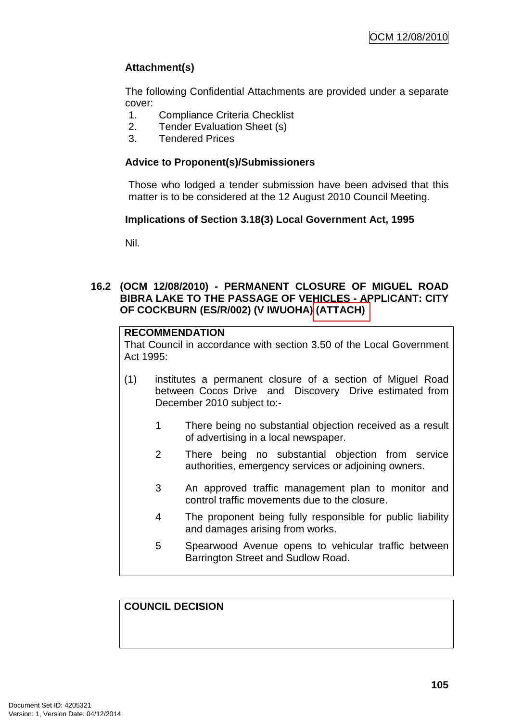# **Attachment(s)**

The following Confidential Attachments are provided under a separate cover:

- 1. Compliance Criteria Checklist
- 2. Tender Evaluation Sheet (s)
- 3. Tendered Prices

## **Advice to Proponent(s)/Submissioners**

Those who lodged a tender submission have been advised that this matter is to be considered at the 12 August 2010 Council Meeting.

### **Implications of Section 3.18(3) Local Government Act, 1995**

Nil.

### **16.2 (OCM 12/08/2010) - PERMANENT CLOSURE OF MIGUEL ROAD BIBRA LAKE TO THE PASSAGE OF VEHICLES - APPLICANT: CITY OF COCKBURN (ES/R/002) (V IWUOHA) (ATTACH)**

## **RECOMMENDATION**

That Council in accordance with section 3.50 of the Local Government Act 1995:

- (1) institutes a permanent closure of a section of Miguel Road between Cocos Drive and Discovery Drive estimated from December 2010 subject to:-
	- 1 There being no substantial objection received as a result of advertising in a local newspaper.
	- 2 There being no substantial objection from service authorities, emergency services or adjoining owners.
	- 3 An approved traffic management plan to monitor and control traffic movements due to the closure.
	- 4 The proponent being fully responsible for public liability and damages arising from works.
	- 5 Spearwood Avenue opens to vehicular traffic between Barrington Street and Sudlow Road.

# **COUNCIL DECISION**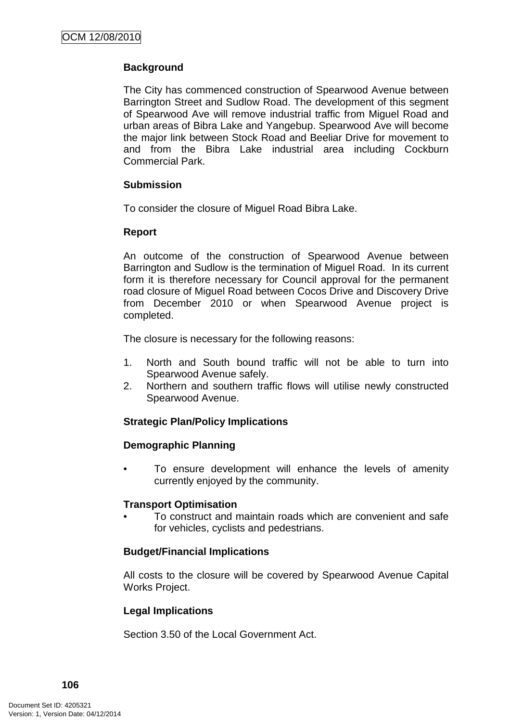# **Background**

The City has commenced construction of Spearwood Avenue between Barrington Street and Sudlow Road. The development of this segment of Spearwood Ave will remove industrial traffic from Miguel Road and urban areas of Bibra Lake and Yangebup. Spearwood Ave will become the major link between Stock Road and Beeliar Drive for movement to and from the Bibra Lake industrial area including Cockburn Commercial Park.

## **Submission**

To consider the closure of Miguel Road Bibra Lake.

## **Report**

An outcome of the construction of Spearwood Avenue between Barrington and Sudlow is the termination of Miguel Road. In its current form it is therefore necessary for Council approval for the permanent road closure of Miguel Road between Cocos Drive and Discovery Drive from December 2010 or when Spearwood Avenue project is completed.

The closure is necessary for the following reasons:

- 1. North and South bound traffic will not be able to turn into Spearwood Avenue safely.
- 2. Northern and southern traffic flows will utilise newly constructed Spearwood Avenue.

### **Strategic Plan/Policy Implications**

### **Demographic Planning**

• To ensure development will enhance the levels of amenity currently enjoyed by the community.

### **Transport Optimisation**

• To construct and maintain roads which are convenient and safe for vehicles, cyclists and pedestrians.

# **Budget/Financial Implications**

All costs to the closure will be covered by Spearwood Avenue Capital Works Project.

# **Legal Implications**

Section 3.50 of the Local Government Act.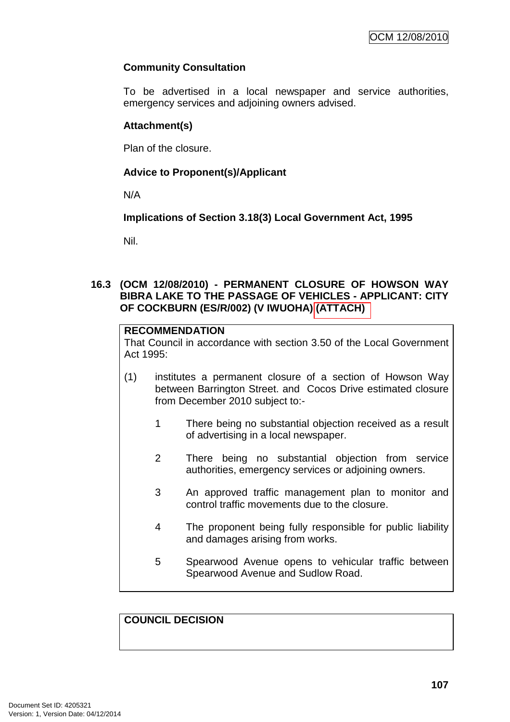# **Community Consultation**

To be advertised in a local newspaper and service authorities, emergency services and adjoining owners advised.

## **Attachment(s)**

Plan of the closure.

# **Advice to Proponent(s)/Applicant**

N/A

**Implications of Section 3.18(3) Local Government Act, 1995**

Nil.

### **16.3 (OCM 12/08/2010) - PERMANENT CLOSURE OF HOWSON WAY BIBRA LAKE TO THE PASSAGE OF VEHICLES - APPLICANT: CITY OF COCKBURN (ES/R/002) (V IWUOHA) (ATTACH)**

## **RECOMMENDATION**

That Council in accordance with section 3.50 of the Local Government Act 1995:

- (1) institutes a permanent closure of a section of Howson Way between Barrington Street. and Cocos Drive estimated closure from December 2010 subject to:-
	- 1 There being no substantial objection received as a result of advertising in a local newspaper.
	- 2 There being no substantial objection from service authorities, emergency services or adjoining owners.
	- 3 An approved traffic management plan to monitor and control traffic movements due to the closure.
	- 4 The proponent being fully responsible for public liability and damages arising from works.
	- 5 Spearwood Avenue opens to vehicular traffic between Spearwood Avenue and Sudlow Road.

**COUNCIL DECISION**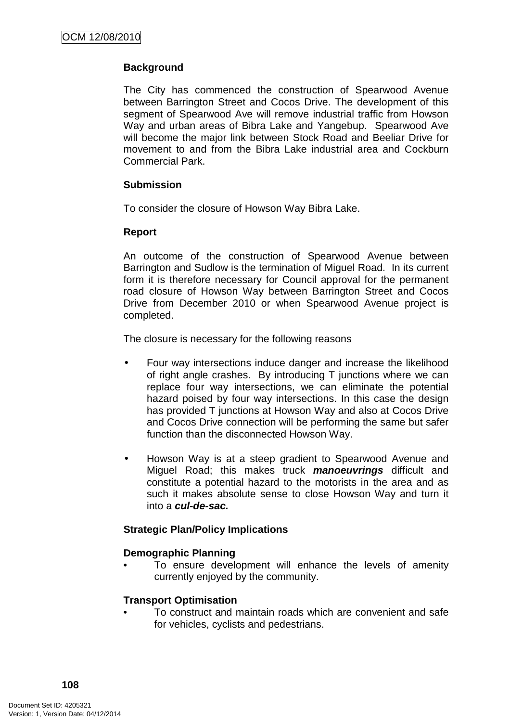# **Background**

The City has commenced the construction of Spearwood Avenue between Barrington Street and Cocos Drive. The development of this segment of Spearwood Ave will remove industrial traffic from Howson Way and urban areas of Bibra Lake and Yangebup. Spearwood Ave will become the major link between Stock Road and Beeliar Drive for movement to and from the Bibra Lake industrial area and Cockburn Commercial Park.

### **Submission**

To consider the closure of Howson Way Bibra Lake.

### **Report**

An outcome of the construction of Spearwood Avenue between Barrington and Sudlow is the termination of Miguel Road. In its current form it is therefore necessary for Council approval for the permanent road closure of Howson Way between Barrington Street and Cocos Drive from December 2010 or when Spearwood Avenue project is completed.

The closure is necessary for the following reasons

- Four way intersections induce danger and increase the likelihood of right angle crashes. By introducing T junctions where we can replace four way intersections, we can eliminate the potential hazard poised by four way intersections. In this case the design has provided T junctions at Howson Way and also at Cocos Drive and Cocos Drive connection will be performing the same but safer function than the disconnected Howson Way.
- Howson Way is at a steep gradient to Spearwood Avenue and Miguel Road; this makes truck **manoeuvrings** difficult and constitute a potential hazard to the motorists in the area and as such it makes absolute sense to close Howson Way and turn it into a **cul-de-sac.**

### **Strategic Plan/Policy Implications**

### **Demographic Planning**

To ensure development will enhance the levels of amenity currently enjoyed by the community.

#### **Transport Optimisation**

• To construct and maintain roads which are convenient and safe for vehicles, cyclists and pedestrians.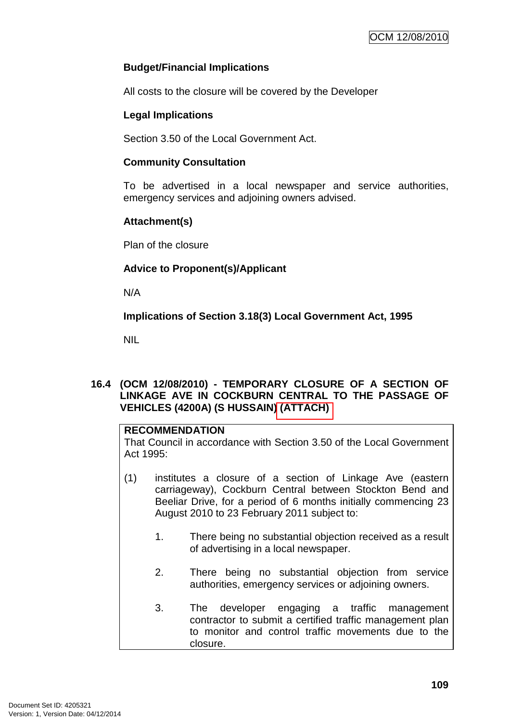## **Budget/Financial Implications**

All costs to the closure will be covered by the Developer

## **Legal Implications**

Section 3.50 of the Local Government Act.

### **Community Consultation**

To be advertised in a local newspaper and service authorities, emergency services and adjoining owners advised.

## **Attachment(s)**

Plan of the closure

## **Advice to Proponent(s)/Applicant**

N/A

**Implications of Section 3.18(3) Local Government Act, 1995**

NIL

## **16.4 (OCM 12/08/2010) - TEMPORARY CLOSURE OF A SECTION OF LINKAGE AVE IN COCKBURN CENTRAL TO THE PASSAGE OF VEHICLES (4200A) (S HUSSAIN) (ATTACH)**

## **RECOMMENDATION**

That Council in accordance with Section 3.50 of the Local Government Act 1995:

- (1) institutes a closure of a section of Linkage Ave (eastern carriageway), Cockburn Central between Stockton Bend and Beeliar Drive, for a period of 6 months initially commencing 23 August 2010 to 23 February 2011 subject to:
	- 1. There being no substantial objection received as a result of advertising in a local newspaper.
	- 2. There being no substantial objection from service authorities, emergency services or adjoining owners.
	- 3. The developer engaging a traffic management contractor to submit a certified traffic management plan to monitor and control traffic movements due to the closure.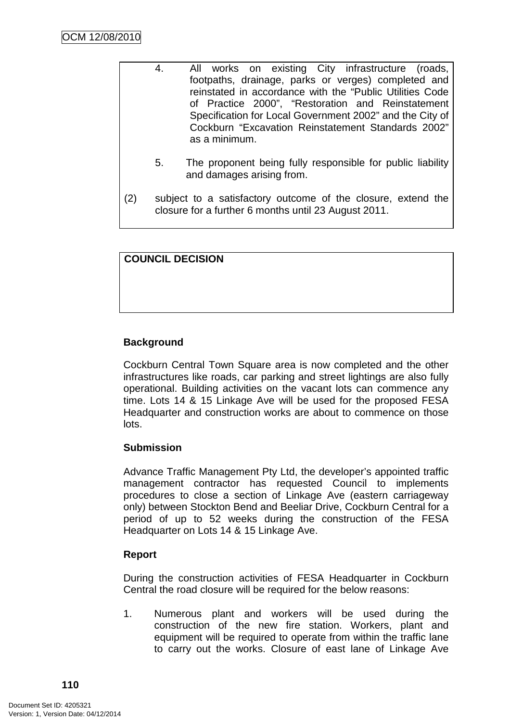- 4. All works on existing City infrastructure (roads, footpaths, drainage, parks or verges) completed and reinstated in accordance with the "Public Utilities Code of Practice 2000", "Restoration and Reinstatement Specification for Local Government 2002" and the City of Cockburn "Excavation Reinstatement Standards 2002" as a minimum. 5. The proponent being fully responsible for public liability and damages arising from.
- (2) subject to a satisfactory outcome of the closure, extend the closure for a further 6 months until 23 August 2011.

| <b>COUNCIL DECISION</b> |
|-------------------------|
|-------------------------|

# **Background**

Cockburn Central Town Square area is now completed and the other infrastructures like roads, car parking and street lightings are also fully operational. Building activities on the vacant lots can commence any time. Lots 14 & 15 Linkage Ave will be used for the proposed FESA Headquarter and construction works are about to commence on those lots.

### **Submission**

Advance Traffic Management Pty Ltd, the developer's appointed traffic management contractor has requested Council to implements procedures to close a section of Linkage Ave (eastern carriageway only) between Stockton Bend and Beeliar Drive, Cockburn Central for a period of up to 52 weeks during the construction of the FESA Headquarter on Lots 14 & 15 Linkage Ave.

# **Report**

During the construction activities of FESA Headquarter in Cockburn Central the road closure will be required for the below reasons:

1. Numerous plant and workers will be used during the construction of the new fire station. Workers, plant and equipment will be required to operate from within the traffic lane to carry out the works. Closure of east lane of Linkage Ave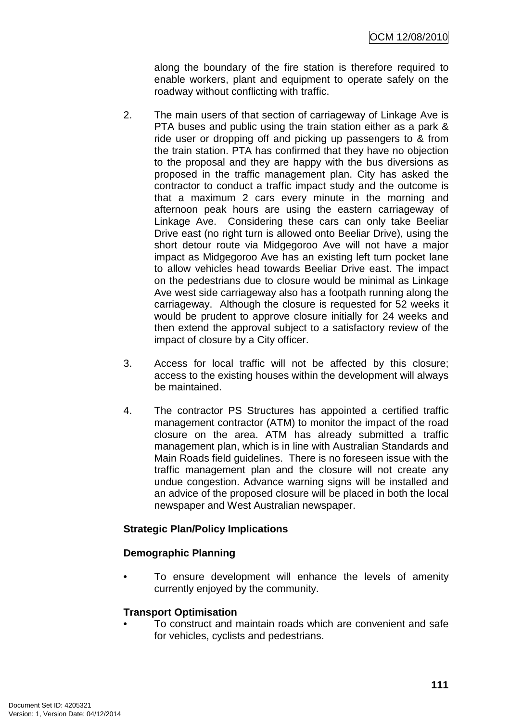along the boundary of the fire station is therefore required to enable workers, plant and equipment to operate safely on the roadway without conflicting with traffic.

- 2. The main users of that section of carriageway of Linkage Ave is PTA buses and public using the train station either as a park & ride user or dropping off and picking up passengers to & from the train station. PTA has confirmed that they have no objection to the proposal and they are happy with the bus diversions as proposed in the traffic management plan. City has asked the contractor to conduct a traffic impact study and the outcome is that a maximum 2 cars every minute in the morning and afternoon peak hours are using the eastern carriageway of Linkage Ave. Considering these cars can only take Beeliar Drive east (no right turn is allowed onto Beeliar Drive), using the short detour route via Midgegoroo Ave will not have a major impact as Midgegoroo Ave has an existing left turn pocket lane to allow vehicles head towards Beeliar Drive east. The impact on the pedestrians due to closure would be minimal as Linkage Ave west side carriageway also has a footpath running along the carriageway. Although the closure is requested for 52 weeks it would be prudent to approve closure initially for 24 weeks and then extend the approval subject to a satisfactory review of the impact of closure by a City officer.
- 3. Access for local traffic will not be affected by this closure; access to the existing houses within the development will always be maintained.
- 4. The contractor PS Structures has appointed a certified traffic management contractor (ATM) to monitor the impact of the road closure on the area. ATM has already submitted a traffic management plan, which is in line with Australian Standards and Main Roads field guidelines. There is no foreseen issue with the traffic management plan and the closure will not create any undue congestion. Advance warning signs will be installed and an advice of the proposed closure will be placed in both the local newspaper and West Australian newspaper.

# **Strategic Plan/Policy Implications**

### **Demographic Planning**

• To ensure development will enhance the levels of amenity currently enjoyed by the community.

### **Transport Optimisation**

• To construct and maintain roads which are convenient and safe for vehicles, cyclists and pedestrians.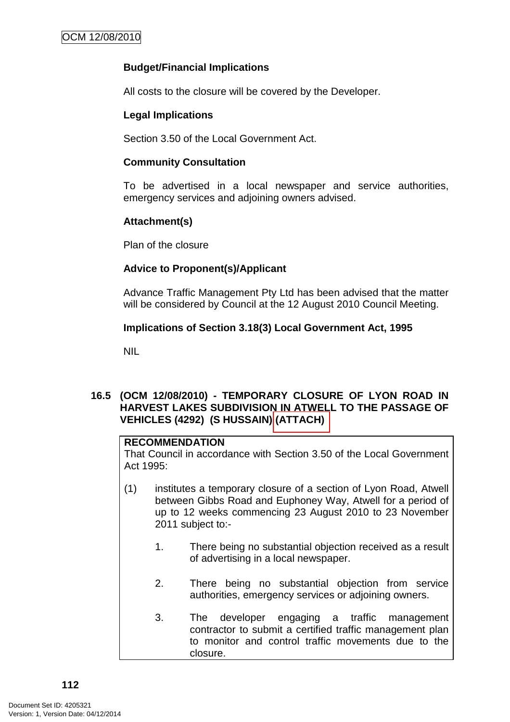## **Budget/Financial Implications**

All costs to the closure will be covered by the Developer.

## **Legal Implications**

Section 3.50 of the Local Government Act.

### **Community Consultation**

To be advertised in a local newspaper and service authorities, emergency services and adjoining owners advised.

## **Attachment(s)**

Plan of the closure

## **Advice to Proponent(s)/Applicant**

Advance Traffic Management Pty Ltd has been advised that the matter will be considered by Council at the 12 August 2010 Council Meeting.

## **Implications of Section 3.18(3) Local Government Act, 1995**

NIL

## **16.5 (OCM 12/08/2010) - TEMPORARY CLOSURE OF LYON ROAD IN HARVEST LAKES SUBDIVISION IN ATWELL TO THE PASSAGE OF VEHICLES (4292) (S HUSSAIN) (ATTACH)**

## **RECOMMENDATION**

That Council in accordance with Section 3.50 of the Local Government Act  $1995$ 

- (1) institutes a temporary closure of a section of Lyon Road, Atwell between Gibbs Road and Euphoney Way, Atwell for a period of up to 12 weeks commencing 23 August 2010 to 23 November 2011 subject to:-
	- 1. There being no substantial objection received as a result of advertising in a local newspaper.
	- 2. There being no substantial objection from service authorities, emergency services or adjoining owners.
	- 3. The developer engaging a traffic management contractor to submit a certified traffic management plan to monitor and control traffic movements due to the closure.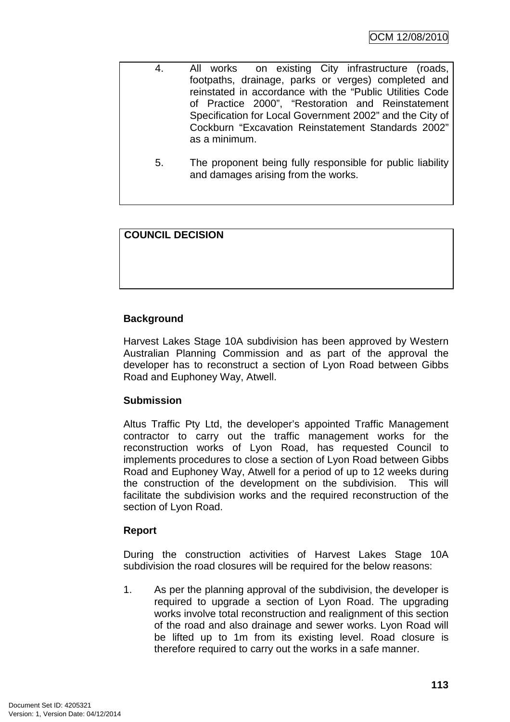| 4. | All works on existing City infrastructure (roads,                      |
|----|------------------------------------------------------------------------|
|    | footpaths, drainage, parks or verges) completed and                    |
|    | reinstated in accordance with the "Public Utilities Code               |
|    | of Practice 2000", "Restoration and Reinstatement                      |
|    | Specification for Local Government 2002" and the City of               |
|    | Cockburn "Excavation Reinstatement Standards 2002"                     |
|    | as a minimum.                                                          |
|    |                                                                        |
|    | The companies and historic fully mean an alleta from and the that they |

5. The proponent being fully responsible for public liability and damages arising from the works.

# **COUNCIL DECISION**

# **Background**

Harvest Lakes Stage 10A subdivision has been approved by Western Australian Planning Commission and as part of the approval the developer has to reconstruct a section of Lyon Road between Gibbs Road and Euphoney Way, Atwell.

# **Submission**

Altus Traffic Pty Ltd, the developer's appointed Traffic Management contractor to carry out the traffic management works for the reconstruction works of Lyon Road, has requested Council to implements procedures to close a section of Lyon Road between Gibbs Road and Euphoney Way, Atwell for a period of up to 12 weeks during the construction of the development on the subdivision. This will facilitate the subdivision works and the required reconstruction of the section of Lyon Road.

# **Report**

During the construction activities of Harvest Lakes Stage 10A subdivision the road closures will be required for the below reasons:

1. As per the planning approval of the subdivision, the developer is required to upgrade a section of Lyon Road. The upgrading works involve total reconstruction and realignment of this section of the road and also drainage and sewer works. Lyon Road will be lifted up to 1m from its existing level. Road closure is therefore required to carry out the works in a safe manner.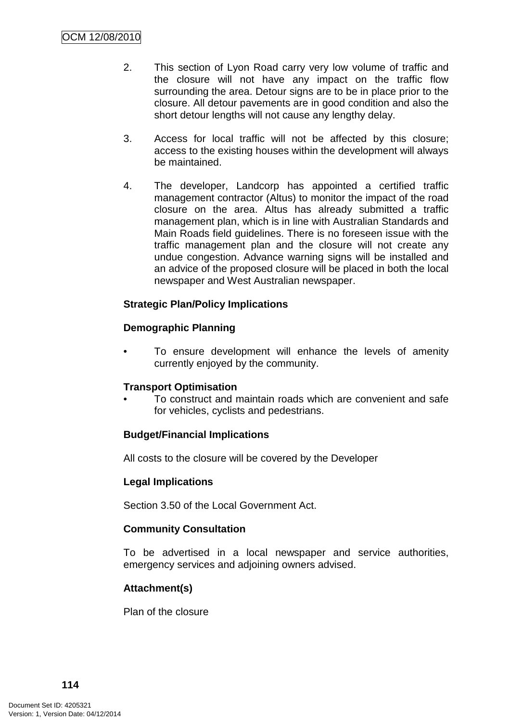- 2. This section of Lyon Road carry very low volume of traffic and the closure will not have any impact on the traffic flow surrounding the area. Detour signs are to be in place prior to the closure. All detour pavements are in good condition and also the short detour lengths will not cause any lengthy delay.
- 3. Access for local traffic will not be affected by this closure; access to the existing houses within the development will always be maintained.
- 4. The developer, Landcorp has appointed a certified traffic management contractor (Altus) to monitor the impact of the road closure on the area. Altus has already submitted a traffic management plan, which is in line with Australian Standards and Main Roads field guidelines. There is no foreseen issue with the traffic management plan and the closure will not create any undue congestion. Advance warning signs will be installed and an advice of the proposed closure will be placed in both the local newspaper and West Australian newspaper.

# **Strategic Plan/Policy Implications**

# **Demographic Planning**

To ensure development will enhance the levels of amenity currently enjoyed by the community.

# **Transport Optimisation**

• To construct and maintain roads which are convenient and safe for vehicles, cyclists and pedestrians.

# **Budget/Financial Implications**

All costs to the closure will be covered by the Developer

# **Legal Implications**

Section 3.50 of the Local Government Act.

# **Community Consultation**

To be advertised in a local newspaper and service authorities, emergency services and adjoining owners advised.

# **Attachment(s)**

Plan of the closure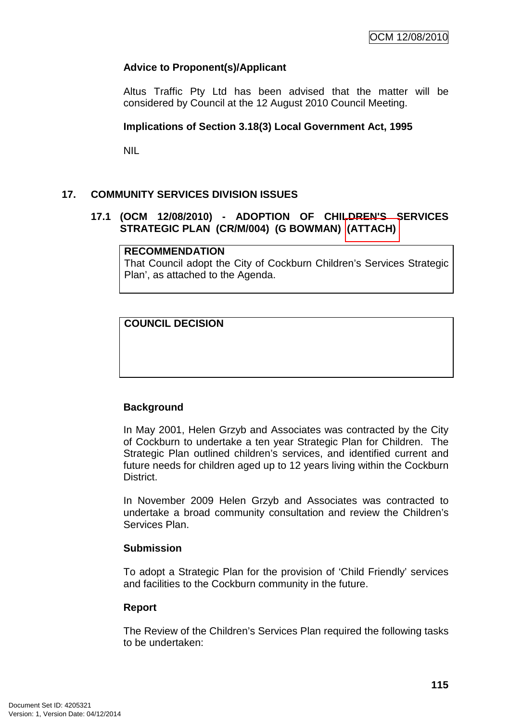# **Advice to Proponent(s)/Applicant**

Altus Traffic Pty Ltd has been advised that the matter will be considered by Council at the 12 August 2010 Council Meeting.

## **Implications of Section 3.18(3) Local Government Act, 1995**

NIL

# **17. COMMUNITY SERVICES DIVISION ISSUES**

## **17.1 (OCM 12/08/2010) - ADOPTION OF CHILDREN'S SERVICES STRATEGIC PLAN (CR/M/004) (G BOWMAN) (ATTACH)**

### **RECOMMENDATION**

That Council adopt the City of Cockburn Children's Services Strategic Plan', as attached to the Agenda.

## **COUNCIL DECISION**

### **Background**

In May 2001, Helen Grzyb and Associates was contracted by the City of Cockburn to undertake a ten year Strategic Plan for Children. The Strategic Plan outlined children's services, and identified current and future needs for children aged up to 12 years living within the Cockburn District.

In November 2009 Helen Grzyb and Associates was contracted to undertake a broad community consultation and review the Children's Services Plan.

### **Submission**

To adopt a Strategic Plan for the provision of 'Child Friendly' services and facilities to the Cockburn community in the future.

### **Report**

The Review of the Children's Services Plan required the following tasks to be undertaken: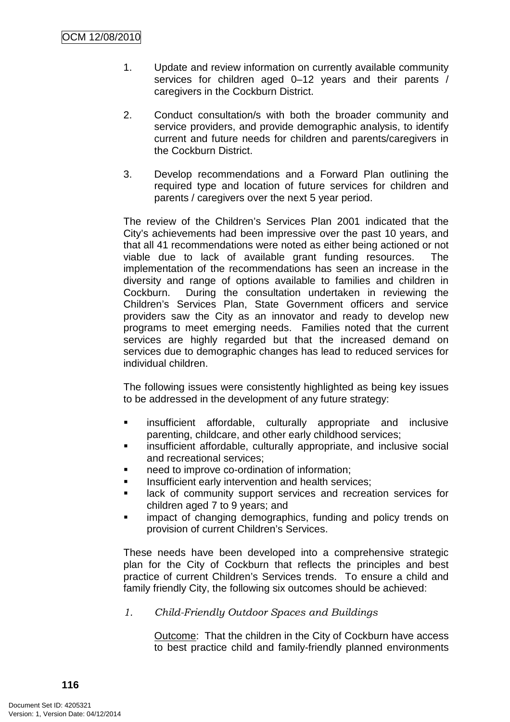- 1. Update and review information on currently available community services for children aged 0–12 years and their parents / caregivers in the Cockburn District.
- 2. Conduct consultation/s with both the broader community and service providers, and provide demographic analysis, to identify current and future needs for children and parents/caregivers in the Cockburn District.
- 3. Develop recommendations and a Forward Plan outlining the required type and location of future services for children and parents / caregivers over the next 5 year period.

The review of the Children's Services Plan 2001 indicated that the City's achievements had been impressive over the past 10 years, and that all 41 recommendations were noted as either being actioned or not viable due to lack of available grant funding resources. The implementation of the recommendations has seen an increase in the diversity and range of options available to families and children in Cockburn. During the consultation undertaken in reviewing the Children's Services Plan, State Government officers and service providers saw the City as an innovator and ready to develop new programs to meet emerging needs. Families noted that the current services are highly regarded but that the increased demand on services due to demographic changes has lead to reduced services for individual children.

The following issues were consistently highlighted as being key issues to be addressed in the development of any future strategy:

- **EXECUTE:** insufficient affordable, culturally appropriate and inclusive parenting, childcare, and other early childhood services;
- insufficient affordable, culturally appropriate, and inclusive social and recreational services;
- need to improve co-ordination of information;
- Insufficient early intervention and health services;
- lack of community support services and recreation services for children aged 7 to 9 years; and
- **EXECUTE:** impact of changing demographics, funding and policy trends on provision of current Children's Services.

These needs have been developed into a comprehensive strategic plan for the City of Cockburn that reflects the principles and best practice of current Children's Services trends. To ensure a child and family friendly City, the following six outcomes should be achieved:

1. Child-Friendly Outdoor Spaces and Buildings

Outcome: That the children in the City of Cockburn have access to best practice child and family-friendly planned environments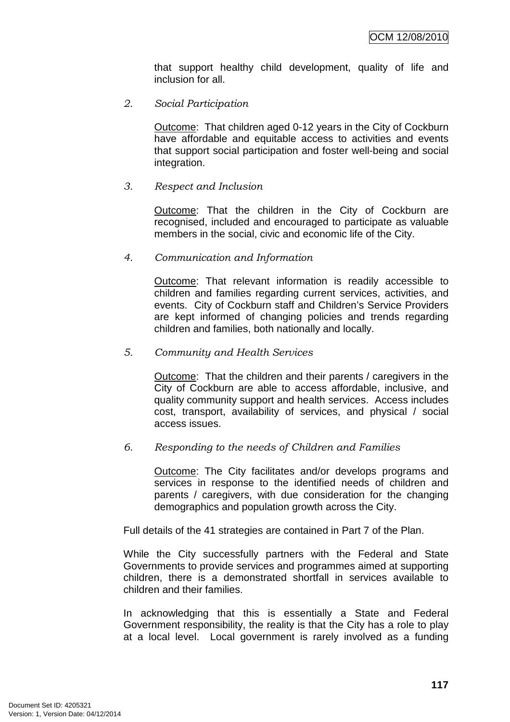that support healthy child development, quality of life and inclusion for all.

2. Social Participation

Outcome: That children aged 0-12 years in the City of Cockburn have affordable and equitable access to activities and events that support social participation and foster well-being and social integration.

### 3. Respect and Inclusion

Outcome: That the children in the City of Cockburn are recognised, included and encouraged to participate as valuable members in the social, civic and economic life of the City.

### 4. Communication and Information

Outcome: That relevant information is readily accessible to children and families regarding current services, activities, and events. City of Cockburn staff and Children's Service Providers are kept informed of changing policies and trends regarding children and families, both nationally and locally.

### 5. Community and Health Services

Outcome: That the children and their parents / caregivers in the City of Cockburn are able to access affordable, inclusive, and quality community support and health services. Access includes cost, transport, availability of services, and physical / social access issues.

### 6. Responding to the needs of Children and Families

Outcome: The City facilitates and/or develops programs and services in response to the identified needs of children and parents / caregivers, with due consideration for the changing demographics and population growth across the City.

Full details of the 41 strategies are contained in Part 7 of the Plan.

While the City successfully partners with the Federal and State Governments to provide services and programmes aimed at supporting children, there is a demonstrated shortfall in services available to children and their families.

In acknowledging that this is essentially a State and Federal Government responsibility, the reality is that the City has a role to play at a local level. Local government is rarely involved as a funding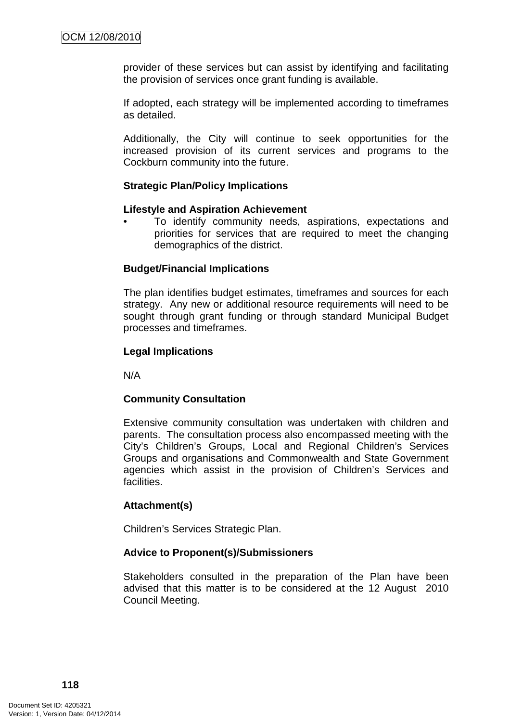provider of these services but can assist by identifying and facilitating the provision of services once grant funding is available.

If adopted, each strategy will be implemented according to timeframes as detailed.

Additionally, the City will continue to seek opportunities for the increased provision of its current services and programs to the Cockburn community into the future.

### **Strategic Plan/Policy Implications**

#### **Lifestyle and Aspiration Achievement**

• To identify community needs, aspirations, expectations and priorities for services that are required to meet the changing demographics of the district.

### **Budget/Financial Implications**

The plan identifies budget estimates, timeframes and sources for each strategy. Any new or additional resource requirements will need to be sought through grant funding or through standard Municipal Budget processes and timeframes.

### **Legal Implications**

N/A

### **Community Consultation**

Extensive community consultation was undertaken with children and parents. The consultation process also encompassed meeting with the City's Children's Groups, Local and Regional Children's Services Groups and organisations and Commonwealth and State Government agencies which assist in the provision of Children's Services and facilities.

### **Attachment(s)**

Children's Services Strategic Plan.

### **Advice to Proponent(s)/Submissioners**

Stakeholders consulted in the preparation of the Plan have been advised that this matter is to be considered at the 12 August 2010 Council Meeting.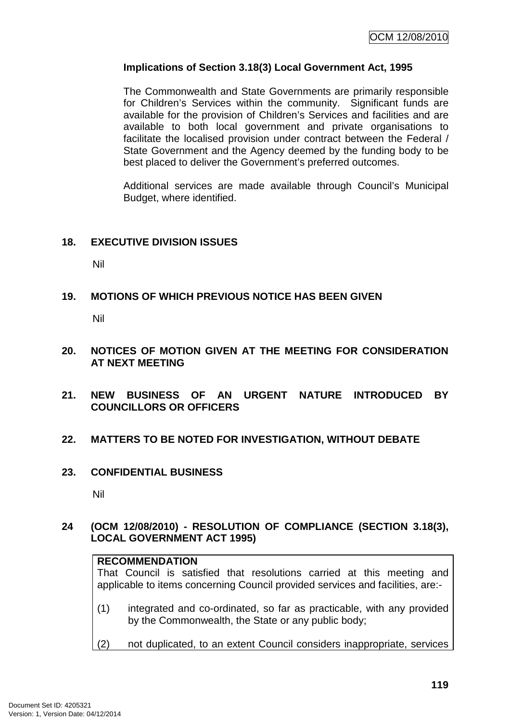## **Implications of Section 3.18(3) Local Government Act, 1995**

The Commonwealth and State Governments are primarily responsible for Children's Services within the community. Significant funds are available for the provision of Children's Services and facilities and are available to both local government and private organisations to facilitate the localised provision under contract between the Federal / State Government and the Agency deemed by the funding body to be best placed to deliver the Government's preferred outcomes.

Additional services are made available through Council's Municipal Budget, where identified.

### **18. EXECUTIVE DIVISION ISSUES**

Nil

## **19. MOTIONS OF WHICH PREVIOUS NOTICE HAS BEEN GIVEN**

Nil

### **20. NOTICES OF MOTION GIVEN AT THE MEETING FOR CONSIDERATION AT NEXT MEETING**

**21. NEW BUSINESS OF AN URGENT NATURE INTRODUCED BY COUNCILLORS OR OFFICERS** 

### **22. MATTERS TO BE NOTED FOR INVESTIGATION, WITHOUT DEBATE**

**23. CONFIDENTIAL BUSINESS** 

Nil

### **24 (OCM 12/08/2010) - RESOLUTION OF COMPLIANCE (SECTION 3.18(3), LOCAL GOVERNMENT ACT 1995)**

### **RECOMMENDATION**

That Council is satisfied that resolutions carried at this meeting and applicable to items concerning Council provided services and facilities, are:-

- (1) integrated and co-ordinated, so far as practicable, with any provided by the Commonwealth, the State or any public body;
- (2) not duplicated, to an extent Council considers inappropriate, services